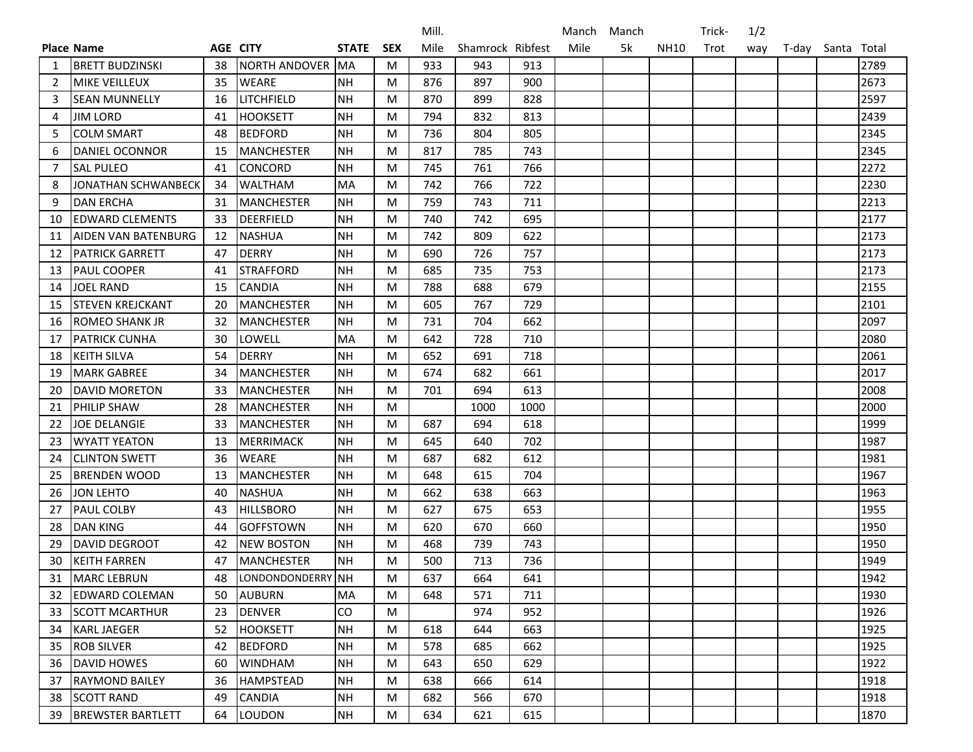|    |                            |    |                   |              |            | Mill. |                  |      | Manch | Manch |      | Trick- | 1/2 |       |             |      |
|----|----------------------------|----|-------------------|--------------|------------|-------|------------------|------|-------|-------|------|--------|-----|-------|-------------|------|
|    | <b>Place Name</b>          |    | AGE CITY          | <b>STATE</b> | <b>SEX</b> | Mile  | Shamrock Ribfest |      | Mile  | 5k    | NH10 | Trot   | way | T-day | Santa Total |      |
| -1 | <b>BRETT BUDZINSKI</b>     | 38 | NORTH ANDOVER MA  |              | M          | 933   | 943              | 913  |       |       |      |        |     |       |             | 2789 |
| 2  | <b>MIKE VEILLEUX</b>       | 35 | WEARE             | <b>NH</b>    | M          | 876   | 897              | 900  |       |       |      |        |     |       |             | 2673 |
| 3  | <b>SEAN MUNNELLY</b>       | 16 | LITCHFIELD        | <b>NH</b>    | M          | 870   | 899              | 828  |       |       |      |        |     |       |             | 2597 |
| 4  | <b>JIM LORD</b>            | 41 | <b>HOOKSETT</b>   | <b>NH</b>    | M          | 794   | 832              | 813  |       |       |      |        |     |       |             | 2439 |
| 5  | <b>COLM SMART</b>          | 48 | <b>BEDFORD</b>    | <b>NH</b>    | M          | 736   | 804              | 805  |       |       |      |        |     |       |             | 2345 |
| 6  | <b>DANIEL OCONNOR</b>      | 15 | <b>MANCHESTER</b> | <b>NH</b>    | M          | 817   | 785              | 743  |       |       |      |        |     |       |             | 2345 |
| 7  | <b>SAL PULEO</b>           | 41 | <b>CONCORD</b>    | <b>NH</b>    | M          | 745   | 761              | 766  |       |       |      |        |     |       |             | 2272 |
| 8  | JONATHAN SCHWANBECK        | 34 | <b>WALTHAM</b>    | <b>MA</b>    | M          | 742   | 766              | 722  |       |       |      |        |     |       |             | 2230 |
| 9  | <b>DAN ERCHA</b>           | 31 | <b>MANCHESTER</b> | <b>NH</b>    | M          | 759   | 743              | 711  |       |       |      |        |     |       |             | 2213 |
| 10 | <b>EDWARD CLEMENTS</b>     | 33 | <b>DEERFIELD</b>  | <b>NH</b>    | M          | 740   | 742              | 695  |       |       |      |        |     |       |             | 2177 |
| 11 | <b>AIDEN VAN BATENBURG</b> | 12 | <b>NASHUA</b>     | <b>NH</b>    | M          | 742   | 809              | 622  |       |       |      |        |     |       |             | 2173 |
| 12 | <b>PATRICK GARRETT</b>     | 47 | <b>DERRY</b>      | <b>NH</b>    | M          | 690   | 726              | 757  |       |       |      |        |     |       |             | 2173 |
| 13 | PAUL COOPER                | 41 | <b>STRAFFORD</b>  | <b>NH</b>    | M          | 685   | 735              | 753  |       |       |      |        |     |       |             | 2173 |
| 14 | <b>JOEL RAND</b>           | 15 | <b>CANDIA</b>     | <b>NH</b>    | M          | 788   | 688              | 679  |       |       |      |        |     |       |             | 2155 |
| 15 | <b>STEVEN KREJCKANT</b>    | 20 | <b>MANCHESTER</b> | NΗ           | M          | 605   | 767              | 729  |       |       |      |        |     |       |             | 2101 |
| 16 | ROMEO SHANK JR             | 32 | <b>MANCHESTER</b> | <b>NH</b>    | M          | 731   | 704              | 662  |       |       |      |        |     |       |             | 2097 |
| 17 | <b>PATRICK CUNHA</b>       | 30 | LOWELL            | MA           | M          | 642   | 728              | 710  |       |       |      |        |     |       |             | 2080 |
| 18 | <b>KEITH SILVA</b>         | 54 | <b>DERRY</b>      | <b>NH</b>    | M          | 652   | 691              | 718  |       |       |      |        |     |       |             | 2061 |
| 19 | <b>MARK GABREE</b>         | 34 | <b>MANCHESTER</b> | <b>NH</b>    | M          | 674   | 682              | 661  |       |       |      |        |     |       |             | 2017 |
| 20 | <b>DAVID MORETON</b>       | 33 | <b>MANCHESTER</b> | NH           | M          | 701   | 694              | 613  |       |       |      |        |     |       |             | 2008 |
| 21 | PHILIP SHAW                | 28 | <b>MANCHESTER</b> | <b>NH</b>    | M          |       | 1000             | 1000 |       |       |      |        |     |       |             | 2000 |
| 22 | <b>JOE DELANGIE</b>        | 33 | <b>MANCHESTER</b> | <b>NH</b>    | M          | 687   | 694              | 618  |       |       |      |        |     |       |             | 1999 |
| 23 | <b>WYATT YEATON</b>        | 13 | <b>MERRIMACK</b>  | <b>NH</b>    | M          | 645   | 640              | 702  |       |       |      |        |     |       |             | 1987 |
| 24 | <b>CLINTON SWETT</b>       | 36 | <b>WEARE</b>      | <b>NH</b>    | M          | 687   | 682              | 612  |       |       |      |        |     |       |             | 1981 |
| 25 | <b>BRENDEN WOOD</b>        | 13 | <b>MANCHESTER</b> | <b>NH</b>    | M          | 648   | 615              | 704  |       |       |      |        |     |       |             | 1967 |
| 26 | <b>JON LEHTO</b>           | 40 | <b>NASHUA</b>     | NΗ           | M          | 662   | 638              | 663  |       |       |      |        |     |       |             | 1963 |
| 27 | <b>PAUL COLBY</b>          | 43 | <b>HILLSBORO</b>  | <b>NH</b>    | M          | 627   | 675              | 653  |       |       |      |        |     |       |             | 1955 |
| 28 | <b>DAN KING</b>            | 44 | <b>GOFFSTOWN</b>  | <b>NH</b>    | M          | 620   | 670              | 660  |       |       |      |        |     |       |             | 1950 |
| 29 | <b>DAVID DEGROOT</b>       | 42 | <b>NEW BOSTON</b> | <b>NH</b>    | M          | 468   | 739              | 743  |       |       |      |        |     |       |             | 1950 |
| 30 | <b>KEITH FARREN</b>        | 47 | <b>MANCHESTER</b> | <b>NH</b>    | M          | 500   | 713              | 736  |       |       |      |        |     |       |             | 1949 |
| 31 | MARC LEBRUN                | 48 | LONDONDONDERRY NH |              | M          | 637   | 664              | 641  |       |       |      |        |     |       |             | 1942 |
| 32 | <b>EDWARD COLEMAN</b>      | 50 | <b>AUBURN</b>     | MA           | M          | 648   | 571              | 711  |       |       |      |        |     |       |             | 1930 |
| 33 | <b>SCOTT MCARTHUR</b>      | 23 | <b>DENVER</b>     | CO           | M          |       | 974              | 952  |       |       |      |        |     |       |             | 1926 |
| 34 | <b>KARL JAEGER</b>         | 52 | <b>HOOKSETT</b>   | <b>NH</b>    | M          | 618   | 644              | 663  |       |       |      |        |     |       |             | 1925 |
| 35 | <b>ROB SILVER</b>          | 42 | <b>BEDFORD</b>    | <b>NH</b>    | M          | 578   | 685              | 662  |       |       |      |        |     |       |             | 1925 |
| 36 | <b>DAVID HOWES</b>         | 60 | <b>WINDHAM</b>    | <b>NH</b>    | M          | 643   | 650              | 629  |       |       |      |        |     |       |             | 1922 |
| 37 | RAYMOND BAILEY             | 36 | <b>HAMPSTEAD</b>  | <b>NH</b>    | M          | 638   | 666              | 614  |       |       |      |        |     |       |             | 1918 |
| 38 | <b>SCOTT RAND</b>          | 49 | <b>CANDIA</b>     | NH           | M          | 682   | 566              | 670  |       |       |      |        |     |       |             | 1918 |
| 39 | <b>BREWSTER BARTLETT</b>   | 64 | <b>LOUDON</b>     | <b>NH</b>    | M          | 634   | 621              | 615  |       |       |      |        |     |       |             | 1870 |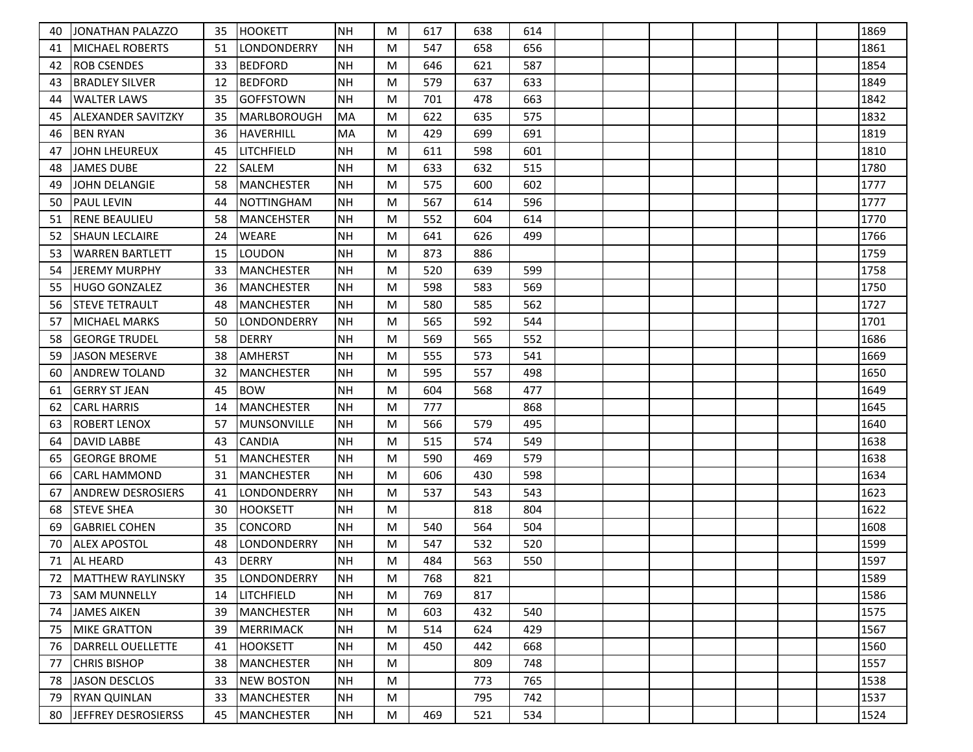| 40 | <b>JONATHAN PALAZZO</b>   | 35 | HOOKETT            | <b>NH</b> | M | 617 | 638 | 614 |  |  |  | 1869 |
|----|---------------------------|----|--------------------|-----------|---|-----|-----|-----|--|--|--|------|
| 41 | IMICHAEL ROBERTS          | 51 | LONDONDERRY        | <b>NH</b> | M | 547 | 658 | 656 |  |  |  | 1861 |
| 42 | ROB CSENDES               | 33 | <b>BEDFORD</b>     | <b>NH</b> | M | 646 | 621 | 587 |  |  |  | 1854 |
| 43 | <b>BRADLEY SILVER</b>     | 12 | <b>BEDFORD</b>     | <b>NH</b> | M | 579 | 637 | 633 |  |  |  | 1849 |
| 44 | <b>WALTER LAWS</b>        | 35 | <b>GOFFSTOWN</b>   | <b>NH</b> | M | 701 | 478 | 663 |  |  |  | 1842 |
| 45 | <b>ALEXANDER SAVITZKY</b> | 35 | <b>MARLBOROUGH</b> | <b>MA</b> | M | 622 | 635 | 575 |  |  |  | 1832 |
| 46 | <b>BEN RYAN</b>           | 36 | <b>HAVERHILL</b>   | MA        | M | 429 | 699 | 691 |  |  |  | 1819 |
| 47 | <b>JOHN LHEUREUX</b>      | 45 | LITCHFIELD         | <b>NH</b> | M | 611 | 598 | 601 |  |  |  | 1810 |
| 48 | <b>JAMES DUBE</b>         | 22 | SALEM              | <b>NH</b> | M | 633 | 632 | 515 |  |  |  | 1780 |
| 49 | JOHN DELANGIE             | 58 | MANCHESTER         | <b>NH</b> | M | 575 | 600 | 602 |  |  |  | 1777 |
| 50 | <b>PAUL LEVIN</b>         | 44 | <b>NOTTINGHAM</b>  | <b>NH</b> | M | 567 | 614 | 596 |  |  |  | 1777 |
| 51 | <b>RENE BEAULIEU</b>      | 58 | MANCEHSTER         | <b>NH</b> | M | 552 | 604 | 614 |  |  |  | 1770 |
| 52 | <b>SHAUN LECLAIRE</b>     | 24 | WEARE              | <b>NH</b> | M | 641 | 626 | 499 |  |  |  | 1766 |
| 53 | WARREN BARTLETT           | 15 | <b>LOUDON</b>      | <b>NH</b> | M | 873 | 886 |     |  |  |  | 1759 |
| 54 | JEREMY MURPHY             | 33 | MANCHESTER         | <b>NH</b> | M | 520 | 639 | 599 |  |  |  | 1758 |
| 55 | HUGO GONZALEZ             | 36 | <b>MANCHESTER</b>  | <b>NH</b> | M | 598 | 583 | 569 |  |  |  | 1750 |
| 56 | <b>STEVE TETRAULT</b>     | 48 | <b>MANCHESTER</b>  | <b>NH</b> | M | 580 | 585 | 562 |  |  |  | 1727 |
| 57 | MICHAEL MARKS             | 50 | ILONDONDERRY       | <b>NH</b> | M | 565 | 592 | 544 |  |  |  | 1701 |
| 58 | <b>GEORGE TRUDEL</b>      | 58 | <b>DERRY</b>       | <b>NH</b> | M | 569 | 565 | 552 |  |  |  | 1686 |
| 59 | <b>JASON MESERVE</b>      | 38 | <b>AMHERST</b>     | <b>NH</b> | M | 555 | 573 | 541 |  |  |  | 1669 |
| 60 | ANDREW TOLAND             | 32 | MANCHESTER         | <b>NH</b> | M | 595 | 557 | 498 |  |  |  | 1650 |
| 61 | <b>GERRY ST JEAN</b>      | 45 | <b>BOW</b>         | <b>NH</b> | M | 604 | 568 | 477 |  |  |  | 1649 |
| 62 | <b>CARL HARRIS</b>        | 14 | MANCHESTER         | <b>NH</b> | M | 777 |     | 868 |  |  |  | 1645 |
| 63 | ROBERT LENOX              | 57 | MUNSONVILLE        | <b>NH</b> | M | 566 | 579 | 495 |  |  |  | 1640 |
| 64 | <b>DAVID LABBE</b>        | 43 | CANDIA             | <b>NH</b> | M | 515 | 574 | 549 |  |  |  | 1638 |
| 65 | <b>GEORGE BROME</b>       | 51 | <b>MANCHESTER</b>  | <b>NH</b> | M | 590 | 469 | 579 |  |  |  | 1638 |
| 66 | ICARL HAMMOND             | 31 | <b>MANCHESTER</b>  | <b>NH</b> | M | 606 | 430 | 598 |  |  |  | 1634 |
| 67 | ANDREW DESROSIERS         | 41 | LONDONDERRY        | <b>NH</b> | M | 537 | 543 | 543 |  |  |  | 1623 |
| 68 | <b>STEVE SHEA</b>         | 30 | <b>HOOKSETT</b>    | <b>NH</b> | M |     | 818 | 804 |  |  |  | 1622 |
| 69 | <b>GABRIEL COHEN</b>      | 35 | CONCORD            | <b>NH</b> | M | 540 | 564 | 504 |  |  |  | 1608 |
| 70 | <b>ALEX APOSTOL</b>       | 48 | LONDONDERRY        | <b>NH</b> | M | 547 | 532 | 520 |  |  |  | 1599 |
| 71 | <b>AL HEARD</b>           | 43 | <b>DERRY</b>       | <b>NH</b> | M | 484 | 563 | 550 |  |  |  | 1597 |
| 72 | <b>IMATTHEW RAYLINSKY</b> | 35 | <b>LONDONDERRY</b> | NH        | M | 768 | 821 |     |  |  |  | 1589 |
| 73 | <b>SAM MUNNELLY</b>       | 14 | <b>LITCHFIELD</b>  | <b>NH</b> | M | 769 | 817 |     |  |  |  | 1586 |
| 74 | JAMES AIKEN               | 39 | MANCHESTER         | <b>NH</b> | M | 603 | 432 | 540 |  |  |  | 1575 |
| 75 | <b>MIKE GRATTON</b>       | 39 | MERRIMACK          | <b>NH</b> | M | 514 | 624 | 429 |  |  |  | 1567 |
| 76 | DARRELL OUELLETTE         | 41 | <b>HOOKSETT</b>    | <b>NH</b> | M | 450 | 442 | 668 |  |  |  | 1560 |
| 77 | <b>CHRIS BISHOP</b>       | 38 | MANCHESTER         | <b>NH</b> | M |     | 809 | 748 |  |  |  | 1557 |
| 78 | JASON DESCLOS             | 33 | NEW BOSTON         | <b>NH</b> | M |     | 773 | 765 |  |  |  | 1538 |
| 79 | <b>RYAN QUINLAN</b>       | 33 | MANCHESTER         | NH        | M |     | 795 | 742 |  |  |  | 1537 |
| 80 | JEFFREY DESROSIERSS       | 45 | MANCHESTER         | NH        | M | 469 | 521 | 534 |  |  |  | 1524 |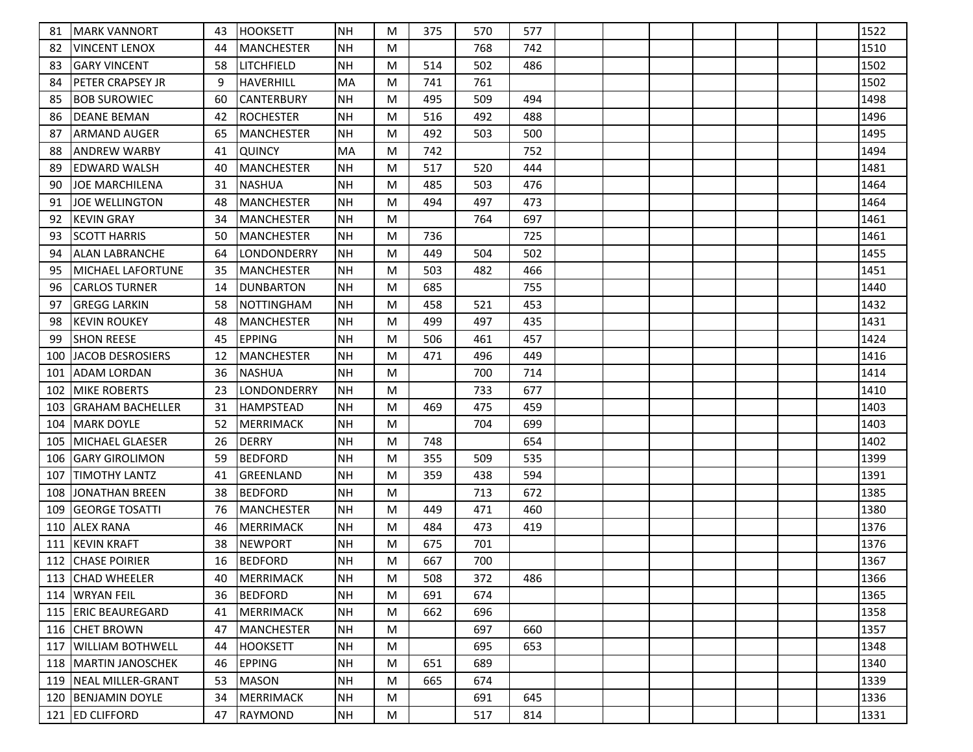| 81  | <b>IMARK VANNORT</b>     | 43 | <b>HOOKSETT</b>   | <b>NH</b> | M | 375 | 570 | 577 |  |  |  | 1522 |
|-----|--------------------------|----|-------------------|-----------|---|-----|-----|-----|--|--|--|------|
| 82  | VINCENT LENOX            | 44 | <b>MANCHESTER</b> | <b>NH</b> | M |     | 768 | 742 |  |  |  | 1510 |
| 83  | <b>GARY VINCENT</b>      | 58 | <b>LITCHFIELD</b> | <b>NH</b> | M | 514 | 502 | 486 |  |  |  | 1502 |
| 84  | <b>PETER CRAPSEY JR</b>  | 9  | <b>HAVERHILL</b>  | <b>MA</b> | M | 741 | 761 |     |  |  |  | 1502 |
| 85  | <b>BOB SUROWIEC</b>      | 60 | CANTERBURY        | <b>NH</b> | M | 495 | 509 | 494 |  |  |  | 1498 |
| 86  | <b>DEANE BEMAN</b>       | 42 | <b>ROCHESTER</b>  | <b>NH</b> | M | 516 | 492 | 488 |  |  |  | 1496 |
| 87  | ARMAND AUGER             | 65 | <b>MANCHESTER</b> | <b>NH</b> | M | 492 | 503 | 500 |  |  |  | 1495 |
| 88  | <b>ANDREW WARBY</b>      | 41 | <b>QUINCY</b>     | MA        | M | 742 |     | 752 |  |  |  | 1494 |
| 89  | EDWARD WALSH             | 40 | <b>MANCHESTER</b> | <b>NH</b> | M | 517 | 520 | 444 |  |  |  | 1481 |
| 90  | <b>JOE MARCHILENA</b>    | 31 | <b>NASHUA</b>     | <b>NH</b> | M | 485 | 503 | 476 |  |  |  | 1464 |
| 91  | <b>JOE WELLINGTON</b>    | 48 | <b>MANCHESTER</b> | <b>NH</b> | M | 494 | 497 | 473 |  |  |  | 1464 |
| 92  | <b>KEVIN GRAY</b>        | 34 | MANCHESTER        | NH        | M |     | 764 | 697 |  |  |  | 1461 |
| 93  | <b>SCOTT HARRIS</b>      | 50 | <b>MANCHESTER</b> | <b>NH</b> | M | 736 |     | 725 |  |  |  | 1461 |
| 94  | <b>ALAN LABRANCHE</b>    | 64 | LONDONDERRY       | <b>NH</b> | M | 449 | 504 | 502 |  |  |  | 1455 |
| 95  | IMICHAEL LAFORTUNE       | 35 | <b>MANCHESTER</b> | NH        | M | 503 | 482 | 466 |  |  |  | 1451 |
| 96  | <b>CARLOS TURNER</b>     | 14 | <b>DUNBARTON</b>  | <b>NH</b> | M | 685 |     | 755 |  |  |  | 1440 |
| 97  | <b>GREGG LARKIN</b>      | 58 | <b>NOTTINGHAM</b> | <b>NH</b> | M | 458 | 521 | 453 |  |  |  | 1432 |
| 98  | KEVIN ROUKEY             | 48 | <b>MANCHESTER</b> | <b>NH</b> | M | 499 | 497 | 435 |  |  |  | 1431 |
| 99  | <b>SHON REESE</b>        | 45 | <b>EPPING</b>     | <b>NH</b> | M | 506 | 461 | 457 |  |  |  | 1424 |
| 100 | <b>JACOB DESROSIERS</b>  | 12 | <b>MANCHESTER</b> | <b>NH</b> | M | 471 | 496 | 449 |  |  |  | 1416 |
| 101 | ADAM LORDAN              | 36 | NASHUA            | <b>NH</b> | M |     | 700 | 714 |  |  |  | 1414 |
| 102 | <b>MIKE ROBERTS</b>      | 23 | LONDONDERRY       | <b>NH</b> | M |     | 733 | 677 |  |  |  | 1410 |
| 103 | <b>GRAHAM BACHELLER</b>  | 31 | <b>HAMPSTEAD</b>  | <b>NH</b> | M | 469 | 475 | 459 |  |  |  | 1403 |
| 104 | <b>MARK DOYLE</b>        | 52 | MERRIMACK         | <b>NH</b> | M |     | 704 | 699 |  |  |  | 1403 |
| 105 | MICHAEL GLAESER          | 26 | <b>DERRY</b>      | <b>NH</b> | M | 748 |     | 654 |  |  |  | 1402 |
| 106 | <b>IGARY GIROLIMON</b>   | 59 | <b>BEDFORD</b>    | <b>NH</b> | M | 355 | 509 | 535 |  |  |  | 1399 |
| 107 | <b>TIMOTHY LANTZ</b>     | 41 | <b>GREENLAND</b>  | <b>NH</b> | M | 359 | 438 | 594 |  |  |  | 1391 |
| 108 | <b>JONATHAN BREEN</b>    | 38 | <b>BEDFORD</b>    | <b>NH</b> | M |     | 713 | 672 |  |  |  | 1385 |
| 109 | GEORGE TOSATTI           | 76 | MANCHESTER        | <b>NH</b> | M | 449 | 471 | 460 |  |  |  | 1380 |
| 110 | <b>ALEX RANA</b>         | 46 | <b>MERRIMACK</b>  | <b>NH</b> | M | 484 | 473 | 419 |  |  |  | 1376 |
| 111 | <b>KEVIN KRAFT</b>       | 38 | <b>NEWPORT</b>    | <b>NH</b> | M | 675 | 701 |     |  |  |  | 1376 |
| 112 | <b>CHASE POIRIER</b>     | 16 | <b>BEDFORD</b>    | <b>NH</b> | M | 667 | 700 |     |  |  |  | 1367 |
|     | 113 CHAD WHEELER         | 40 | <b>IMERRIMACK</b> | NH        | M | 508 | 372 | 486 |  |  |  | 1366 |
| 114 | <b>WRYAN FEIL</b>        | 36 | <b>BEDFORD</b>    | <b>NH</b> | M | 691 | 674 |     |  |  |  | 1365 |
| 115 | <b>ERIC BEAUREGARD</b>   | 41 | <b>MERRIMACK</b>  | <b>NH</b> | M | 662 | 696 |     |  |  |  | 1358 |
|     | 116 CHET BROWN           | 47 | MANCHESTER        | <b>NH</b> | M |     | 697 | 660 |  |  |  | 1357 |
| 117 | <b>WILLIAM BOTHWELL</b>  | 44 | <b>HOOKSETT</b>   | <b>NH</b> | M |     | 695 | 653 |  |  |  | 1348 |
| 118 | <b>IMARTIN JANOSCHEK</b> | 46 | <b>EPPING</b>     | <b>NH</b> | M | 651 | 689 |     |  |  |  | 1340 |
|     | 119   NEAL MILLER-GRANT  | 53 | MASON             | <b>NH</b> | M | 665 | 674 |     |  |  |  | 1339 |
|     | 120 BENJAMIN DOYLE       | 34 | MERRIMACK         | NH        | M |     | 691 | 645 |  |  |  | 1336 |
|     | 121 ED CLIFFORD          | 47 | RAYMOND           | <b>NH</b> | M |     | 517 | 814 |  |  |  | 1331 |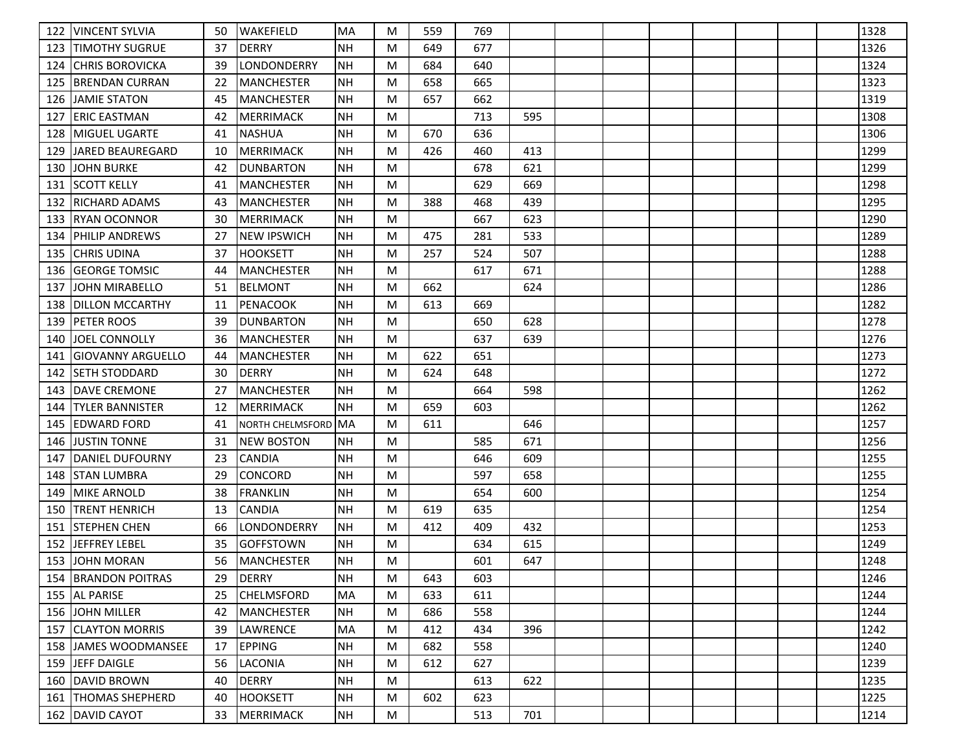| 122 | <b>VINCENT SYLVIA</b>    | 50  | <b>WAKEFIELD</b>        | <b>MA</b> | M | 559 | 769 |     |  |  |  | 1328 |
|-----|--------------------------|-----|-------------------------|-----------|---|-----|-----|-----|--|--|--|------|
| 123 | <b>ITIMOTHY SUGRUE</b>   | 37  | <b>DERRY</b>            | <b>NH</b> | M | 649 | 677 |     |  |  |  | 1326 |
| 124 | CHRIS BOROVICKA          | 39  | LONDONDERRY             | <b>NH</b> | M | 684 | 640 |     |  |  |  | 1324 |
| 125 | <b>BRENDAN CURRAN</b>    | 22  | MANCHESTER              | <b>NH</b> | M | 658 | 665 |     |  |  |  | 1323 |
| 126 | <b>JAMIE STATON</b>      | 45  | MANCHESTER              | <b>NH</b> | M | 657 | 662 |     |  |  |  | 1319 |
| 127 | IERIC EASTMAN            | 42  | MERRIMACK               | <b>NH</b> | M |     | 713 | 595 |  |  |  | 1308 |
| 128 | MIGUEL UGARTE            | 41  | <b>NASHUA</b>           | <b>NH</b> | M | 670 | 636 |     |  |  |  | 1306 |
| 129 | JARED BEAUREGARD         | -10 | <b>MERRIMACK</b>        | <b>NH</b> | M | 426 | 460 | 413 |  |  |  | 1299 |
| 130 | <b>JOHN BURKE</b>        | 42  | <b>DUNBARTON</b>        | <b>NH</b> | M |     | 678 | 621 |  |  |  | 1299 |
| 131 | <b>SCOTT KELLY</b>       | 41  | <b>MANCHESTER</b>       | <b>NH</b> | M |     | 629 | 669 |  |  |  | 1298 |
| 132 | <b>IRICHARD ADAMS</b>    | 43  | MANCHESTER              | <b>NH</b> | M | 388 | 468 | 439 |  |  |  | 1295 |
| 133 | IRYAN OCONNOR            | 30  | MERRIMACK               | <b>NH</b> | M |     | 667 | 623 |  |  |  | 1290 |
| 134 | IPHILIP ANDREWS          | 27  | <b>NEW IPSWICH</b>      | <b>NH</b> | M | 475 | 281 | 533 |  |  |  | 1289 |
| 135 | <b>CHRIS UDINA</b>       | 37  | <b>HOOKSETT</b>         | <b>NH</b> | M | 257 | 524 | 507 |  |  |  | 1288 |
| 136 | <b>IGEORGE TOMSIC</b>    | 44  | <b>MANCHESTER</b>       | <b>NH</b> | M |     | 617 | 671 |  |  |  | 1288 |
| 137 | <b>JOHN MIRABELLO</b>    | 51  | <b>BELMONT</b>          | NΗ        | M | 662 |     | 624 |  |  |  | 1286 |
| 138 | <b>DILLON MCCARTHY</b>   | 11  | <b>PENACOOK</b>         | <b>NH</b> | M | 613 | 669 |     |  |  |  | 1282 |
| 139 | <b>PETER ROOS</b>        | 39  | DUNBARTON               | NH        | M |     | 650 | 628 |  |  |  | 1278 |
| 140 | <b>JOEL CONNOLLY</b>     | 36  | <b>MANCHESTER</b>       | <b>NH</b> | M |     | 637 | 639 |  |  |  | 1276 |
| 141 | <b>GIOVANNY ARGUELLO</b> | 44  | <b>MANCHESTER</b>       | <b>NH</b> | M | 622 | 651 |     |  |  |  | 1273 |
| 142 | lseth stoddard           | 30  | <b>DERRY</b>            | <b>NH</b> | M | 624 | 648 |     |  |  |  | 1272 |
| 143 | DAVE CREMONE             | 27  | <b>MANCHESTER</b>       | <b>NH</b> | M |     | 664 | 598 |  |  |  | 1262 |
| 144 | <b>TYLER BANNISTER</b>   | 12  | <b>MERRIMACK</b>        | <b>NH</b> | M | 659 | 603 |     |  |  |  | 1262 |
| 145 | <b>EDWARD FORD</b>       | 41  | <b>NORTH CHELMSFORD</b> | <b>MA</b> | M | 611 |     | 646 |  |  |  | 1257 |
| 146 | <b>JUSTIN TONNE</b>      | 31  | <b>NEW BOSTON</b>       | <b>NH</b> | M |     | 585 | 671 |  |  |  | 1256 |
| 147 | <b>DANIEL DUFOURNY</b>   | 23  | <b>CANDIA</b>           | <b>NH</b> | M |     | 646 | 609 |  |  |  | 1255 |
| 148 | <b>STAN LUMBRA</b>       | 29  | CONCORD                 | <b>NH</b> | M |     | 597 | 658 |  |  |  | 1255 |
| 149 | <b>MIKE ARNOLD</b>       | 38  | <b>FRANKLIN</b>         | <b>NH</b> | M |     | 654 | 600 |  |  |  | 1254 |
| 150 | <b>ITRENT HENRICH</b>    | 13  | <b>CANDIA</b>           | <b>NH</b> | M | 619 | 635 |     |  |  |  | 1254 |
| 151 | <b>STEPHEN CHEN</b>      | 66  | LONDONDERRY             | <b>NH</b> | M | 412 | 409 | 432 |  |  |  | 1253 |
| 152 | <b>JEFFREY LEBEL</b>     | 35  | <b>GOFFSTOWN</b>        | <b>NH</b> | M |     | 634 | 615 |  |  |  | 1249 |
| 153 | <b>JOHN MORAN</b>        | 56  | <b>MANCHESTER</b>       | <b>NH</b> | M |     | 601 | 647 |  |  |  | 1248 |
|     | 154 BRANDON POITRAS      | 29  | <b>IDERRY</b>           | NH        | M | 643 | 603 |     |  |  |  | 1246 |
|     | 155 AL PARISE            | 25  | <b>CHELMSFORD</b>       | MA        | M | 633 | 611 |     |  |  |  | 1244 |
|     | 156 JJOHN MILLER         | 42  | MANCHESTER              | <b>NH</b> | M | 686 | 558 |     |  |  |  | 1244 |
|     | 157 CLAYTON MORRIS       | 39  | <b>LAWRENCE</b>         | MA        | M | 412 | 434 | 396 |  |  |  | 1242 |
|     | 158 JJAMES WOODMANSEE    | 17  | <b>EPPING</b>           | <b>NH</b> | M | 682 | 558 |     |  |  |  | 1240 |
|     | 159 JEFF DAIGLE          | 56  | LACONIA                 | <b>NH</b> | M | 612 | 627 |     |  |  |  | 1239 |
|     | 160 DAVID BROWN          | 40  | DERRY                   | <b>NH</b> | M |     | 613 | 622 |  |  |  | 1235 |
|     | 161 THOMAS SHEPHERD      | 40  | <b>HOOKSETT</b>         | <b>NH</b> | M | 602 | 623 |     |  |  |  | 1225 |
|     | 162   DAVID CAYOT        | 33  | MERRIMACK               | <b>NH</b> | M |     | 513 | 701 |  |  |  | 1214 |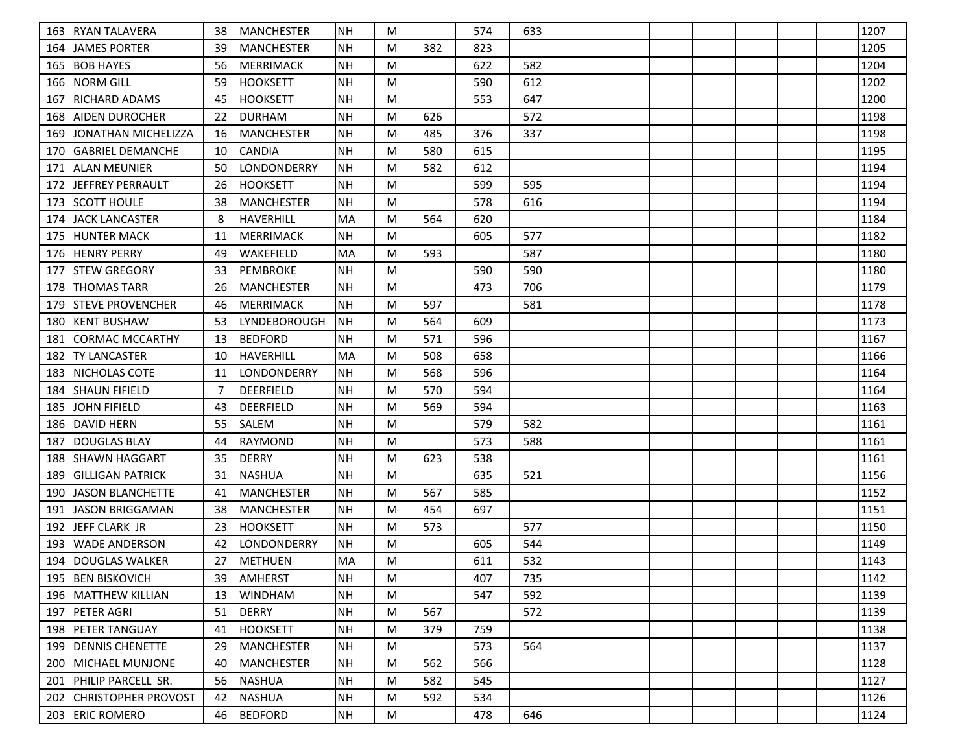| 163 | <b>RYAN TALAVERA</b>       | 38  | <b>IMANCHESTER</b>  | <b>NH</b> | M |     | 574 | 633 |  |  |  | 1207 |
|-----|----------------------------|-----|---------------------|-----------|---|-----|-----|-----|--|--|--|------|
| 164 | <b>JAMES PORTER</b>        | 39  | <b>MANCHESTER</b>   | <b>NH</b> | M | 382 | 823 |     |  |  |  | 1205 |
| 165 | <b>BOB HAYES</b>           | 56  | <b>MERRIMACK</b>    | <b>NH</b> | M |     | 622 | 582 |  |  |  | 1204 |
| 166 | <b>NORM GILL</b>           | 59  | <b>HOOKSETT</b>     | <b>NH</b> | M |     | 590 | 612 |  |  |  | 1202 |
| 167 | <b>IRICHARD ADAMS</b>      | 45  | <b>HOOKSETT</b>     | <b>NH</b> | M |     | 553 | 647 |  |  |  | 1200 |
| 168 | IAIDEN DUROCHER            | 22  | <b>DURHAM</b>       | <b>NH</b> | M | 626 |     | 572 |  |  |  | 1198 |
| 169 | JONATHAN MICHELIZZA        | 16  | <b>MANCHESTER</b>   | <b>NH</b> | M | 485 | 376 | 337 |  |  |  | 1198 |
| 170 | <b>GABRIEL DEMANCHE</b>    | 10  | <b>CANDIA</b>       | <b>NH</b> | M | 580 | 615 |     |  |  |  | 1195 |
| 171 | ALLAN MEUNIER              | 50  | LONDONDERRY         | <b>NH</b> | M | 582 | 612 |     |  |  |  | 1194 |
| 172 | JEFFREY PERRAULT           | 26  | <b>HOOKSETT</b>     | <b>NH</b> | M |     | 599 | 595 |  |  |  | 1194 |
| 173 | <b>SCOTT HOULE</b>         | 38  | MANCHESTER          | <b>NH</b> | M |     | 578 | 616 |  |  |  | 1194 |
| 174 | <b>JACK LANCASTER</b>      | 8   | <b>HAVERHILL</b>    | MA        | M | 564 | 620 |     |  |  |  | 1184 |
| 175 | <b>HUNTER MACK</b>         | 11  | <b>MERRIMACK</b>    | <b>NH</b> | M |     | 605 | 577 |  |  |  | 1182 |
| 176 | <b>HENRY PERRY</b>         | 49  | WAKEFIELD           | MA        | M | 593 |     | 587 |  |  |  | 1180 |
| 177 | <b>ISTEW GREGORY</b>       | 33  | <b>PEMBROKE</b>     | <b>NH</b> | M |     | 590 | 590 |  |  |  | 1180 |
| 178 | <b>THOMAS TARR</b>         | 26  | MANCHESTER          | <b>NH</b> | M |     | 473 | 706 |  |  |  | 1179 |
| 179 | <b>STEVE PROVENCHER</b>    | 46  | MERRIMACK           | <b>NH</b> | M | 597 |     | 581 |  |  |  | 1178 |
| 180 | <b>IKENT BUSHAW</b>        | 53  | <b>LYNDEBOROUGH</b> | NH        | M | 564 | 609 |     |  |  |  | 1173 |
| 181 | CORMAC MCCARTHY            | 13  | <b>BEDFORD</b>      | <b>NH</b> | M | 571 | 596 |     |  |  |  | 1167 |
| 182 | <b>TY LANCASTER</b>        | -10 | <b>HAVERHILL</b>    | <b>MA</b> | M | 508 | 658 |     |  |  |  | 1166 |
| 183 | <b>INICHOLAS COTE</b>      | 11  | LONDONDERRY         | <b>NH</b> | M | 568 | 596 |     |  |  |  | 1164 |
| 184 | <b>SHAUN FIFIELD</b>       | -7  | <b>DEERFIELD</b>    | <b>NH</b> | M | 570 | 594 |     |  |  |  | 1164 |
| 185 | JOHN FIFIELD               | 43  | <b>DEERFIELD</b>    | <b>NH</b> | M | 569 | 594 |     |  |  |  | 1163 |
| 186 | <b>DAVID HERN</b>          | 55  | SALEM               | <b>NH</b> | M |     | 579 | 582 |  |  |  | 1161 |
| 187 | <b>DOUGLAS BLAY</b>        | 44  | <b>RAYMOND</b>      | <b>NH</b> | M |     | 573 | 588 |  |  |  | 1161 |
| 188 | ISHAWN HAGGART             | 35  | <b>DERRY</b>        | <b>NH</b> | M | 623 | 538 |     |  |  |  | 1161 |
| 189 | <b> GILLIGAN PATRICK</b>   | 31  | <b>NASHUA</b>       | <b>NH</b> | M |     | 635 | 521 |  |  |  | 1156 |
| 190 | JASON BLANCHETTE           | 41  | <b>MANCHESTER</b>   | <b>NH</b> | M | 567 | 585 |     |  |  |  | 1152 |
| 191 | JASON BRIGGAMAN            | 38  | <b>MANCHESTER</b>   | <b>NH</b> | M | 454 | 697 |     |  |  |  | 1151 |
| 192 | JEFF CLARK JR              | 23  | <b>HOOKSETT</b>     | <b>NH</b> | M | 573 |     | 577 |  |  |  | 1150 |
| 193 | WADE ANDERSON              | 42  | LONDONDERRY         | <b>NH</b> | M |     | 605 | 544 |  |  |  | 1149 |
| 194 | DOUGLAS WALKER             | 27  | METHUEN             | MA        | M |     | 611 | 532 |  |  |  | 1143 |
|     | 195 BEN BISKOVICH          | 39  | <b>AMHERST</b>      | NH        | M |     | 407 | 735 |  |  |  | 1142 |
|     | 196   MATTHEW KILLIAN      | 13  | <b>WINDHAM</b>      | <b>NH</b> | M |     | 547 | 592 |  |  |  | 1139 |
| 197 | <b>PETER AGRI</b>          | 51  | DERRY               | <b>NH</b> | M | 567 |     | 572 |  |  |  | 1139 |
|     | 198   PETER TANGUAY        | 41  | <b>HOOKSETT</b>     | <b>NH</b> | M | 379 | 759 |     |  |  |  | 1138 |
| 199 | <b>IDENNIS CHENETTE</b>    | 29  | MANCHESTER          | <b>NH</b> | M |     | 573 | 564 |  |  |  | 1137 |
| 200 | <b>IMICHAEL MUNJONE</b>    | 40  | MANCHESTER          | <b>NH</b> | M | 562 | 566 |     |  |  |  | 1128 |
| 201 | <b>PHILIP PARCELL SR.</b>  | 56  | NASHUA              | <b>NH</b> | M | 582 | 545 |     |  |  |  | 1127 |
| 202 | <b>CHRISTOPHER PROVOST</b> | 42  | NASHUA              | <b>NH</b> | M | 592 | 534 |     |  |  |  | 1126 |
|     | 203 ERIC ROMERO            | 46  | <b>BEDFORD</b>      | <b>NH</b> | M |     | 478 | 646 |  |  |  | 1124 |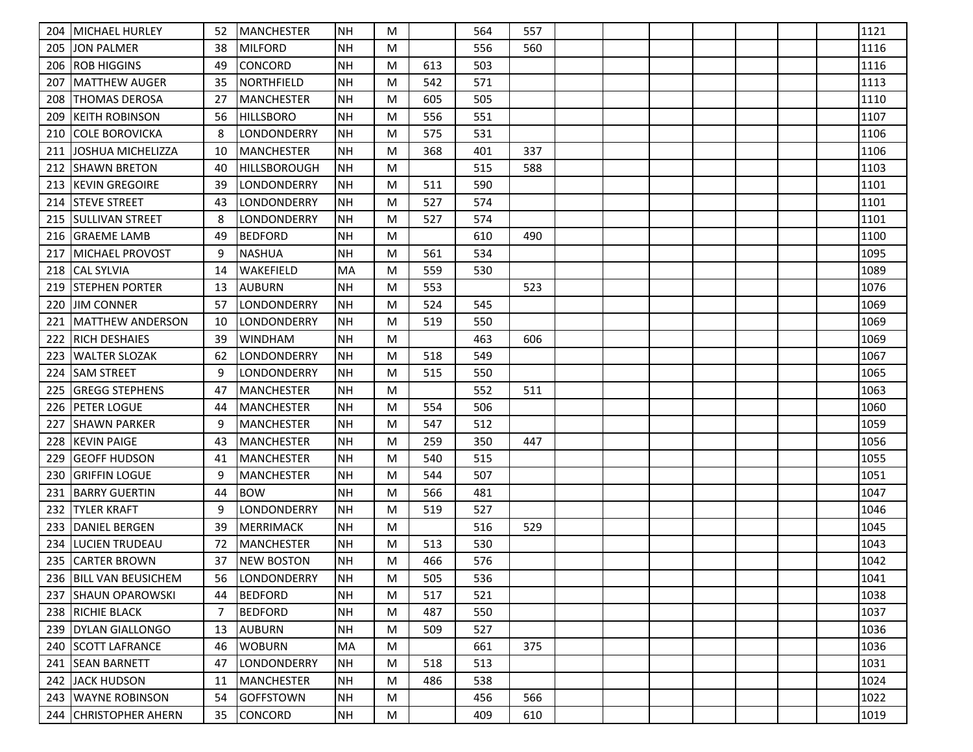| 204 | <b>MICHAEL HURLEY</b>   | 52 | <b>IMANCHESTER</b>  | <b>NH</b>  | M |     | 564 | 557 |  |  |  | 1121 |
|-----|-------------------------|----|---------------------|------------|---|-----|-----|-----|--|--|--|------|
| 205 | JON PALMER              | 38 | <b>MILFORD</b>      | <b>NH</b>  | M |     | 556 | 560 |  |  |  | 1116 |
| 206 | <b>ROB HIGGINS</b>      | 49 | CONCORD             | <b>NH</b>  | M | 613 | 503 |     |  |  |  | 1116 |
| 207 | MATTHEW AUGER           | 35 | NORTHFIELD          | <b>NH</b>  | M | 542 | 571 |     |  |  |  | 1113 |
| 208 | <b>THOMAS DEROSA</b>    | 27 | <b>MANCHESTER</b>   | <b>NH</b>  | M | 605 | 505 |     |  |  |  | 1110 |
| 209 | Ikeith Robinson         | 56 | <b>HILLSBORO</b>    | <b>NH</b>  | M | 556 | 551 |     |  |  |  | 1107 |
| 210 | COLE BOROVICKA          | 8  | LONDONDERRY         | <b>NH</b>  | M | 575 | 531 |     |  |  |  | 1106 |
| 211 | JOSHUA MICHELIZZA       | 10 | MANCHESTER          | <b>NH</b>  | M | 368 | 401 | 337 |  |  |  | 1106 |
| 212 | ISHAWN BRETON           | 40 | <b>HILLSBOROUGH</b> | <b>INH</b> | M |     | 515 | 588 |  |  |  | 1103 |
| 213 | <b>IKEVIN GREGOIRE</b>  | 39 | LONDONDERRY         | <b>NH</b>  | M | 511 | 590 |     |  |  |  | 1101 |
| 214 | <b>STEVE STREET</b>     | 43 | LONDONDERRY         | <b>NH</b>  | M | 527 | 574 |     |  |  |  | 1101 |
| 215 | <b>ISULLIVAN STREET</b> | 8  | LONDONDERRY         | <b>NH</b>  | M | 527 | 574 |     |  |  |  | 1101 |
| 216 | <b>GRAEME LAMB</b>      | 49 | <b>BEDFORD</b>      | <b>NH</b>  | M |     | 610 | 490 |  |  |  | 1100 |
| 217 | MICHAEL PROVOST         | 9  | <b>NASHUA</b>       | <b>NH</b>  | M | 561 | 534 |     |  |  |  | 1095 |
| 218 | <b>CAL SYLVIA</b>       | 14 | <b>WAKEFIELD</b>    | MA         | M | 559 | 530 |     |  |  |  | 1089 |
| 219 | ISTEPHEN PORTER         | 13 | <b>AUBURN</b>       | <b>NH</b>  | M | 553 |     | 523 |  |  |  | 1076 |
| 220 | <b>JIM CONNER</b>       | 57 | LONDONDERRY         | <b>NH</b>  | M | 524 | 545 |     |  |  |  | 1069 |
| 221 | MATTHEW ANDERSON        | 10 | LONDONDERRY         | NH         | M | 519 | 550 |     |  |  |  | 1069 |
| 222 | <b>RICH DESHAIES</b>    | 39 | WINDHAM             | <b>NH</b>  | M |     | 463 | 606 |  |  |  | 1069 |
| 223 | WALTER SLOZAK           | 62 | LONDONDERRY         | <b>NH</b>  | M | 518 | 549 |     |  |  |  | 1067 |
| 224 | <b>SAM STREET</b>       | 9  | LONDONDERRY         | NH         | M | 515 | 550 |     |  |  |  | 1065 |
| 225 | <b>IGREGG STEPHENS</b>  | 47 | <b>MANCHESTER</b>   | <b>NH</b>  | M |     | 552 | 511 |  |  |  | 1063 |
| 226 | <b>IPETER LOGUE</b>     | 44 | <b>MANCHESTER</b>   | <b>NH</b>  | M | 554 | 506 |     |  |  |  | 1060 |
| 227 | ISHAWN PARKER           | 9  | <b>MANCHESTER</b>   | NH         | M | 547 | 512 |     |  |  |  | 1059 |
| 228 | KEVIN PAIGE             | 43 | <b>MANCHESTER</b>   | <b>NH</b>  | M | 259 | 350 | 447 |  |  |  | 1056 |
| 229 | <b>GEOFF HUDSON</b>     | 41 | <b>MANCHESTER</b>   | <b>NH</b>  | M | 540 | 515 |     |  |  |  | 1055 |
| 230 | <b> GRIFFIN LOGUE</b>   | 9  | <b>MANCHESTER</b>   | NH         | M | 544 | 507 |     |  |  |  | 1051 |
| 231 | <b>BARRY GUERTIN</b>    | 44 | <b>BOW</b>          | <b>NH</b>  | M | 566 | 481 |     |  |  |  | 1047 |
| 232 | <b>TYLER KRAFT</b>      | 9  | LONDONDERRY         | <b>NH</b>  | M | 519 | 527 |     |  |  |  | 1046 |
| 233 | <b>DANIEL BERGEN</b>    | 39 | <b>MERRIMACK</b>    | <b>NH</b>  | M |     | 516 | 529 |  |  |  | 1045 |
| 234 | LUCIEN TRUDEAU          | 72 | <b>MANCHESTER</b>   | <b>NH</b>  | M | 513 | 530 |     |  |  |  | 1043 |
| 235 | <b>CARTER BROWN</b>     | 37 | <b>NEW BOSTON</b>   | <b>NH</b>  | M | 466 | 576 |     |  |  |  | 1042 |
|     | 236 BILL VAN BEUSICHEM  | 56 | <b>LONDONDERRY</b>  | NH         | M | 505 | 536 |     |  |  |  | 1041 |
| 237 | <b>SHAUN OPAROWSKI</b>  | 44 | <b>BEDFORD</b>      | <b>NH</b>  | M | 517 | 521 |     |  |  |  | 1038 |
|     | 238 RICHIE BLACK        | -7 | <b>BEDFORD</b>      | <b>NH</b>  | M | 487 | 550 |     |  |  |  | 1037 |
|     | 239 DYLAN GIALLONGO     | 13 | AUBURN              | <b>NH</b>  | M | 509 | 527 |     |  |  |  | 1036 |
| 240 | <b>SCOTT LAFRANCE</b>   | 46 | <b>WOBURN</b>       | MA         | M |     | 661 | 375 |  |  |  | 1036 |
| 241 | <b>SEAN BARNETT</b>     | 47 | LONDONDERRY         | <b>NH</b>  | M | 518 | 513 |     |  |  |  | 1031 |
| 242 | JACK HUDSON             | 11 | MANCHESTER          | <b>NH</b>  | M | 486 | 538 |     |  |  |  | 1024 |
| 243 | <b>WAYNE ROBINSON</b>   | 54 | GOFFSTOWN           | NH         | M |     | 456 | 566 |  |  |  | 1022 |
|     | 244 CHRISTOPHER AHERN   | 35 | <b>CONCORD</b>      | NH         | M |     | 409 | 610 |  |  |  | 1019 |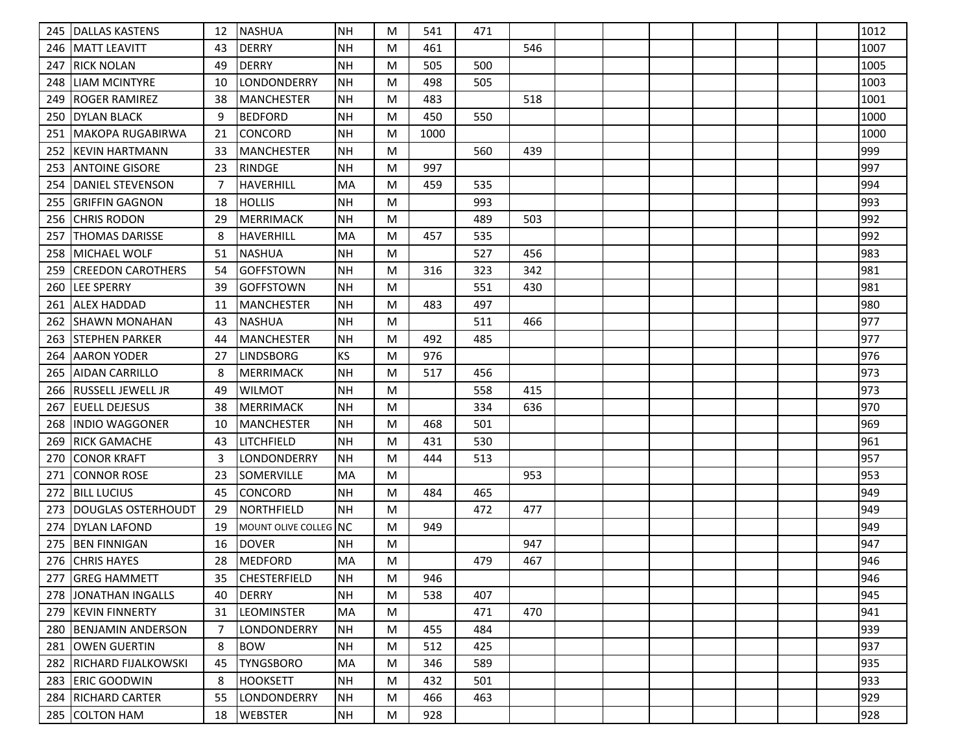| 245 | DALLAS KASTENS           | 12 | NASHUA                | <b>NH</b> | M | 541  | 471 |     |  |  |  | 1012 |
|-----|--------------------------|----|-----------------------|-----------|---|------|-----|-----|--|--|--|------|
| 246 | IMATT LEAVITT            | 43 | <b>DERRY</b>          | <b>NH</b> | M | 461  |     | 546 |  |  |  | 1007 |
| 247 | <b>RICK NOLAN</b>        | 49 | <b>DERRY</b>          | <b>NH</b> | M | 505  | 500 |     |  |  |  | 1005 |
| 248 | <b>LIAM MCINTYRE</b>     | 10 | LONDONDERRY           | <b>NH</b> | M | 498  | 505 |     |  |  |  | 1003 |
| 249 | <b>ROGER RAMIREZ</b>     | 38 | MANCHESTER            | <b>NH</b> | M | 483  |     | 518 |  |  |  | 1001 |
| 250 | <b>DYLAN BLACK</b>       | 9  | <b>BEDFORD</b>        | <b>NH</b> | M | 450  | 550 |     |  |  |  | 1000 |
| 251 | MAKOPA RUGABIRWA         | 21 | <b>CONCORD</b>        | <b>NH</b> | M | 1000 |     |     |  |  |  | 1000 |
| 252 | <b>KEVIN HARTMANN</b>    | 33 | MANCHESTER            | <b>NH</b> | M |      | 560 | 439 |  |  |  | 999  |
| 253 | IANTOINE GISORE          | 23 | <b>RINDGE</b>         | <b>NH</b> | M | 997  |     |     |  |  |  | 997  |
| 254 | DANIEL STEVENSON         | -7 | HAVERHILL             | <b>MA</b> | M | 459  | 535 |     |  |  |  | 994  |
| 255 | <b>GRIFFIN GAGNON</b>    | 18 | <b>HOLLIS</b>         | <b>NH</b> | M |      | 993 |     |  |  |  | 993  |
| 256 | <b>CHRIS RODON</b>       | 29 | MERRIMACK             | <b>NH</b> | M |      | 489 | 503 |  |  |  | 992  |
| 257 | ITHOMAS DARISSE          | 8  | <b>HAVERHILL</b>      | MA        | M | 457  | 535 |     |  |  |  | 992  |
| 258 | <b>IMICHAEL WOLF</b>     | 51 | <b>NASHUA</b>         | <b>NH</b> | M |      | 527 | 456 |  |  |  | 983  |
| 259 | <b>CREEDON CAROTHERS</b> | 54 | <b>GOFFSTOWN</b>      | NH        | M | 316  | 323 | 342 |  |  |  | 981  |
| 260 | <b>LEE SPERRY</b>        | 39 | <b>GOFFSTOWN</b>      | <b>NH</b> | M |      | 551 | 430 |  |  |  | 981  |
| 261 | <b>ALEX HADDAD</b>       | 11 | MANCHESTER            | <b>NH</b> | M | 483  | 497 |     |  |  |  | 980  |
| 262 | <b>SHAWN MONAHAN</b>     | 43 | <b>NASHUA</b>         | <b>NH</b> | M |      | 511 | 466 |  |  |  | 977  |
| 263 | <b>STEPHEN PARKER</b>    | 44 | <b>MANCHESTER</b>     | <b>NH</b> | M | 492  | 485 |     |  |  |  | 977  |
| 264 | AARON YODER              | 27 | <b>LINDSBORG</b>      | <b>KS</b> | M | 976  |     |     |  |  |  | 976  |
| 265 | AIDAN CARRILLO           | 8  | MERRIMACK             | <b>NH</b> | M | 517  | 456 |     |  |  |  | 973  |
| 266 | <b>RUSSELL JEWELL JR</b> | 49 | <b>WILMOT</b>         | <b>NH</b> | M |      | 558 | 415 |  |  |  | 973  |
| 267 | <b>EUELL DEJESUS</b>     | 38 | MERRIMACK             | <b>NH</b> | M |      | 334 | 636 |  |  |  | 970  |
| 268 | IINDIO WAGGONER          | 10 | <b>MANCHESTER</b>     | <b>NH</b> | M | 468  | 501 |     |  |  |  | 969  |
| 269 | <b>RICK GAMACHE</b>      | 43 | LITCHFIELD            | <b>NH</b> | M | 431  | 530 |     |  |  |  | 961  |
| 270 | <b>CONOR KRAFT</b>       | 3  | LONDONDERRY           | <b>NH</b> | M | 444  | 513 |     |  |  |  | 957  |
| 271 | CONNOR ROSE              | 23 | <b>SOMERVILLE</b>     | MA        | M |      |     | 953 |  |  |  | 953  |
| 272 | IBILL LUCIUS             | 45 | <b>CONCORD</b>        | <b>NH</b> | M | 484  | 465 |     |  |  |  | 949  |
| 273 | DOUGLAS OSTERHOUDT       | 29 | NORTHFIELD            | <b>NH</b> | M |      | 472 | 477 |  |  |  | 949  |
| 274 | <b>DYLAN LAFOND</b>      | 19 | MOUNT OLIVE COLLEG NC |           | M | 949  |     |     |  |  |  | 949  |
| 275 | <b>BEN FINNIGAN</b>      | 16 | <b>DOVER</b>          | <b>NH</b> | M |      |     | 947 |  |  |  | 947  |
| 276 | <b>CHRIS HAYES</b>       | 28 | <b>MEDFORD</b>        | MA        | M |      | 479 | 467 |  |  |  | 946  |
|     | 277 GREG HAMMETT         | 35 | <b>CHESTERFIELD</b>   | NH        | M | 946  |     |     |  |  |  | 946  |
| 278 | JONATHAN INGALLS         | 40 | <b>DERRY</b>          | <b>NH</b> | M | 538  | 407 |     |  |  |  | 945  |
|     | 279 KEVIN FINNERTY       | 31 | <b>LEOMINSTER</b>     | MA        | M |      | 471 | 470 |  |  |  | 941  |
| 280 | <b>BENJAMIN ANDERSON</b> | -7 | LONDONDERRY           | <b>NH</b> | M | 455  | 484 |     |  |  |  | 939  |
| 281 | <b>JOWEN GUERTIN</b>     | 8  | <b>BOW</b>            | <b>NH</b> | M | 512  | 425 |     |  |  |  | 937  |
| 282 | IRICHARD FIJALKOWSKI     | 45 | <b>TYNGSBORO</b>      | MA        | M | 346  | 589 |     |  |  |  | 935  |
| 283 | <b>ERIC GOODWIN</b>      | 8  | <b>HOOKSETT</b>       | <b>NH</b> | M | 432  | 501 |     |  |  |  | 933  |
|     | 284   RICHARD CARTER     | 55 | LONDONDERRY           | NH        | M | 466  | 463 |     |  |  |  | 929  |
|     | 285 COLTON HAM           | 18 | <b>WEBSTER</b>        | <b>NH</b> | M | 928  |     |     |  |  |  | 928  |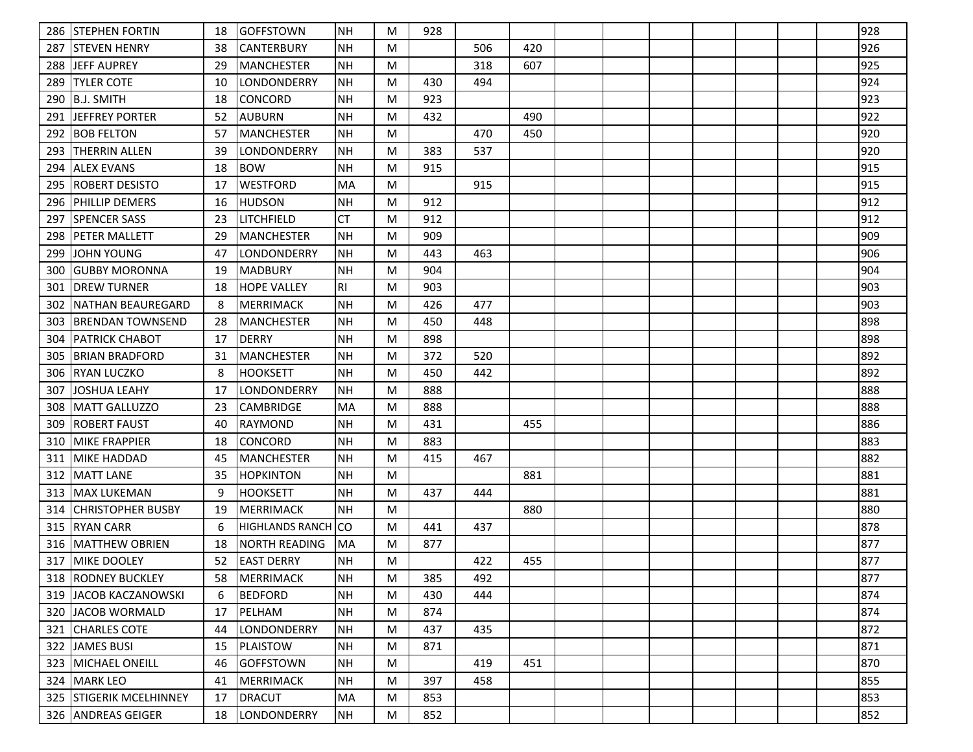|     | 286 STEPHEN FORTIN       | 18 | <b>GOFFSTOWN</b>       | NH        | M | 928 |     |     |  |  |  | 928 |
|-----|--------------------------|----|------------------------|-----------|---|-----|-----|-----|--|--|--|-----|
| 287 | <b>ISTEVEN HENRY</b>     | 38 | <b>CANTERBURY</b>      | <b>NH</b> | M |     | 506 | 420 |  |  |  | 926 |
| 288 | IJEFF AUPREY             | 29 | MANCHESTER             | <b>NH</b> | M |     | 318 | 607 |  |  |  | 925 |
| 289 | <b>TYLER COTE</b>        | 10 | ILONDONDERRY           | NH        | M | 430 | 494 |     |  |  |  | 924 |
| 290 | B.J. SMITH               | 18 | <b>CONCORD</b>         | <b>NH</b> | M | 923 |     |     |  |  |  | 923 |
| 291 | <b>IJEFFREY PORTER</b>   | 52 | <b>AUBURN</b>          | <b>NH</b> | M | 432 |     | 490 |  |  |  | 922 |
| 292 | IBOB FELTON              | 57 | <b>MANCHESTER</b>      | <b>NH</b> | M |     | 470 | 450 |  |  |  | 920 |
| 293 | <b>THERRIN ALLEN</b>     | 39 | LONDONDERRY            | <b>NH</b> | M | 383 | 537 |     |  |  |  | 920 |
| 294 | <b>ALEX EVANS</b>        | 18 | <b>BOW</b>             | <b>NH</b> | M | 915 |     |     |  |  |  | 915 |
| 295 | IROBERT DESISTO          | 17 | <b>WESTFORD</b>        | MA        | M |     | 915 |     |  |  |  | 915 |
| 296 | <b>PHILLIP DEMERS</b>    | 16 | <b>HUDSON</b>          | <b>NH</b> | M | 912 |     |     |  |  |  | 912 |
| 297 | <b>SPENCER SASS</b>      | 23 | ILITCHFIELD            | <b>CT</b> | M | 912 |     |     |  |  |  | 912 |
| 298 | PETER MALLETT            | 29 | MANCHESTER             | <b>NH</b> | M | 909 |     |     |  |  |  | 909 |
| 299 | <b>JOHN YOUNG</b>        | 47 | <b>LONDONDERRY</b>     | <b>NH</b> | M | 443 | 463 |     |  |  |  | 906 |
| 300 | <b>IGUBBY MORONNA</b>    | 19 | <b>MADBURY</b>         | NH        | M | 904 |     |     |  |  |  | 904 |
| 301 | IDREW TURNER             | 18 | <b>HOPE VALLEY</b>     | RI        | M | 903 |     |     |  |  |  | 903 |
| 302 | INATHAN BEAUREGARD       | 8  | <b>MERRIMACK</b>       | <b>NH</b> | M | 426 | 477 |     |  |  |  | 903 |
| 303 | IBRENDAN TOWNSEND        | 28 | <b>IMANCHESTER</b>     | NH        | M | 450 | 448 |     |  |  |  | 898 |
| 304 | <b>PATRICK CHABOT</b>    | 17 | <b>DERRY</b>           | <b>NH</b> | M | 898 |     |     |  |  |  | 898 |
| 305 | BRIAN BRADFORD           | 31 | <b>MANCHESTER</b>      | <b>NH</b> | M | 372 | 520 |     |  |  |  | 892 |
| 306 | <b>RYAN LUCZKO</b>       | 8  | <b>HOOKSETT</b>        | <b>NH</b> | M | 450 | 442 |     |  |  |  | 892 |
| 307 | <b>JOSHUA LEAHY</b>      | 17 | LONDONDERRY            | <b>NH</b> | M | 888 |     |     |  |  |  | 888 |
| 308 | MATT GALLUZZO            | 23 | <b>CAMBRIDGE</b>       | MA        | M | 888 |     |     |  |  |  | 888 |
| 309 | IROBERT FAUST            | 40 | RAYMOND                | <b>NH</b> | M | 431 |     | 455 |  |  |  | 886 |
| 310 | <b>MIKE FRAPPIER</b>     | 18 | CONCORD                | <b>NH</b> | M | 883 |     |     |  |  |  | 883 |
| 311 | <b>MIKE HADDAD</b>       | 45 | MANCHESTER             | NH        | M | 415 | 467 |     |  |  |  | 882 |
| 312 | <b>MATT LANE</b>         | 35 | <b>HOPKINTON</b>       | <b>NH</b> | M |     |     | 881 |  |  |  | 881 |
| 313 | lMAX LUKEMAN             | 9  | <b>HOOKSETT</b>        | <b>NH</b> | M | 437 | 444 |     |  |  |  | 881 |
| 314 | <b>CHRISTOPHER BUSBY</b> | 19 | <b>IMERRIMACK</b>      | <b>NH</b> | M |     |     | 880 |  |  |  | 880 |
| 315 | <b>RYAN CARR</b>         | 6  | <b>HIGHLANDS RANCH</b> | lco       | M | 441 | 437 |     |  |  |  | 878 |
| 316 | MATTHEW OBRIEN           | 18 | <b>NORTH READING</b>   | MA        | M | 877 |     |     |  |  |  | 877 |
| 317 | <b>MIKE DOOLEY</b>       | 52 | <b>LEAST DERRY</b>     | <b>NH</b> | M |     | 422 | 455 |  |  |  | 877 |
|     | 318   RODNEY BUCKLEY     | 58 | MERRIMACK              | NH        | M | 385 | 492 |     |  |  |  | 877 |
|     | 319 JACOB KACZANOWSKI    | 6  | <b>BEDFORD</b>         | <b>NH</b> | M | 430 | 444 |     |  |  |  | 874 |
|     | 320 JJACOB WORMALD       | 17 | PELHAM                 | <b>NH</b> | M | 874 |     |     |  |  |  | 874 |
|     | 321 CHARLES COTE         | 44 | LONDONDERRY            | <b>NH</b> | M | 437 | 435 |     |  |  |  | 872 |
| 322 | JAMES BUSI               | 15 | PLAISTOW               | NH        | M | 871 |     |     |  |  |  | 871 |
| 323 | <b>MICHAEL ONEILL</b>    | 46 | <b>GOFFSTOWN</b>       | <b>NH</b> | M |     | 419 | 451 |  |  |  | 870 |
|     | 324   MARK LEO           | 41 | MERRIMACK              | <b>NH</b> | M | 397 | 458 |     |  |  |  | 855 |
|     | 325 STIGERIK MCELHINNEY  | 17 | <b>DRACUT</b>          | MA        | M | 853 |     |     |  |  |  | 853 |
|     | 326 ANDREAS GEIGER       | 18 | LONDONDERRY            | NH        | M | 852 |     |     |  |  |  | 852 |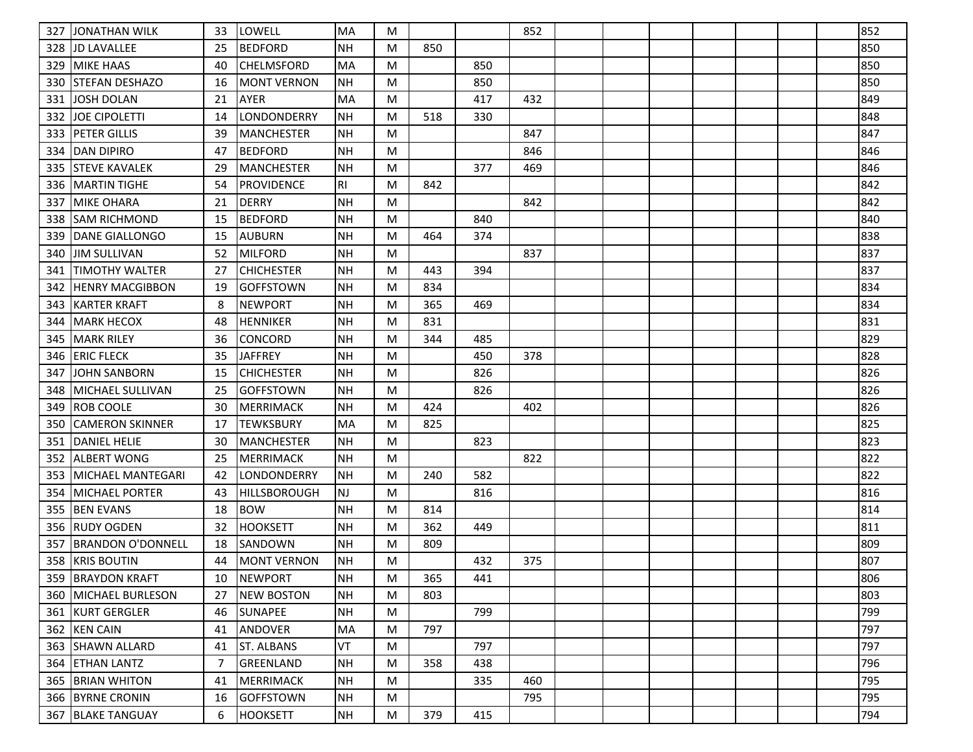| 327 | JONATHAN WILK            | 33 | llowell            | MA             | M |     |     | 852 |  |  |  | 852 |
|-----|--------------------------|----|--------------------|----------------|---|-----|-----|-----|--|--|--|-----|
| 328 | IJD LAVALLEE             | 25 | <b>BEDFORD</b>     | <b>NH</b>      | M | 850 |     |     |  |  |  | 850 |
| 329 | <b>MIKE HAAS</b>         | 40 | <b>CHELMSFORD</b>  | MA             | M |     | 850 |     |  |  |  | 850 |
| 330 | <b>STEFAN DESHAZO</b>    | 16 | <b>MONT VERNON</b> | <b>NH</b>      | M |     | 850 |     |  |  |  | 850 |
| 331 | <b>JOSH DOLAN</b>        | 21 | <b>AYER</b>        | MA             | M |     | 417 | 432 |  |  |  | 849 |
| 332 | <b>JOE CIPOLETTI</b>     | 14 | LONDONDERRY        | <b>NH</b>      | M | 518 | 330 |     |  |  |  | 848 |
| 333 | <b>PETER GILLIS</b>      | 39 | <b>MANCHESTER</b>  | <b>NH</b>      | M |     |     | 847 |  |  |  | 847 |
| 334 | <b>DAN DIPIRO</b>        | 47 | <b>BEDFORD</b>     | <b>NH</b>      | M |     |     | 846 |  |  |  | 846 |
| 335 | <b>STEVE KAVALEK</b>     | 29 | <b>MANCHESTER</b>  | <b>NH</b>      | M |     | 377 | 469 |  |  |  | 846 |
| 336 | IMARTIN TIGHE            | 54 | <b>PROVIDENCE</b>  | R <sub>l</sub> | M | 842 |     |     |  |  |  | 842 |
| 337 | <b>MIKE OHARA</b>        | 21 | <b>DERRY</b>       | <b>NH</b>      | M |     |     | 842 |  |  |  | 842 |
| 338 | <b>ISAM RICHMOND</b>     | 15 | <b>BEDFORD</b>     | <b>NH</b>      | M |     | 840 |     |  |  |  | 840 |
| 339 | DANE GIALLONGO           | 15 | <b>AUBURN</b>      | <b>NH</b>      | M | 464 | 374 |     |  |  |  | 838 |
| 340 | <b>JIM SULLIVAN</b>      | 52 | MILFORD            | <b>NH</b>      | M |     |     | 837 |  |  |  | 837 |
| 341 | <b>ITIMOTHY WALTER</b>   | 27 | <b>CHICHESTER</b>  | <b>NH</b>      | M | 443 | 394 |     |  |  |  | 837 |
| 342 | IHENRY MACGIBBON         | 19 | <b>GOFFSTOWN</b>   | <b>NH</b>      | M | 834 |     |     |  |  |  | 834 |
| 343 | <b>KARTER KRAFT</b>      | 8  | <b>NEWPORT</b>     | <b>NH</b>      | M | 365 | 469 |     |  |  |  | 834 |
| 344 | <b>MARK HECOX</b>        | 48 | <b>HENNIKER</b>    | <b>NH</b>      | M | 831 |     |     |  |  |  | 831 |
| 345 | <b>MARK RILEY</b>        | 36 | CONCORD            | <b>NH</b>      | M | 344 | 485 |     |  |  |  | 829 |
| 346 | <b>ERIC FLECK</b>        | 35 | <b>JAFFREY</b>     | <b>NH</b>      | M |     | 450 | 378 |  |  |  | 828 |
| 347 | JOHN SANBORN             | 15 | <b>CHICHESTER</b>  | NH             | M |     | 826 |     |  |  |  | 826 |
| 348 | MICHAEL SULLIVAN         | 25 | <b>GOFFSTOWN</b>   | <b>NH</b>      | M |     | 826 |     |  |  |  | 826 |
| 349 | <b>ROB COOLE</b>         | 30 | <b>MERRIMACK</b>   | <b>NH</b>      | M | 424 |     | 402 |  |  |  | 826 |
| 350 | <b>CAMERON SKINNER</b>   | 17 | <b>ITEWKSBURY</b>  | MA             | M | 825 |     |     |  |  |  | 825 |
| 351 | <b>DANIEL HELIE</b>      | 30 | <b>MANCHESTER</b>  | <b>NH</b>      | M |     | 823 |     |  |  |  | 823 |
| 352 | <b>ALBERT WONG</b>       | 25 | <b>MERRIMACK</b>   | <b>NH</b>      | M |     |     | 822 |  |  |  | 822 |
| 353 | <b>MICHAEL MANTEGARI</b> | 42 | LONDONDERRY        | <b>NH</b>      | M | 240 | 582 |     |  |  |  | 822 |
| 354 | <b>MICHAEL PORTER</b>    | 43 | HILLSBOROUGH       | <b>NJ</b>      | M |     | 816 |     |  |  |  | 816 |
| 355 | <b>BEN EVANS</b>         | 18 | <b>BOW</b>         | <b>NH</b>      | M | 814 |     |     |  |  |  | 814 |
| 356 | <b>RUDY OGDEN</b>        | 32 | <b>HOOKSETT</b>    | <b>NH</b>      | M | 362 | 449 |     |  |  |  | 811 |
| 357 | <b>BRANDON O'DONNELL</b> | 18 | SANDOWN            | <b>NH</b>      | M | 809 |     |     |  |  |  | 809 |
|     | 358 KRIS BOUTIN          | 44 | <b>MONT VERNON</b> | <b>NH</b>      | M |     | 432 | 375 |  |  |  | 807 |
|     | 359 BRAYDON KRAFT        | 10 | <b>INEWPORT</b>    | NH             | M | 365 | 441 |     |  |  |  | 806 |
| 360 | <b>MICHAEL BURLESON</b>  | 27 | <b>NEW BOSTON</b>  | <b>NH</b>      | M | 803 |     |     |  |  |  | 803 |
|     | 361 KURT GERGLER         | 46 | SUNAPEE            | <b>NH</b>      | M |     | 799 |     |  |  |  | 799 |
|     | 362 KEN CAIN             | 41 | ANDOVER            | MA             | M | 797 |     |     |  |  |  | 797 |
| 363 | SHAWN ALLARD             | 41 | <b>ST. ALBANS</b>  | VT             | M |     | 797 |     |  |  |  | 797 |
| 364 | <b>ETHAN LANTZ</b>       | 7  | <b>GREENLAND</b>   | NH             | M | 358 | 438 |     |  |  |  | 796 |
| 365 | <b>BRIAN WHITON</b>      | 41 | MERRIMACK          | <b>NH</b>      | M |     | 335 | 460 |  |  |  | 795 |
|     | 366 BYRNE CRONIN         | 16 | GOFFSTOWN          | NH             | M |     |     | 795 |  |  |  | 795 |
|     | 367 BLAKE TANGUAY        | 6  | <b>HOOKSETT</b>    | NH             | M | 379 | 415 |     |  |  |  | 794 |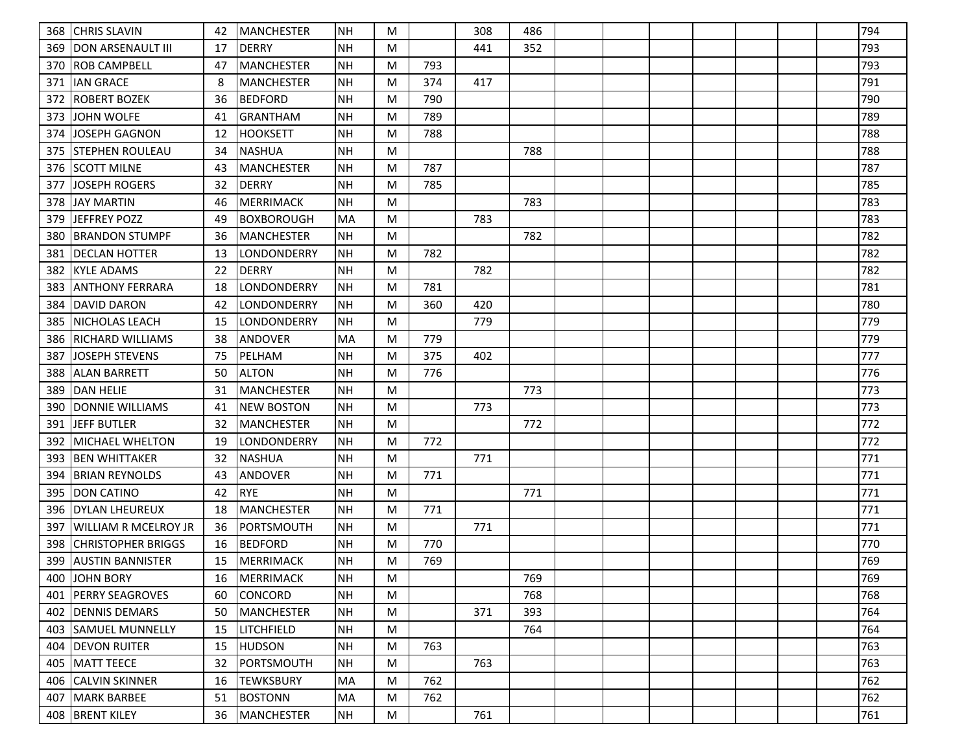| 368 | <b>CHRIS SLAVIN</b>        | 42 | MANCHESTER        | NH        | M |     | 308 | 486 |  |  |  | 794 |
|-----|----------------------------|----|-------------------|-----------|---|-----|-----|-----|--|--|--|-----|
| 369 | <b>IDON ARSENAULT III</b>  | 17 | <b>DERRY</b>      | <b>NH</b> | M |     | 441 | 352 |  |  |  | 793 |
| 370 | <b>ROB CAMPBELL</b>        | 47 | MANCHESTER        | <b>NH</b> | M | 793 |     |     |  |  |  | 793 |
| 371 | <b>IAN GRACE</b>           | 8  | <b>MANCHESTER</b> | NH        | M | 374 | 417 |     |  |  |  | 791 |
| 372 | <b>IROBERT BOZEK</b>       | 36 | <b>BEDFORD</b>    | <b>NH</b> | M | 790 |     |     |  |  |  | 790 |
| 373 | <b>JOHN WOLFE</b>          | 41 | GRANTHAM          | <b>NH</b> | M | 789 |     |     |  |  |  | 789 |
| 374 | JOSEPH GAGNON              | 12 | <b>HOOKSETT</b>   | <b>NH</b> | M | 788 |     |     |  |  |  | 788 |
| 375 | <b>STEPHEN ROULEAU</b>     | 34 | <b>NASHUA</b>     | <b>NH</b> | M |     |     | 788 |  |  |  | 788 |
| 376 | <b>SCOTT MILNE</b>         | 43 | <b>MANCHESTER</b> | <b>NH</b> | M | 787 |     |     |  |  |  | 787 |
| 377 | <b>JOSEPH ROGERS</b>       | 32 | <b>DERRY</b>      | <b>NH</b> | M | 785 |     |     |  |  |  | 785 |
| 378 | <b>JAY MARTIN</b>          | 46 | <b>MERRIMACK</b>  | <b>NH</b> | M |     |     | 783 |  |  |  | 783 |
| 379 | JEFFREY POZZ               | 49 | <b>BOXBOROUGH</b> | MA        | M |     | 783 |     |  |  |  | 783 |
| 380 | BRANDON STUMPF             | 36 | MANCHESTER        | <b>NH</b> | M |     |     | 782 |  |  |  | 782 |
| 381 | <b>DECLAN HOTTER</b>       | 13 | LONDONDERRY       | <b>NH</b> | M | 782 |     |     |  |  |  | 782 |
| 382 | <b>KYLE ADAMS</b>          | 22 | <b>DERRY</b>      | NH        | M |     | 782 |     |  |  |  | 782 |
| 383 | ANTHONY FERRARA            | 18 | LONDONDERRY       | <b>NH</b> | M | 781 |     |     |  |  |  | 781 |
| 384 | <b>DAVID DARON</b>         | 42 | LONDONDERRY       | <b>NH</b> | M | 360 | 420 |     |  |  |  | 780 |
| 385 | <b>NICHOLAS LEACH</b>      | 15 | LONDONDERRY       | NH        | M |     | 779 |     |  |  |  | 779 |
| 386 | RICHARD WILLIAMS           | 38 | <b>ANDOVER</b>    | MA        | M | 779 |     |     |  |  |  | 779 |
| 387 | <b>JOSEPH STEVENS</b>      | 75 | PELHAM            | <b>NH</b> | M | 375 | 402 |     |  |  |  | 777 |
| 388 | <b>ALAN BARRETT</b>        | 50 | <b>ALTON</b>      | NH        | M | 776 |     |     |  |  |  | 776 |
| 389 | <b>DAN HELIE</b>           | 31 | <b>MANCHESTER</b> | <b>NH</b> | M |     |     | 773 |  |  |  | 773 |
| 390 | <b>IDONNIE WILLIAMS</b>    | 41 | <b>NEW BOSTON</b> | <b>NH</b> | M |     | 773 |     |  |  |  | 773 |
| 391 | <b>JEFF BUTLER</b>         | 32 | MANCHESTER        | NH        | M |     |     | 772 |  |  |  | 772 |
| 392 | <b>MICHAEL WHELTON</b>     | 19 | LONDONDERRY       | <b>NH</b> | M | 772 |     |     |  |  |  | 772 |
| 393 | <b>BEN WHITTAKER</b>       | 32 | <b>NASHUA</b>     | <b>NH</b> | M |     | 771 |     |  |  |  | 771 |
| 394 | <b>BRIAN REYNOLDS</b>      | 43 | <b>ANDOVER</b>    | <b>NH</b> | M | 771 |     |     |  |  |  | 771 |
| 395 | <b>DON CATINO</b>          | 42 | <b>RYE</b>        | <b>NH</b> | M |     |     | 771 |  |  |  | 771 |
| 396 | <b>DYLAN LHEUREUX</b>      | 18 | MANCHESTER        | NH        | M | 771 |     |     |  |  |  | 771 |
| 397 | WILLIAM R MCELROY JR       | 36 | PORTSMOUTH        | <b>NH</b> | M |     | 771 |     |  |  |  | 771 |
| 398 | <b>ICHRISTOPHER BRIGGS</b> | 16 | <b>BEDFORD</b>    | <b>NH</b> | M | 770 |     |     |  |  |  | 770 |
| 399 | <b>AUSTIN BANNISTER</b>    | 15 | MERRIMACK         | <b>NH</b> | M | 769 |     |     |  |  |  | 769 |
|     | 400 JJOHN BORY             | 16 | <b>MERRIMACK</b>  | NH        | M |     |     | 769 |  |  |  | 769 |
| 401 | <b>PERRY SEAGROVES</b>     | 60 | <b>CONCORD</b>    | <b>NH</b> | M |     |     | 768 |  |  |  | 768 |
| 402 | <b>IDENNIS DEMARS</b>      | 50 | MANCHESTER        | NH        | M |     | 371 | 393 |  |  |  | 764 |
| 403 | <b>SAMUEL MUNNELLY</b>     | 15 | <b>LITCHFIELD</b> | NH        | M |     |     | 764 |  |  |  | 764 |
| 404 | <b>IDEVON RUITER</b>       | 15 | <b>HUDSON</b>     | <b>NH</b> | M | 763 |     |     |  |  |  | 763 |
| 405 | MATT TEECE                 | 32 | PORTSMOUTH        | NH        | M |     | 763 |     |  |  |  | 763 |
| 406 | <b>CALVIN SKINNER</b>      | 16 | <b>TEWKSBURY</b>  | MA        | M | 762 |     |     |  |  |  | 762 |
| 407 | <b>MARK BARBEE</b>         | 51 | <b>BOSTONN</b>    | MA        | M | 762 |     |     |  |  |  | 762 |
|     | 408   BRENT KILEY          | 36 | MANCHESTER        | NH        | M |     | 761 |     |  |  |  | 761 |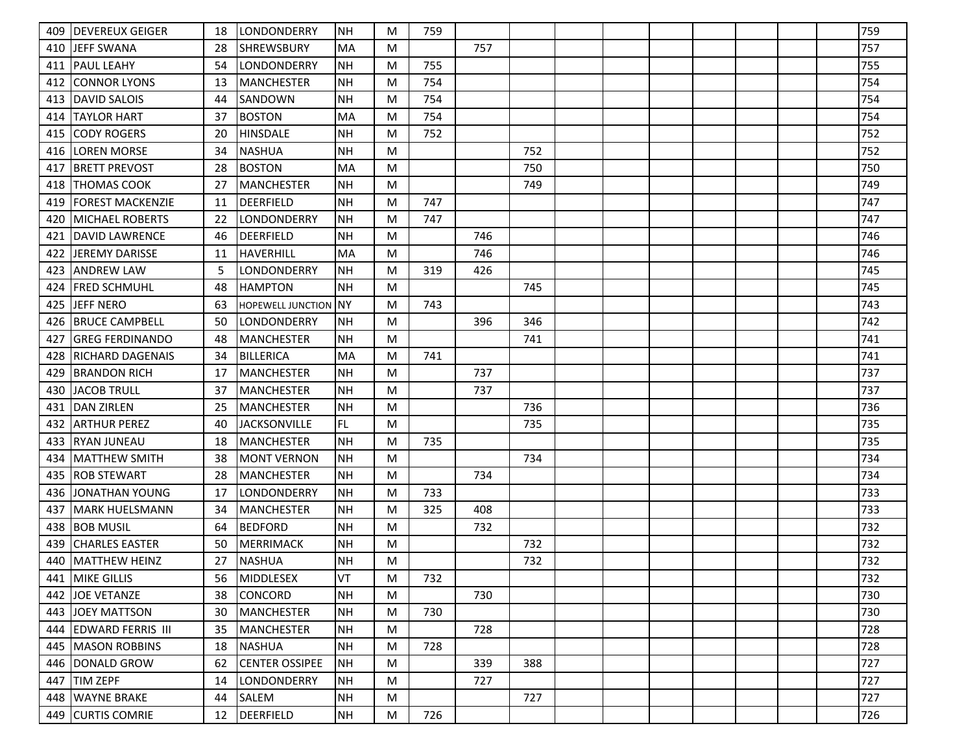|     | 409   DEVEREUX GEIGER    | 18 | <b>LONDONDERRY</b>       | <b>NH</b>  | M | 759 |     |     |  |  |  | 759 |
|-----|--------------------------|----|--------------------------|------------|---|-----|-----|-----|--|--|--|-----|
| 410 | <b>JEFF SWANA</b>        | 28 | <b>SHREWSBURY</b>        | <b>MA</b>  | M |     | 757 |     |  |  |  | 757 |
| 411 | <b>IPAUL LEAHY</b>       | 54 | LONDONDERRY              | ΝH         | M | 755 |     |     |  |  |  | 755 |
| 412 | <b>CONNOR LYONS</b>      | 13 | <b>MANCHESTER</b>        | <b>NH</b>  | M | 754 |     |     |  |  |  | 754 |
|     | 413   DAVID SALOIS       | 44 | SANDOWN                  | <b>NH</b>  | M | 754 |     |     |  |  |  | 754 |
| 414 | <b>TAYLOR HART</b>       | 37 | <b>BOSTON</b>            | MA         | M | 754 |     |     |  |  |  | 754 |
| 415 | CODY ROGERS              | 20 | <b>HINSDALE</b>          | <b>NH</b>  | M | 752 |     |     |  |  |  | 752 |
|     | 416 LOREN MORSE          | 34 | <b>NASHUA</b>            | <b>NH</b>  | M |     |     | 752 |  |  |  | 752 |
| 417 | <b>IBRETT PREVOST</b>    | 28 | <b>BOSTON</b>            | MA         | M |     |     | 750 |  |  |  | 750 |
| 418 | <b>ITHOMAS COOK</b>      | 27 | <b>MANCHESTER</b>        | <b>NH</b>  | M |     |     | 749 |  |  |  | 749 |
| 419 | <b>FOREST MACKENZIE</b>  | 11 | <b>DEERFIELD</b>         | <b>NH</b>  | M | 747 |     |     |  |  |  | 747 |
| 420 | <b>MICHAEL ROBERTS</b>   | 22 | LONDONDERRY              | <b>NH</b>  | M | 747 |     |     |  |  |  | 747 |
| 421 | DAVID LAWRENCE           | 46 | <b>DEERFIELD</b>         | ΝH         | M |     | 746 |     |  |  |  | 746 |
| 422 | JEREMY DARISSE           | 11 | HAVERHILL                | MA         | M |     | 746 |     |  |  |  | 746 |
| 423 | <b>JANDREW LAW</b>       | 5  | LONDONDERRY              | <b>NH</b>  | M | 319 | 426 |     |  |  |  | 745 |
| 424 | FRED SCHMUHL             | 48 | <b>HAMPTON</b>           | <b>NH</b>  | M |     |     | 745 |  |  |  | 745 |
| 425 | <b>JEFF NERO</b>         | 63 | <b>HOPEWELL JUNCTION</b> | INY        | M | 743 |     |     |  |  |  | 743 |
| 426 | <b>BRUCE CAMPBELL</b>    | 50 | <b>LONDONDERRY</b>       | <b>NH</b>  | M |     | 396 | 346 |  |  |  | 742 |
| 427 | <b>GREG FERDINANDO</b>   | 48 | <b>MANCHESTER</b>        | <b>NH</b>  | M |     |     | 741 |  |  |  | 741 |
| 428 | <b>IRICHARD DAGENAIS</b> | 34 | <b>BILLERICA</b>         | MA         | M | 741 |     |     |  |  |  | 741 |
| 429 | <b>BRANDON RICH</b>      | 17 | <b>MANCHESTER</b>        | <b>NH</b>  | M |     | 737 |     |  |  |  | 737 |
| 430 | <b>JACOB TRULL</b>       | 37 | <b>MANCHESTER</b>        | <b>NH</b>  | M |     | 737 |     |  |  |  | 737 |
| 431 | <b>DAN ZIRLEN</b>        | 25 | <b>MANCHESTER</b>        | <b>NH</b>  | M |     |     | 736 |  |  |  | 736 |
| 432 | <b>JARTHUR PEREZ</b>     | 40 | <b>JACKSONVILLE</b>      | FL.        | M |     |     | 735 |  |  |  | 735 |
| 433 | <b>RYAN JUNEAU</b>       | 18 | <b>MANCHESTER</b>        | <b>NH</b>  | M | 735 |     |     |  |  |  | 735 |
| 434 | MATTHEW SMITH            | 38 | <b>MONT VERNON</b>       | <b>NH</b>  | M |     |     | 734 |  |  |  | 734 |
| 435 | <b>ROB STEWART</b>       | 28 | <b>MANCHESTER</b>        | <b>NH</b>  | M |     | 734 |     |  |  |  | 734 |
| 436 | JONATHAN YOUNG           | 17 | LONDONDERRY              | NΗ         | M | 733 |     |     |  |  |  | 733 |
| 437 | lMARK HUELSMANN          | 34 | <b>MANCHESTER</b>        | <b>NH</b>  | M | 325 | 408 |     |  |  |  | 733 |
| 438 | <b>BOB MUSIL</b>         | 64 | <b>BEDFORD</b>           | <b>NH</b>  | M |     | 732 |     |  |  |  | 732 |
| 439 | <b>CHARLES EASTER</b>    | 50 | <b>MERRIMACK</b>         | <b>NH</b>  | M |     |     | 732 |  |  |  | 732 |
| 440 | MATTHEW HEINZ            | 27 | <b>NASHUA</b>            | <b>NH</b>  | M |     |     | 732 |  |  |  | 732 |
|     | 441 MIKE GILLIS          | 56 | MIDDLESEX                | <b>IVT</b> | M | 732 |     |     |  |  |  | 732 |
|     | 442 JOE VETANZE          | 38 | <b>CONCORD</b>           | <b>NH</b>  | M |     | 730 |     |  |  |  | 730 |
|     | 443 JOEY MATTSON         | 30 | <b>MANCHESTER</b>        | <b>NH</b>  | M | 730 |     |     |  |  |  | 730 |
|     | 444 EDWARD FERRIS III    | 35 | <b>MANCHESTER</b>        | <b>NH</b>  | M |     | 728 |     |  |  |  | 728 |
|     | 445   MASON ROBBINS      | 18 | <b>NASHUA</b>            | <b>NH</b>  | M | 728 |     |     |  |  |  | 728 |
|     | 446 DONALD GROW          | 62 | <b>CENTER OSSIPEE</b>    | <b>NH</b>  | M |     | 339 | 388 |  |  |  | 727 |
| 447 | <b>TIM ZEPF</b>          | 14 | LONDONDERRY              | <b>NH</b>  | M |     | 727 |     |  |  |  | 727 |
|     | 448   WAYNE BRAKE        | 44 | SALEM                    | <b>NH</b>  | M |     |     | 727 |  |  |  | 727 |
|     | 449 CURTIS COMRIE        | 12 | <b>DEERFIELD</b>         | <b>NH</b>  | M | 726 |     |     |  |  |  | 726 |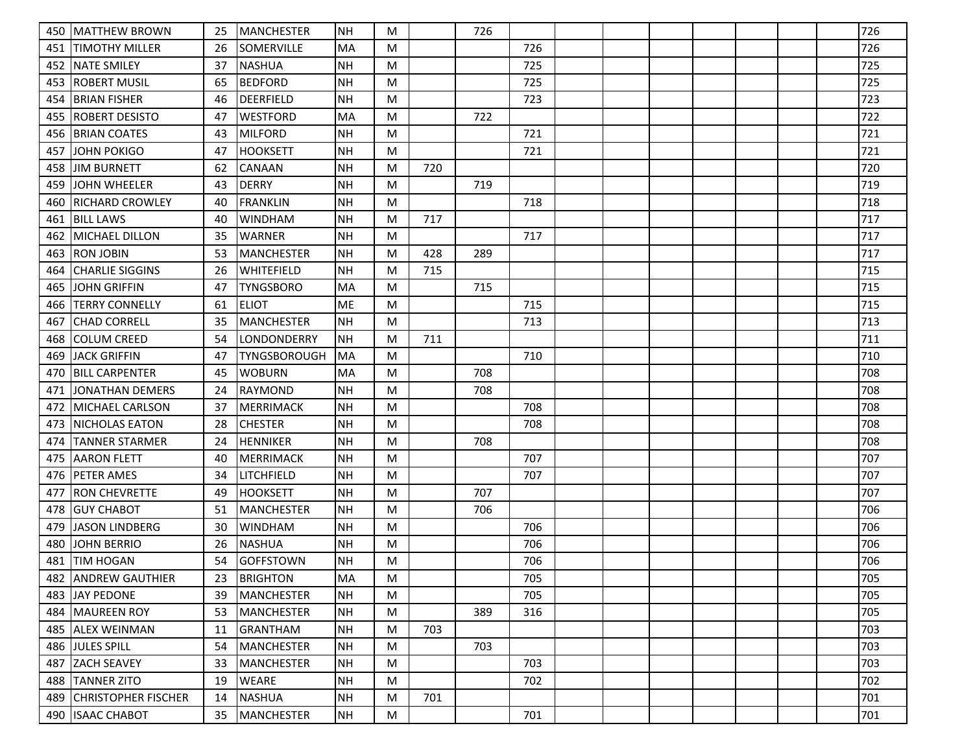| 450 | <b>IMATTHEW BROWN</b>   | 25 | MANCHESTER          | NH        | M |     | 726 |     |  |  |  | 726 |
|-----|-------------------------|----|---------------------|-----------|---|-----|-----|-----|--|--|--|-----|
| 451 | ITIMOTHY MILLER         | 26 | <b>SOMERVILLE</b>   | MA        | M |     |     | 726 |  |  |  | 726 |
| 452 | <b>NATE SMILEY</b>      | 37 | <b>NASHUA</b>       | <b>NH</b> | M |     |     | 725 |  |  |  | 725 |
| 453 | <b>ROBERT MUSIL</b>     | 65 | <b>BEDFORD</b>      | <b>NH</b> | M |     |     | 725 |  |  |  | 725 |
| 454 | <b>BRIAN FISHER</b>     | 46 | <b>DEERFIELD</b>    | <b>NH</b> | M |     |     | 723 |  |  |  | 723 |
| 455 | ROBERT DESISTO          | 47 | WESTFORD            | MA        | M |     | 722 |     |  |  |  | 722 |
| 456 | <b>BRIAN COATES</b>     | 43 | <b>MILFORD</b>      | <b>NH</b> | M |     |     | 721 |  |  |  | 721 |
| 457 | JOHN POKIGO             | 47 | <b>HOOKSETT</b>     | <b>NH</b> | M |     |     | 721 |  |  |  | 721 |
| 458 | <b>JIM BURNETT</b>      | 62 | CANAAN              | <b>NH</b> | M | 720 |     |     |  |  |  | 720 |
| 459 | IJOHN WHEELER           | 43 | <b>DERRY</b>        | <b>NH</b> | M |     | 719 |     |  |  |  | 719 |
| 460 | <b>RICHARD CROWLEY</b>  | 40 | <b>FRANKLIN</b>     | <b>NH</b> | M |     |     | 718 |  |  |  | 718 |
| 461 | <b>BILL LAWS</b>        | 40 | <b>WINDHAM</b>      | <b>NH</b> | M | 717 |     |     |  |  |  | 717 |
| 462 | MICHAEL DILLON          | 35 | WARNER              | <b>NH</b> | M |     |     | 717 |  |  |  | 717 |
| 463 | <b>RON JOBIN</b>        | 53 | MANCHESTER          | <b>NH</b> | M | 428 | 289 |     |  |  |  | 717 |
| 464 | <b>CHARLIE SIGGINS</b>  | 26 | <b>WHITEFIELD</b>   | NH        | M | 715 |     |     |  |  |  | 715 |
| 465 | JOHN GRIFFIN            | 47 | <b>TYNGSBORO</b>    | MA        | M |     | 715 |     |  |  |  | 715 |
| 466 | <b>TERRY CONNELLY</b>   | 61 | <b>ELIOT</b>        | ME        | M |     |     | 715 |  |  |  | 715 |
| 467 | <b>CHAD CORRELL</b>     | 35 | <b>MANCHESTER</b>   | NH        | M |     |     | 713 |  |  |  | 713 |
| 468 | <b>COLUM CREED</b>      | 54 | LONDONDERRY         | <b>NH</b> | M | 711 |     |     |  |  |  | 711 |
| 469 | <b>JACK GRIFFIN</b>     | 47 | <b>TYNGSBOROUGH</b> | MA        | M |     |     | 710 |  |  |  | 710 |
| 470 | <b>BILL CARPENTER</b>   | 45 | <b>WOBURN</b>       | MA        | M |     | 708 |     |  |  |  | 708 |
| 471 | JONATHAN DEMERS         | 24 | <b>RAYMOND</b>      | <b>NH</b> | M |     | 708 |     |  |  |  | 708 |
| 472 | <b>MICHAEL CARLSON</b>  | 37 | <b>MERRIMACK</b>    | <b>NH</b> | M |     |     | 708 |  |  |  | 708 |
| 473 | <b>NICHOLAS EATON</b>   | 28 | <b>CHESTER</b>      | <b>NH</b> | M |     |     | 708 |  |  |  | 708 |
| 474 | <b>TANNER STARMER</b>   | 24 | <b>HENNIKER</b>     | <b>NH</b> | M |     | 708 |     |  |  |  | 708 |
| 475 | <b>AARON FLETT</b>      | 40 | <b>MERRIMACK</b>    | <b>NH</b> | M |     |     | 707 |  |  |  | 707 |
| 476 | <b>PETER AMES</b>       | 34 | <b>LITCHFIELD</b>   | <b>NH</b> | M |     |     | 707 |  |  |  | 707 |
| 477 | <b>RON CHEVRETTE</b>    | 49 | HOOKSETT            | <b>NH</b> | M |     | 707 |     |  |  |  | 707 |
| 478 | <b>GUY CHABOT</b>       | 51 | <b>MANCHESTER</b>   | NH        | M |     | 706 |     |  |  |  | 706 |
| 479 | JASON LINDBERG          | 30 | <b>WINDHAM</b>      | <b>NH</b> | M |     |     | 706 |  |  |  | 706 |
| 480 | <b>JOHN BERRIO</b>      | 26 | <b>NASHUA</b>       | <b>NH</b> | M |     |     | 706 |  |  |  | 706 |
| 481 | <b>TIM HOGAN</b>        | 54 | <b>GOFFSTOWN</b>    | <b>NH</b> | M |     |     | 706 |  |  |  | 706 |
|     | 482 ANDREW GAUTHIER     | 23 | BRIGHTON            | MA        | M |     |     | 705 |  |  |  | 705 |
|     | 483 JAY PEDONE          | 39 | MANCHESTER          | NH        | M |     |     | 705 |  |  |  | 705 |
|     | 484   MAUREEN ROY       | 53 | MANCHESTER          | NH        | M |     | 389 | 316 |  |  |  | 705 |
|     | 485 ALEX WEINMAN        | 11 | GRANTHAM            | <b>NH</b> | M | 703 |     |     |  |  |  | 703 |
|     | 486 JULES SPILL         | 54 | MANCHESTER          | NH        | M |     | 703 |     |  |  |  | 703 |
| 487 | <b>ZACH SEAVEY</b>      | 33 | <b>MANCHESTER</b>   | NH        | M |     |     | 703 |  |  |  | 703 |
|     | 488 TANNER ZITO         | 19 | <b>WEARE</b>        | <b>NH</b> | M |     |     | 702 |  |  |  | 702 |
|     | 489 CHRISTOPHER FISCHER | 14 | NASHUA              | NH        | M | 701 |     |     |  |  |  | 701 |
|     | 490   ISAAC CHABOT      | 35 | MANCHESTER          | NH        | M |     |     | 701 |  |  |  | 701 |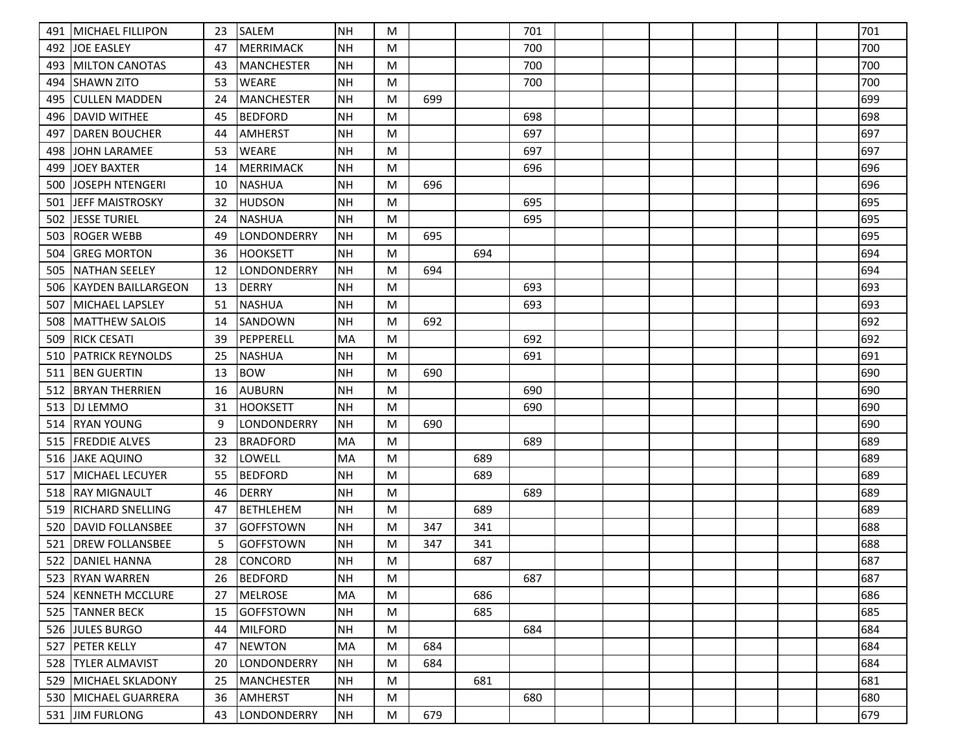| 491 | <b>MICHAEL FILLIPON</b> | 23 | <b>SALEM</b>      | NH        | M |     |     | 701 |  |  |  | 701 |
|-----|-------------------------|----|-------------------|-----------|---|-----|-----|-----|--|--|--|-----|
| 492 | <b>JOE EASLEY</b>       | 47 | <b>MERRIMACK</b>  | <b>NH</b> | M |     |     | 700 |  |  |  | 700 |
| 493 | <b>MILTON CANOTAS</b>   | 43 | <b>MANCHESTER</b> | <b>NH</b> | M |     |     | 700 |  |  |  | 700 |
| 494 | <b>SHAWN ZITO</b>       | 53 | <b>WEARE</b>      | <b>NH</b> | M |     |     | 700 |  |  |  | 700 |
| 495 | <b>ICULLEN MADDEN</b>   | 24 | <b>MANCHESTER</b> | <b>NH</b> | M | 699 |     |     |  |  |  | 699 |
| 496 | IDAVID WITHEE           | 45 | <b>BEDFORD</b>    | <b>NH</b> | M |     |     | 698 |  |  |  | 698 |
| 497 | <b>DAREN BOUCHER</b>    | 44 | <b>AMHERST</b>    | <b>NH</b> | M |     |     | 697 |  |  |  | 697 |
| 498 | JOHN LARAMEE            | 53 | <b>WEARE</b>      | <b>NH</b> | M |     |     | 697 |  |  |  | 697 |
| 499 | <b>JOEY BAXTER</b>      | 14 | <b>MERRIMACK</b>  | <b>NH</b> | M |     |     | 696 |  |  |  | 696 |
| 500 | lJOSEPH NTENGERI        | 10 | <b>NASHUA</b>     | <b>NH</b> | M | 696 |     |     |  |  |  | 696 |
| 501 | <b>JEFF MAISTROSKY</b>  | 32 | <b>HUDSON</b>     | <b>NH</b> | M |     |     | 695 |  |  |  | 695 |
| 502 | <b>JESSE TURIEL</b>     | 24 | <b>NASHUA</b>     | <b>NH</b> | M |     |     | 695 |  |  |  | 695 |
| 503 | <b>ROGER WEBB</b>       | 49 | LONDONDERRY       | <b>NH</b> | M | 695 |     |     |  |  |  | 695 |
| 504 | <b>GREG MORTON</b>      | 36 | <b>HOOKSETT</b>   | <b>NH</b> | M |     | 694 |     |  |  |  | 694 |
| 505 | <b>NATHAN SEELEY</b>    | 12 | LONDONDERRY       | NH        | M | 694 |     |     |  |  |  | 694 |
| 506 | IKAYDEN BAILLARGEON     | 13 | <b>DERRY</b>      | <b>NH</b> | M |     |     | 693 |  |  |  | 693 |
| 507 | MICHAEL LAPSLEY         | 51 | <b>NASHUA</b>     | <b>NH</b> | M |     |     | 693 |  |  |  | 693 |
| 508 | <b>MATTHEW SALOIS</b>   | 14 | SANDOWN           | <b>NH</b> | M | 692 |     |     |  |  |  | 692 |
| 509 | <b>RICK CESATI</b>      | 39 | PEPPERELL         | MA        | M |     |     | 692 |  |  |  | 692 |
| 510 | <b>PATRICK REYNOLDS</b> | 25 | <b>NASHUA</b>     | <b>NH</b> | M |     |     | 691 |  |  |  | 691 |
| 511 | <b>JBEN GUERTIN</b>     | 13 | <b>BOW</b>        | <b>NH</b> | M | 690 |     |     |  |  |  | 690 |
| 512 | <b>BRYAN THERRIEN</b>   | 16 | <b>AUBURN</b>     | <b>NH</b> | M |     |     | 690 |  |  |  | 690 |
| 513 | <b>DJ LEMMO</b>         | 31 | <b>HOOKSETT</b>   | <b>NH</b> | M |     |     | 690 |  |  |  | 690 |
| 514 | IRYAN YOUNG             | 9  | LONDONDERRY       | NH        | M | 690 |     |     |  |  |  | 690 |
| 515 | <b>FREDDIE ALVES</b>    | 23 | <b>BRADFORD</b>   | MA        | M |     |     | 689 |  |  |  | 689 |
| 516 | JAKE AQUINO             | 32 | LOWELL            | MA        | M |     | 689 |     |  |  |  | 689 |
| 517 | <b>MICHAEL LECUYER</b>  | 55 | <b>BEDFORD</b>    | <b>NH</b> | M |     | 689 |     |  |  |  | 689 |
| 518 | <b>IRAY MIGNAULT</b>    | 46 | <b>DERRY</b>      | <b>NH</b> | M |     |     | 689 |  |  |  | 689 |
| 519 | <b>RICHARD SNELLING</b> | 47 | <b>BETHLEHEM</b>  | NH        | M |     | 689 |     |  |  |  | 689 |
| 520 | DAVID FOLLANSBEE        | 37 | <b>GOFFSTOWN</b>  | NH        | M | 347 | 341 |     |  |  |  | 688 |
| 521 | <b>DREW FOLLANSBEE</b>  | 5  | <b>GOFFSTOWN</b>  | <b>NH</b> | M | 347 | 341 |     |  |  |  | 688 |
| 522 | <b>DANIEL HANNA</b>     | 28 | <b>CONCORD</b>    | <b>NH</b> | M |     | 687 |     |  |  |  | 687 |
|     | 523 RYAN WARREN         | 26 | BEDFORD           | NH        | M |     |     | 687 |  |  |  | 687 |
| 524 | <b>KENNETH MCCLURE</b>  | 27 | MELROSE           | MA        | M |     | 686 |     |  |  |  | 686 |
|     | 525 TANNER BECK         | 15 | GOFFSTOWN         | NH        | M |     | 685 |     |  |  |  | 685 |
|     | 526 JULES BURGO         | 44 | MILFORD           | <b>NH</b> | M |     |     | 684 |  |  |  | 684 |
| 527 | <b>PETER KELLY</b>      | 47 | NEWTON            | MA        | M | 684 |     |     |  |  |  | 684 |
| 528 | <b>TYLER ALMAVIST</b>   | 20 | LONDONDERRY       | NH        | M | 684 |     |     |  |  |  | 684 |
|     | 529 MICHAEL SKLADONY    | 25 | MANCHESTER        | <b>NH</b> | M |     | 681 |     |  |  |  | 681 |
|     | 530   MICHAEL GUARRERA  | 36 | AMHERST           | NH        | M |     |     | 680 |  |  |  | 680 |
|     | 531 JIM FURLONG         | 43 | LONDONDERRY       | NH        | M | 679 |     |     |  |  |  | 679 |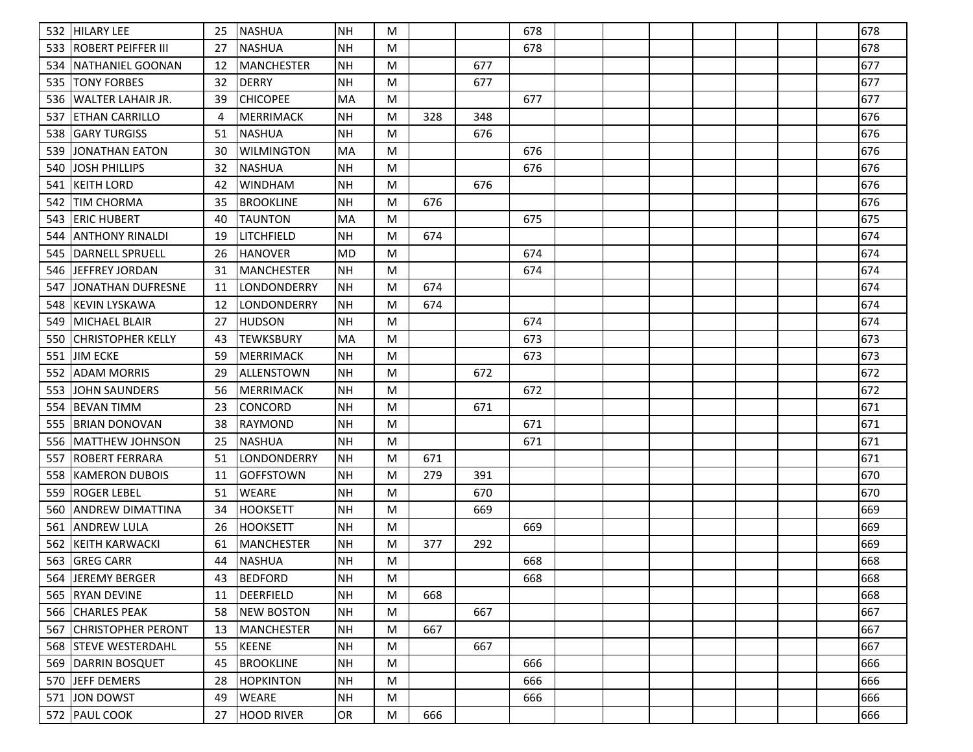| 532 | <b>HILARY LEE</b>         | 25  | NASHUA            | <b>NH</b> | M         |     |     | 678 |  |  |  | 678 |
|-----|---------------------------|-----|-------------------|-----------|-----------|-----|-----|-----|--|--|--|-----|
| 533 | IROBERT PEIFFER III       | 27  | <b>NASHUA</b>     | <b>NH</b> | M         |     |     | 678 |  |  |  | 678 |
| 534 | NATHANIEL GOONAN          | -12 | <b>MANCHESTER</b> | <b>NH</b> | M         |     | 677 |     |  |  |  | 677 |
| 535 | <b>TONY FORBES</b>        | 32  | <b>DERRY</b>      | <b>NH</b> | M         |     | 677 |     |  |  |  | 677 |
| 536 | lwalter lahair Jr.        | 39  | <b>CHICOPEE</b>   | <b>MA</b> | M         |     |     | 677 |  |  |  | 677 |
| 537 | ETHAN CARRILLO            | 4   | <b>MERRIMACK</b>  | <b>NH</b> | M         | 328 | 348 |     |  |  |  | 676 |
| 538 | <b>GARY TURGISS</b>       | 51  | <b>NASHUA</b>     | <b>NH</b> | M         |     | 676 |     |  |  |  | 676 |
| 539 | JONATHAN EATON            | 30  | <b>WILMINGTON</b> | <b>MA</b> | M         |     |     | 676 |  |  |  | 676 |
| 540 | <b>JOSH PHILLIPS</b>      | 32  | <b>NASHUA</b>     | <b>NH</b> | M         |     |     | 676 |  |  |  | 676 |
| 541 | KEITH LORD                | 42  | <b>WINDHAM</b>    | <b>NH</b> | M         |     | 676 |     |  |  |  | 676 |
| 542 | <b>TIM CHORMA</b>         | 35  | <b>BROOKLINE</b>  | <b>NH</b> | M         | 676 |     |     |  |  |  | 676 |
| 543 | <b>IERIC HUBERT</b>       | 40  | <b>TAUNTON</b>    | <b>MA</b> | M         |     |     | 675 |  |  |  | 675 |
| 544 | ANTHONY RINALDI           | 19  | LITCHFIELD        | <b>NH</b> | M         | 674 |     |     |  |  |  | 674 |
| 545 | <b>DARNELL SPRUELL</b>    | 26  | <b>HANOVER</b>    | MD        | M         |     |     | 674 |  |  |  | 674 |
| 546 | JEFFREY JORDAN            | 31  | <b>MANCHESTER</b> | <b>NH</b> | M         |     |     | 674 |  |  |  | 674 |
| 547 | JONATHAN DUFRESNE         | -11 | LONDONDERRY       | <b>NH</b> | M         | 674 |     |     |  |  |  | 674 |
| 548 | KEVIN LYSKAWA             | 12  | LONDONDERRY       | <b>NH</b> | M         | 674 |     |     |  |  |  | 674 |
| 549 | MICHAEL BLAIR             | 27  | <b>HUDSON</b>     | <b>NH</b> | M         |     |     | 674 |  |  |  | 674 |
| 550 | CHRISTOPHER KELLY         | 43  | <b>TEWKSBURY</b>  | MA        | M         |     |     | 673 |  |  |  | 673 |
| 551 | <b>JIM ECKE</b>           | 59  | <b>MERRIMACK</b>  | <b>NH</b> | M         |     |     | 673 |  |  |  | 673 |
| 552 | <b>ADAM MORRIS</b>        | 29  | lallenstown       | <b>NH</b> | M         |     | 672 |     |  |  |  | 672 |
| 553 | JOHN SAUNDERS             | 56  | <b>MERRIMACK</b>  | <b>NH</b> | M         |     |     | 672 |  |  |  | 672 |
| 554 | <b>BEVAN TIMM</b>         | 23  | <b>CONCORD</b>    | <b>NH</b> | M         |     | 671 |     |  |  |  | 671 |
| 555 | IBRIAN DONOVAN            | 38  | <b>RAYMOND</b>    | <b>NH</b> | M         |     |     | 671 |  |  |  | 671 |
| 556 | MATTHEW JOHNSON           | 25  | <b>NASHUA</b>     | <b>NH</b> | M         |     |     | 671 |  |  |  | 671 |
| 557 | IROBERT FERRARA           | 51  | LONDONDERRY       | <b>NH</b> | M         | 671 |     |     |  |  |  | 671 |
| 558 | KAMERON DUBOIS            | -11 | <b>GOFFSTOWN</b>  | <b>NH</b> | M         | 279 | 391 |     |  |  |  | 670 |
| 559 | ROGER LEBEL               | 51  | <b>WEARE</b>      | <b>NH</b> | M         |     | 670 |     |  |  |  | 670 |
| 560 | ANDREW DIMATTINA          | 34  | <b>HOOKSETT</b>   | <b>NH</b> | M         |     | 669 |     |  |  |  | 669 |
| 561 | <b>ANDREW LULA</b>        | 26  | <b>HOOKSETT</b>   | <b>NH</b> | M         |     |     | 669 |  |  |  | 669 |
| 562 | <b>KEITH KARWACKI</b>     | 61  | <b>MANCHESTER</b> | <b>NH</b> | M         | 377 | 292 |     |  |  |  | 669 |
| 563 | <b>GREG CARR</b>          | 44  | <b>NASHUA</b>     | <b>NH</b> | M         |     |     | 668 |  |  |  | 668 |
|     | 564 JEREMY BERGER         | 43  | BEDFORD           | <b>NH</b> | M         |     |     | 668 |  |  |  | 668 |
|     | 565 RYAN DEVINE           | 11  | <b>DEERFIELD</b>  | <b>NH</b> | M         | 668 |     |     |  |  |  | 668 |
|     | 566 CHARLES PEAK          | 58  | <b>NEW BOSTON</b> | <b>NH</b> | M         |     | 667 |     |  |  |  | 667 |
| 567 | <b>CHRISTOPHER PERONT</b> | 13  | MANCHESTER        | <b>NH</b> | ${\sf M}$ | 667 |     |     |  |  |  | 667 |
|     | 568 STEVE WESTERDAHL      | 55  | <b>KEENE</b>      | <b>NH</b> | M         |     | 667 |     |  |  |  | 667 |
|     | 569 DARRIN BOSQUET        | 45  | <b>BROOKLINE</b>  | <b>NH</b> | M         |     |     | 666 |  |  |  | 666 |
| 570 | JEFF DEMERS               | 28  | <b>HOPKINTON</b>  | <b>NH</b> | ${\sf M}$ |     |     | 666 |  |  |  | 666 |
| 571 | JON DOWST                 | 49  | <b>WEARE</b>      | <b>NH</b> | M         |     |     | 666 |  |  |  | 666 |
|     | 572 PAUL COOK             | 27  | <b>HOOD RIVER</b> | OR        | M         | 666 |     |     |  |  |  | 666 |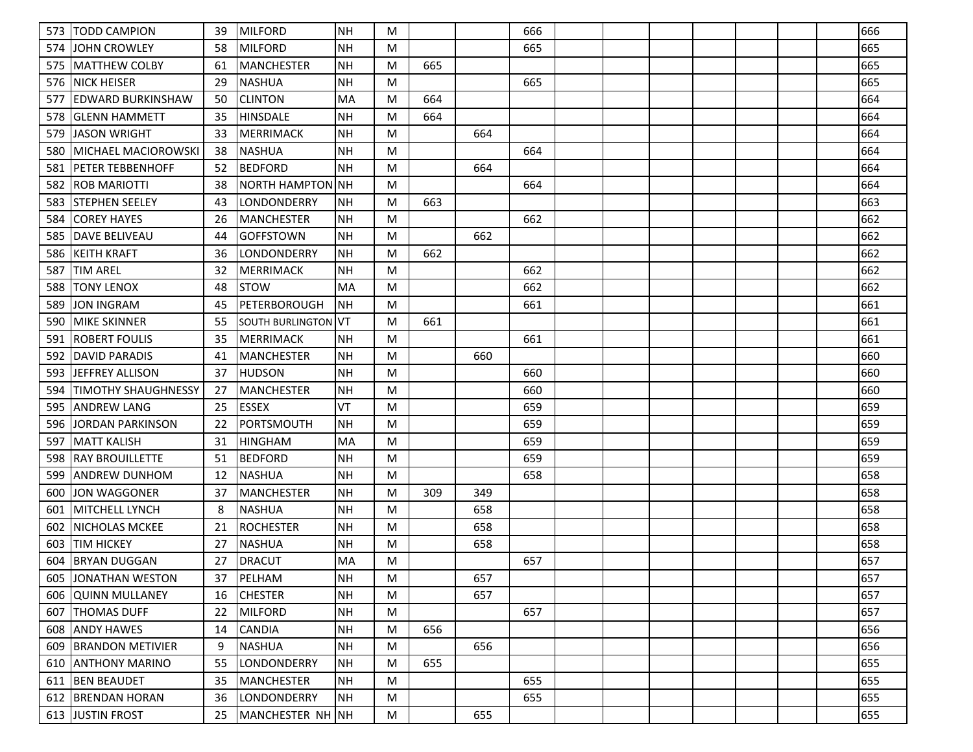| 573 | <b>TODD CAMPION</b>        | 39 | <b>MILFORD</b>          | NH         | M |     |     | 666 |  |  |  | 666 |
|-----|----------------------------|----|-------------------------|------------|---|-----|-----|-----|--|--|--|-----|
| 574 | IJOHN CROWLEY              | 58 | <b>MILFORD</b>          | <b>NH</b>  | M |     |     | 665 |  |  |  | 665 |
| 575 | IMATTHEW COLBY             | 61 | <b>MANCHESTER</b>       | <b>NH</b>  | M | 665 |     |     |  |  |  | 665 |
| 576 | <b>NICK HEISER</b>         | 29 | INASHUA                 | <b>NH</b>  | M |     |     | 665 |  |  |  | 665 |
| 577 | <b>EDWARD BURKINSHAW</b>   | 50 | <b>CLINTON</b>          | MA         | M | 664 |     |     |  |  |  | 664 |
| 578 | <b>IGLENN HAMMETT</b>      | 35 | <b>HINSDALE</b>         | <b>NH</b>  | M | 664 |     |     |  |  |  | 664 |
| 579 | <b>JASON WRIGHT</b>        | 33 | <b>MERRIMACK</b>        | <b>NH</b>  | M |     | 664 |     |  |  |  | 664 |
| 580 | MICHAEL MACIOROWSKI        | 38 | <b>NASHUA</b>           | <b>NH</b>  | M |     |     | 664 |  |  |  | 664 |
| 581 | <b>PETER TEBBENHOFF</b>    | 52 | <b>BEDFORD</b>          | <b>NH</b>  | M |     | 664 |     |  |  |  | 664 |
| 582 | <b>ROB MARIOTTI</b>        | 38 | NORTH HAMPTON NH        |            | M |     |     | 664 |  |  |  | 664 |
| 583 | <b>STEPHEN SEELEY</b>      | 43 | LONDONDERRY             | <b>NH</b>  | M | 663 |     |     |  |  |  | 663 |
| 584 | <b>COREY HAYES</b>         | 26 | MANCHESTER              | NH         | M |     |     | 662 |  |  |  | 662 |
| 585 | <b>DAVE BELIVEAU</b>       | 44 | <b>GOFFSTOWN</b>        | <b>NH</b>  | M |     | 662 |     |  |  |  | 662 |
| 586 | <b>KEITH KRAFT</b>         | 36 | <b>LONDONDERRY</b>      | <b>NH</b>  | M | 662 |     |     |  |  |  | 662 |
| 587 | <b>TIM AREL</b>            | 32 | MERRIMACK               | NH         | M |     |     | 662 |  |  |  | 662 |
| 588 | <b>TONY LENOX</b>          | 48 | ISTOW                   | MA         | M |     |     | 662 |  |  |  | 662 |
| 589 | <b>JON INGRAM</b>          | 45 | <b>PETERBOROUGH</b>     | <b>INH</b> | M |     |     | 661 |  |  |  | 661 |
| 590 | <b>MIKE SKINNER</b>        | 55 | <b>SOUTH BURLINGTON</b> | <b>VT</b>  | M | 661 |     |     |  |  |  | 661 |
| 591 | <b>ROBERT FOULIS</b>       | 35 | <b>MERRIMACK</b>        | <b>NH</b>  | M |     |     | 661 |  |  |  | 661 |
| 592 | IDAVID PARADIS             | 41 | <b>MANCHESTER</b>       | <b>NH</b>  | M |     | 660 |     |  |  |  | 660 |
| 593 | JEFFREY ALLISON            | 37 | <b>HUDSON</b>           | <b>NH</b>  | M |     |     | 660 |  |  |  | 660 |
| 594 | <b>TIMOTHY SHAUGHNESSY</b> | 27 | <b>MANCHESTER</b>       | <b>NH</b>  | M |     |     | 660 |  |  |  | 660 |
| 595 | <b>ANDREW LANG</b>         | 25 | <b>ESSEX</b>            | VT         | M |     |     | 659 |  |  |  | 659 |
| 596 | JORDAN PARKINSON           | 22 | <b>PORTSMOUTH</b>       | <b>NH</b>  | M |     |     | 659 |  |  |  | 659 |
| 597 | <b>MATT KALISH</b>         | 31 | <b>HINGHAM</b>          | MA         | M |     |     | 659 |  |  |  | 659 |
| 598 | <b>RAY BROUILLETTE</b>     | 51 | <b>BEDFORD</b>          | <b>NH</b>  | M |     |     | 659 |  |  |  | 659 |
| 599 | ANDREW DUNHOM              | 12 | <b>NASHUA</b>           | <b>NH</b>  | M |     |     | 658 |  |  |  | 658 |
| 600 | <b>JON WAGGONER</b>        | 37 | <b>MANCHESTER</b>       | <b>NH</b>  | M | 309 | 349 |     |  |  |  | 658 |
| 601 | <b>MITCHELL LYNCH</b>      | -8 | <b>NASHUA</b>           | <b>NH</b>  | M |     | 658 |     |  |  |  | 658 |
| 602 | <b>NICHOLAS MCKEE</b>      | 21 | <b>ROCHESTER</b>        | <b>NH</b>  | M |     | 658 |     |  |  |  | 658 |
| 603 | <b>TIM HICKEY</b>          | 27 | <b>NASHUA</b>           | <b>NH</b>  | M |     | 658 |     |  |  |  | 658 |
| 604 | <b>BRYAN DUGGAN</b>        | 27 | <b>DRACUT</b>           | MA         | M |     |     | 657 |  |  |  | 657 |
|     | 605 JJONATHAN WESTON       | 37 | PELHAM                  | NH         | M |     | 657 |     |  |  |  | 657 |
|     | 606 QUINN MULLANEY         | 16 | <b>CHESTER</b>          | <b>NH</b>  | M |     | 657 |     |  |  |  | 657 |
| 607 | <b>ITHOMAS DUFF</b>        | 22 | MILFORD                 | <b>NH</b>  | M |     |     | 657 |  |  |  | 657 |
|     | 608 ANDY HAWES             | 14 | <b>CANDIA</b>           | <b>NH</b>  | M | 656 |     |     |  |  |  | 656 |
|     | 609 BRANDON METIVIER       | 9  | NASHUA                  | NH         | M |     | 656 |     |  |  |  | 656 |
| 610 | <b>JANTHONY MARINO</b>     | 55 | LONDONDERRY             | <b>NH</b>  | M | 655 |     |     |  |  |  | 655 |
| 611 | <b>BEN BEAUDET</b>         | 35 | MANCHESTER              | <b>NH</b>  | M |     |     | 655 |  |  |  | 655 |
|     | 612 BRENDAN HORAN          | 36 | <b>LONDONDERRY</b>      | NH         | M |     |     | 655 |  |  |  | 655 |
|     | 613 JUSTIN FROST           | 25 | MANCHESTER NH NH        |            | M |     | 655 |     |  |  |  | 655 |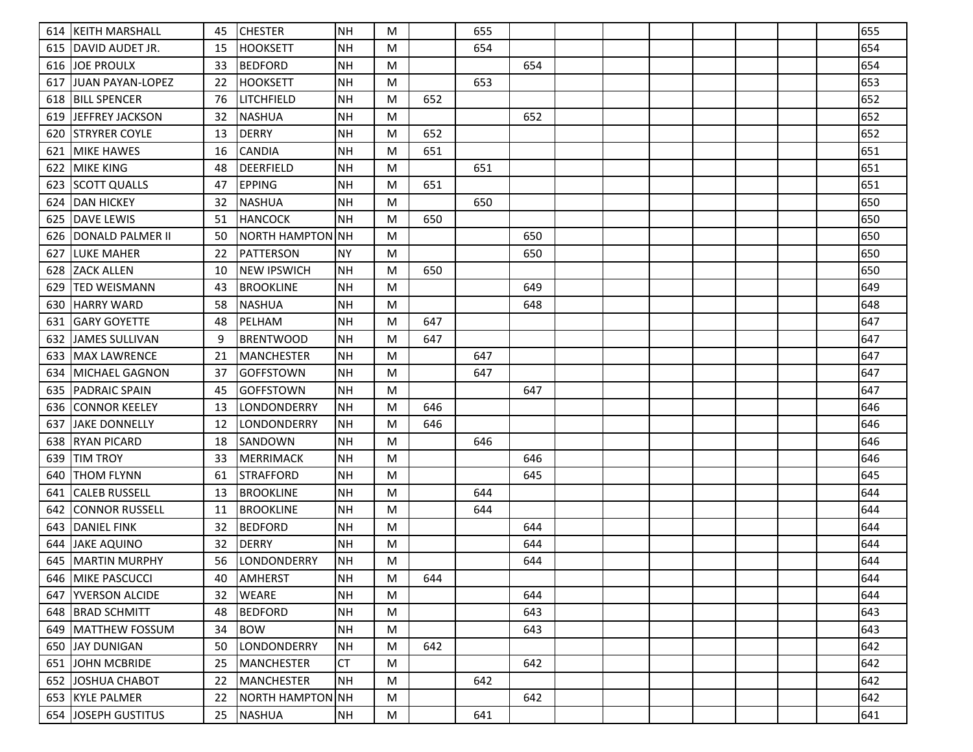|     | 614   KEITH MARSHALL     | 45 | <b>CHESTER</b>     | <b>NH</b> | M |     | 655 |     |  |  |  | 655 |
|-----|--------------------------|----|--------------------|-----------|---|-----|-----|-----|--|--|--|-----|
| 615 | <b>IDAVID AUDET JR.</b>  | 15 | <b>HOOKSETT</b>    | ΝH        | M |     | 654 |     |  |  |  | 654 |
| 616 | <b>JOE PROULX</b>        | 33 | <b>BEDFORD</b>     | <b>NH</b> | M |     |     | 654 |  |  |  | 654 |
| 617 | JUAN PAYAN-LOPEZ         | 22 | <b>HOOKSETT</b>    | <b>NH</b> | M |     | 653 |     |  |  |  | 653 |
|     | 618 BILL SPENCER         | 76 | LITCHFIELD         | <b>NH</b> | M | 652 |     |     |  |  |  | 652 |
| 619 | lJEFFREY JACKSON         | 32 | <b>NASHUA</b>      | <b>NH</b> | M |     |     | 652 |  |  |  | 652 |
| 620 | <b>ISTRYRER COYLE</b>    | 13 | <b>DERRY</b>       | <b>NH</b> | M | 652 |     |     |  |  |  | 652 |
| 621 | <b>MIKE HAWES</b>        | 16 | <b>CANDIA</b>      | <b>NH</b> | M | 651 |     |     |  |  |  | 651 |
| 622 | IMIKE KING               | 48 | <b>DEERFIELD</b>   | <b>NH</b> | M |     | 651 |     |  |  |  | 651 |
| 623 | <b>SCOTT QUALLS</b>      | 47 | <b>EPPING</b>      | <b>NH</b> | M | 651 |     |     |  |  |  | 651 |
| 624 | <b>DAN HICKEY</b>        | 32 | <b>NASHUA</b>      | <b>NH</b> | M |     | 650 |     |  |  |  | 650 |
| 625 | <b>IDAVE LEWIS</b>       | 51 | <b>HANCOCK</b>     | <b>NH</b> | M | 650 |     |     |  |  |  | 650 |
| 626 | <b>JDONALD PALMER II</b> | 50 | NORTH HAMPTON NH   |           | M |     |     | 650 |  |  |  | 650 |
| 627 | LUKE MAHER               | 22 | <b>PATTERSON</b>   | <b>NY</b> | M |     |     | 650 |  |  |  | 650 |
| 628 | <b>ZACK ALLEN</b>        | 10 | <b>NEW IPSWICH</b> | <b>NH</b> | M | 650 |     |     |  |  |  | 650 |
| 629 | ITED WEISMANN            | 43 | <b>BROOKLINE</b>   | ΝH        | M |     |     | 649 |  |  |  | 649 |
| 630 | <b>HARRY WARD</b>        | 58 | <b>NASHUA</b>      | <b>NH</b> | M |     |     | 648 |  |  |  | 648 |
| 631 | <b>IGARY GOYETTE</b>     | 48 | PELHAM             | <b>NH</b> | M | 647 |     |     |  |  |  | 647 |
| 632 | JAMES SULLIVAN           | -9 | <b>BRENTWOOD</b>   | <b>NH</b> | M | 647 |     |     |  |  |  | 647 |
| 633 | <b>IMAX LAWRENCE</b>     | 21 | <b>MANCHESTER</b>  | <b>NH</b> | M |     | 647 |     |  |  |  | 647 |
| 634 | <b>IMICHAEL GAGNON</b>   | 37 | <b>GOFFSTOWN</b>   | <b>NH</b> | M |     | 647 |     |  |  |  | 647 |
| 635 | <b>PADRAIC SPAIN</b>     | 45 | <b>GOFFSTOWN</b>   | <b>NH</b> | M |     |     | 647 |  |  |  | 647 |
| 636 | <b>CONNOR KEELEY</b>     | 13 | LONDONDERRY        | <b>NH</b> | M | 646 |     |     |  |  |  | 646 |
| 637 | <b>JJAKE DONNELLY</b>    | 12 | LONDONDERRY        | <b>NH</b> | M | 646 |     |     |  |  |  | 646 |
| 638 | <b>RYAN PICARD</b>       | 18 | SANDOWN            | <b>NH</b> | M |     | 646 |     |  |  |  | 646 |
| 639 | <b>TIM TROY</b>          | 33 | <b>MERRIMACK</b>   | <b>NH</b> | M |     |     | 646 |  |  |  | 646 |
| 640 | ITHOM FLYNN              | 61 | <b>STRAFFORD</b>   | <b>NH</b> | M |     |     | 645 |  |  |  | 645 |
| 641 | CALEB RUSSELL            | 13 | <b>BROOKLINE</b>   | <b>NH</b> | M |     | 644 |     |  |  |  | 644 |
| 642 | <b>CONNOR RUSSELL</b>    | 11 | <b>BROOKLINE</b>   | <b>NH</b> | M |     | 644 |     |  |  |  | 644 |
| 643 | <b>DANIEL FINK</b>       | 32 | <b>BEDFORD</b>     | <b>NH</b> | M |     |     | 644 |  |  |  | 644 |
| 644 | <b>JAKE AQUINO</b>       | 32 | <b>DERRY</b>       | <b>NH</b> | M |     |     | 644 |  |  |  | 644 |
| 645 | <b>MARTIN MURPHY</b>     | 56 | LONDONDERRY        | <b>NH</b> | M |     |     | 644 |  |  |  | 644 |
|     | 646   MIKE PASCUCCI      | 40 | AMHERST            | NH        | M | 644 |     |     |  |  |  | 644 |
|     | 647   YVERSON ALCIDE     | 32 | <b>WEARE</b>       | <b>NH</b> | M |     |     | 644 |  |  |  | 644 |
|     | 648   BRAD SCHMITT       | 48 | <b>BEDFORD</b>     | <b>NH</b> | M |     |     | 643 |  |  |  | 643 |
|     | 649 MATTHEW FOSSUM       | 34 | <b>BOW</b>         | <b>NH</b> | M |     |     | 643 |  |  |  | 643 |
|     | 650 JJAY DUNIGAN         | 50 | LONDONDERRY        | <b>NH</b> | M | 642 |     |     |  |  |  | 642 |
| 651 | <b>JOHN MCBRIDE</b>      | 25 | <b>MANCHESTER</b>  | <b>CT</b> | M |     |     | 642 |  |  |  | 642 |
| 652 | JOSHUA CHABOT            | 22 | <b>MANCHESTER</b>  | <b>NH</b> | M |     | 642 |     |  |  |  | 642 |
|     | 653 KYLE PALMER          | 22 | NORTH HAMPTON NH   |           | M |     |     | 642 |  |  |  | 642 |
|     | 654 JOSEPH GUSTITUS      | 25 | <b>NASHUA</b>      | <b>NH</b> | M |     | 641 |     |  |  |  | 641 |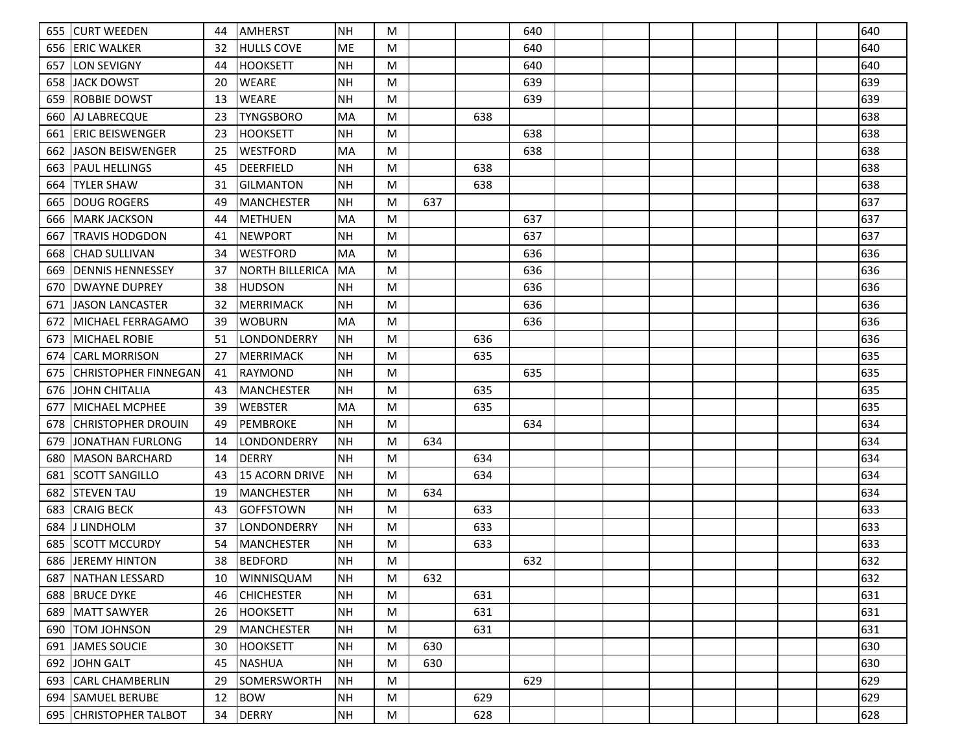| 655 | <b>CURT WEEDEN</b>       | 44 | <b>AMHERST</b>         | <b>NH</b> | M         |     |     | 640 |  |  |  | 640 |
|-----|--------------------------|----|------------------------|-----------|-----------|-----|-----|-----|--|--|--|-----|
| 656 | IERIC WALKER             | 32 | <b>HULLS COVE</b>      | ME        | M         |     |     | 640 |  |  |  | 640 |
| 657 | <b>LON SEVIGNY</b>       | 44 | <b>HOOKSETT</b>        | <b>NH</b> | M         |     |     | 640 |  |  |  | 640 |
| 658 | JACK DOWST               | 20 | <b>WEARE</b>           | <b>NH</b> | M         |     |     | 639 |  |  |  | 639 |
| 659 | IROBBIE DOWST            | 13 | <b>WEARE</b>           | <b>NH</b> | M         |     |     | 639 |  |  |  | 639 |
| 660 | AJ LABRECQUE             | 23 | <b>TYNGSBORO</b>       | MA        | M         |     | 638 |     |  |  |  | 638 |
| 661 | <b>IERIC BEISWENGER</b>  | 23 | <b>HOOKSETT</b>        | <b>NH</b> | M         |     |     | 638 |  |  |  | 638 |
| 662 | JASON BEISWENGER         | 25 | <b>WESTFORD</b>        | <b>MA</b> | M         |     |     | 638 |  |  |  | 638 |
| 663 | IPAUL HELLINGS           | 45 | <b>DEERFIELD</b>       | <b>NH</b> | M         |     | 638 |     |  |  |  | 638 |
| 664 | <b>TYLER SHAW</b>        | 31 | <b>GILMANTON</b>       | <b>NH</b> | M         |     | 638 |     |  |  |  | 638 |
| 665 | IDOUG ROGERS             | 49 | <b>MANCHESTER</b>      | <b>NH</b> | M         | 637 |     |     |  |  |  | 637 |
| 666 | IMARK JACKSON            | 44 | <b>METHUEN</b>         | <b>MA</b> | M         |     |     | 637 |  |  |  | 637 |
| 667 | <b>TRAVIS HODGDON</b>    | 41 | <b>NEWPORT</b>         | <b>NH</b> | M         |     |     | 637 |  |  |  | 637 |
| 668 | CHAD SULLIVAN            | 34 | <b>WESTFORD</b>        | MA        | M         |     |     | 636 |  |  |  | 636 |
| 669 | <b>IDENNIS HENNESSEY</b> | 37 | <b>NORTH BILLERICA</b> | MA        | M         |     |     | 636 |  |  |  | 636 |
| 670 | IDWAYNE DUPREY           | 38 | <b>HUDSON</b>          | <b>NH</b> | M         |     |     | 636 |  |  |  | 636 |
| 671 | JASON LANCASTER          | 32 | <b>MERRIMACK</b>       | <b>NH</b> | M         |     |     | 636 |  |  |  | 636 |
| 672 | IMICHAEL FERRAGAMO       | 39 | <b>WOBURN</b>          | <b>MA</b> | M         |     |     | 636 |  |  |  | 636 |
| 673 | MICHAEL ROBIE            | 51 | LONDONDERRY            | <b>NH</b> | M         |     | 636 |     |  |  |  | 636 |
| 674 | <b>CARL MORRISON</b>     | 27 | <b>MERRIMACK</b>       | <b>NH</b> | M         |     | 635 |     |  |  |  | 635 |
| 675 | CHRISTOPHER FINNEGAN     | 41 | RAYMOND                | <b>NH</b> | M         |     |     | 635 |  |  |  | 635 |
| 676 | JOHN CHITALIA            | 43 | <b>MANCHESTER</b>      | <b>NH</b> | M         |     | 635 |     |  |  |  | 635 |
| 677 | IMICHAEL MCPHEE          | 39 | <b>WEBSTER</b>         | <b>MA</b> | M         |     | 635 |     |  |  |  | 635 |
| 678 | ICHRISTOPHER DROUIN      | 49 | <b>PEMBROKE</b>        | <b>NH</b> | M         |     |     | 634 |  |  |  | 634 |
| 679 | JONATHAN FURLONG         | 14 | LONDONDERRY            | <b>NH</b> | M         | 634 |     |     |  |  |  | 634 |
| 680 | IMASON BARCHARD          | 14 | <b>DERRY</b>           | <b>NH</b> | M         |     | 634 |     |  |  |  | 634 |
| 681 | ISCOTT SANGILLO          | 43 | <b>15 ACORN DRIVE</b>  | <b>NH</b> | M         |     | 634 |     |  |  |  | 634 |
| 682 | <b>STEVEN TAU</b>        | 19 | <b>MANCHESTER</b>      | <b>NH</b> | M         | 634 |     |     |  |  |  | 634 |
| 683 | <b>CRAIG BECK</b>        | 43 | <b>GOFFSTOWN</b>       | <b>NH</b> | M         |     | 633 |     |  |  |  | 633 |
| 684 | IJ LINDHOLM              | 37 | LONDONDERRY            | <b>NH</b> | M         |     | 633 |     |  |  |  | 633 |
| 685 | ISCOTT MCCURDY           | 54 | <b>MANCHESTER</b>      | <b>NH</b> | M         |     | 633 |     |  |  |  | 633 |
| 686 | <b>JEREMY HINTON</b>     | 38 | <b>BEDFORD</b>         | <b>NH</b> | M         |     |     | 632 |  |  |  | 632 |
|     | 687   NATHAN LESSARD     | 10 | <b>WINNISQUAM</b>      | NH        | M         | 632 |     |     |  |  |  | 632 |
|     | 688 BRUCE DYKE           | 46 | <b>CHICHESTER</b>      | <b>NH</b> | M         |     | 631 |     |  |  |  | 631 |
|     | 689 MATT SAWYER          | 26 | <b>HOOKSETT</b>        | <b>NH</b> | M         |     | 631 |     |  |  |  | 631 |
|     | 690   TOM JOHNSON        | 29 | MANCHESTER             | <b>NH</b> | ${\sf M}$ |     | 631 |     |  |  |  | 631 |
| 691 | JAMES SOUCIE             | 30 | <b>HOOKSETT</b>        | <b>NH</b> | M         | 630 |     |     |  |  |  | 630 |
| 692 | JOHN GALT                | 45 | <b>NASHUA</b>          | <b>NH</b> | M         | 630 |     |     |  |  |  | 630 |
| 693 | <b>CARL CHAMBERLIN</b>   | 29 | <b>SOMERSWORTH</b>     | <b>NH</b> | ${\sf M}$ |     |     | 629 |  |  |  | 629 |
| 694 | <b>SAMUEL BERUBE</b>     | 12 | <b>BOW</b>             | <b>NH</b> | M         |     | 629 |     |  |  |  | 629 |
|     | 695 CHRISTOPHER TALBOT   | 34 | <b>DERRY</b>           | <b>NH</b> | M         |     | 628 |     |  |  |  | 628 |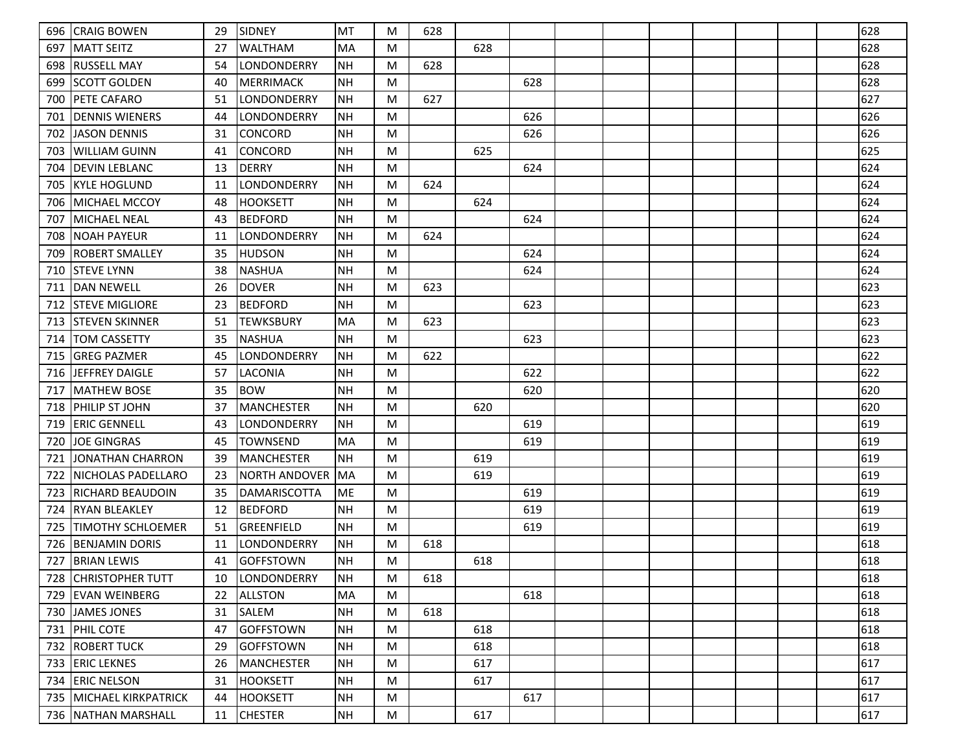| 696 | <b>CRAIG BOWEN</b>       | 29 | SIDNEY               | MT              | M | 628 |     |     |  |  |  | 628 |
|-----|--------------------------|----|----------------------|-----------------|---|-----|-----|-----|--|--|--|-----|
| 697 | IMATT SEITZ              | 27 | <b>WALTHAM</b>       | MA              | M |     | 628 |     |  |  |  | 628 |
| 698 | IRUSSELL MAY             | 54 | <b>LONDONDERRY</b>   | <b>NH</b>       | M | 628 |     |     |  |  |  | 628 |
| 699 | <b>SCOTT GOLDEN</b>      | 40 | MERRIMACK            | NH              | M |     |     | 628 |  |  |  | 628 |
| 700 | <b>PETE CAFARO</b>       | 51 | LONDONDERRY          | <b>NH</b>       | M | 627 |     |     |  |  |  | 627 |
| 701 | <b>DENNIS WIENERS</b>    | 44 | LONDONDERRY          | <b>NH</b>       | M |     |     | 626 |  |  |  | 626 |
| 702 | IJASON DENNIS            | 31 | CONCORD              | <b>NH</b>       | M |     |     | 626 |  |  |  | 626 |
| 703 | <b>WILLIAM GUINN</b>     | 41 | <b>CONCORD</b>       | <b>NH</b>       | M |     | 625 |     |  |  |  | 625 |
| 704 | <b>DEVIN LEBLANC</b>     | 13 | DERRY                | <b>NH</b>       | M |     |     | 624 |  |  |  | 624 |
| 705 | lkyle hoglund            | 11 | LONDONDERRY          | <b>NH</b>       | M | 624 |     |     |  |  |  | 624 |
| 706 | MICHAEL MCCOY            | 48 | <b>HOOKSETT</b>      | <b>NH</b>       | M |     | 624 |     |  |  |  | 624 |
| 707 | MICHAEL NEAL             | 43 | <b>BEDFORD</b>       | <b>NH</b>       | M |     |     | 624 |  |  |  | 624 |
| 708 | <b>NOAH PAYEUR</b>       | 11 | LONDONDERRY          | <b>NH</b>       | M | 624 |     |     |  |  |  | 624 |
| 709 | <b>ROBERT SMALLEY</b>    | 35 | <b>HUDSON</b>        | <b>NH</b>       | M |     |     | 624 |  |  |  | 624 |
| 710 | <b>ISTEVE LYNN</b>       | 38 | NASHUA               | NH              | M |     |     | 624 |  |  |  | 624 |
| 711 | IDAN NEWELL              | 26 | <b>DOVER</b>         | <b>NH</b>       | M | 623 |     |     |  |  |  | 623 |
| 712 | <b>ISTEVE MIGLIORE</b>   | 23 | <b>BEDFORD</b>       | <b>NH</b>       | M |     |     | 623 |  |  |  | 623 |
| 713 | <b>STEVEN SKINNER</b>    | 51 | <b>ITEWKSBURY</b>    | MA              | M | 623 |     |     |  |  |  | 623 |
| 714 | <b>TOM CASSETTY</b>      | 35 | <b>NASHUA</b>        | <b>NH</b>       | M |     |     | 623 |  |  |  | 623 |
| 715 | <b>GREG PAZMER</b>       | 45 | LONDONDERRY          | <b>NH</b>       | M | 622 |     |     |  |  |  | 622 |
| 716 | lJEFFREY DAIGLE          | 57 | LACONIA              | <b>NH</b>       | M |     |     | 622 |  |  |  | 622 |
| 717 | <b>MATHEW BOSE</b>       | 35 | <b>BOW</b>           | <b>NH</b>       | M |     |     | 620 |  |  |  | 620 |
| 718 | <b>PHILIP ST JOHN</b>    | 37 | <b>MANCHESTER</b>    | <b>NH</b>       | M |     | 620 |     |  |  |  | 620 |
| 719 | <b>ERIC GENNELL</b>      | 43 | LONDONDERRY          | <b>NH</b>       | M |     |     | 619 |  |  |  | 619 |
| 720 | <b>JOE GINGRAS</b>       | 45 | <b>TOWNSEND</b>      | MA              | M |     |     | 619 |  |  |  | 619 |
| 721 | JONATHAN CHARRON         | 39 | <b>MANCHESTER</b>    | <b>NH</b>       | M |     | 619 |     |  |  |  | 619 |
| 722 | NICHOLAS PADELLARO       | 23 | <b>NORTH ANDOVER</b> | MA              | M |     | 619 |     |  |  |  | 619 |
| 723 | IRICHARD BEAUDOIN        | 35 | <b>DAMARISCOTTA</b>  | ME              | M |     |     | 619 |  |  |  | 619 |
| 724 | <b>IRYAN BLEAKLEY</b>    | 12 | <b>BEDFORD</b>       | <b>NH</b>       | M |     |     | 619 |  |  |  | 619 |
| 725 | <b>TIMOTHY SCHLOEMER</b> | 51 | GREENFIELD           | <b>NH</b>       | M |     |     | 619 |  |  |  | 619 |
| 726 | <b>BENJAMIN DORIS</b>    | 11 | LONDONDERRY          | <b>NH</b>       | M | 618 |     |     |  |  |  | 618 |
| 727 | <b>BRIAN LEWIS</b>       | 41 | <b>GOFFSTOWN</b>     | <b>NH</b>       | M |     | 618 |     |  |  |  | 618 |
|     | 728 CHRISTOPHER TUTT     | 10 | LONDONDERRY          | NH              | M | 618 |     |     |  |  |  | 618 |
|     | 729 EVAN WEINBERG        | 22 | <b>ALLSTON</b>       | MA              | M |     |     | 618 |  |  |  | 618 |
|     | 730 JJAMES JONES         | 31 | SALEM                | <b>NH</b>       | M | 618 |     |     |  |  |  | 618 |
|     | 731 PHIL COTE            | 47 | GOFFSTOWN            | NH              | M |     | 618 |     |  |  |  | 618 |
| 732 | <b>ROBERT TUCK</b>       | 29 | GOFFSTOWN            | NH              | M |     | 618 |     |  |  |  | 618 |
| 733 | <b>ERIC LEKNES</b>       | 26 | MANCHESTER           | NH              | M |     | 617 |     |  |  |  | 617 |
| 734 | <b>ERIC NELSON</b>       | 31 | <b>HOOKSETT</b>      | <b>NH</b>       | M |     | 617 |     |  |  |  | 617 |
|     | 735 MICHAEL KIRKPATRICK  | 44 | <b>HOOKSETT</b>      | NH              | M |     |     | 617 |  |  |  | 617 |
|     | 736 NATHAN MARSHALL      | 11 | <b>CHESTER</b>       | $\mathsf{NH}{}$ | M |     | 617 |     |  |  |  | 617 |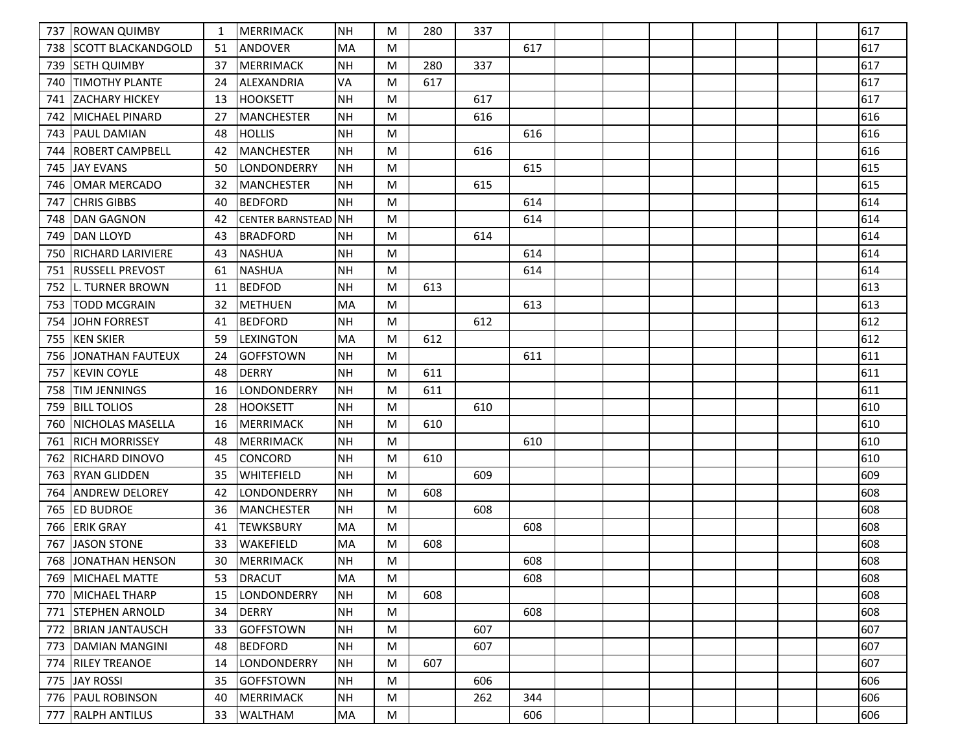| 737 | <b>IROWAN QUIMBY</b>     | 1  | MERRIMACK                  | <b>NH</b> | M | 280 | 337 |     |  |  |  | 617 |
|-----|--------------------------|----|----------------------------|-----------|---|-----|-----|-----|--|--|--|-----|
| 738 | ISCOTT BLACKANDGOLD      | 51 | <b>ANDOVER</b>             | MA        | M |     |     | 617 |  |  |  | 617 |
| 739 | <b>SETH QUIMBY</b>       | 37 | MERRIMACK                  | <b>NH</b> | M | 280 | 337 |     |  |  |  | 617 |
| 740 | <b>TIMOTHY PLANTE</b>    | 24 | ALEXANDRIA                 | VA        | M | 617 |     |     |  |  |  | 617 |
| 741 | <b>IZACHARY HICKEY</b>   | 13 | <b>HOOKSETT</b>            | <b>NH</b> | M |     | 617 |     |  |  |  | 617 |
| 742 | IMICHAEL PINARD          | 27 | <b>MANCHESTER</b>          | <b>NH</b> | M |     | 616 |     |  |  |  | 616 |
| 743 | <b>PAUL DAMIAN</b>       | 48 | <b>HOLLIS</b>              | <b>NH</b> | M |     |     | 616 |  |  |  | 616 |
| 744 | <b>ROBERT CAMPBELL</b>   | 42 | <b>MANCHESTER</b>          | <b>NH</b> | M |     | 616 |     |  |  |  | 616 |
| 745 | <b>JAY EVANS</b>         | 50 | <b>LONDONDERRY</b>         | <b>NH</b> | M |     |     | 615 |  |  |  | 615 |
| 746 | IOMAR MERCADO            | 32 | <b>MANCHESTER</b>          | NH        | M |     | 615 |     |  |  |  | 615 |
| 747 | <b>CHRIS GIBBS</b>       | 40 | <b>BEDFORD</b>             | <b>NH</b> | M |     |     | 614 |  |  |  | 614 |
| 748 | <b>DAN GAGNON</b>        | 42 | <b>CENTER BARNSTEAD NH</b> |           | M |     |     | 614 |  |  |  | 614 |
| 749 | IDAN LLOYD               | 43 | <b>BRADFORD</b>            | <b>NH</b> | M |     | 614 |     |  |  |  | 614 |
| 750 | <b>RICHARD LARIVIERE</b> | 43 | <b>NASHUA</b>              | <b>NH</b> | M |     |     | 614 |  |  |  | 614 |
| 751 | <b>RUSSELL PREVOST</b>   | 61 | <b>NASHUA</b>              | <b>NH</b> | M |     |     | 614 |  |  |  | 614 |
| 752 | ll. TURNER BROWN         | 11 | <b>BEDFOD</b>              | <b>NH</b> | M | 613 |     |     |  |  |  | 613 |
| 753 | <b>TODD MCGRAIN</b>      | 32 | <b>IMETHUEN</b>            | MA        | M |     |     | 613 |  |  |  | 613 |
| 754 | JOHN FORREST             | 41 | <b>BEDFORD</b>             | <b>NH</b> | M |     | 612 |     |  |  |  | 612 |
| 755 | <b>KEN SKIER</b>         | 59 | <b>LEXINGTON</b>           | MA        | M | 612 |     |     |  |  |  | 612 |
| 756 | <b>JONATHAN FAUTEUX</b>  | 24 | <b>GOFFSTOWN</b>           | <b>NH</b> | M |     |     | 611 |  |  |  | 611 |
| 757 | KEVIN COYLE              | 48 | <b>DERRY</b>               | NH        | M | 611 |     |     |  |  |  | 611 |
| 758 | <b>TIM JENNINGS</b>      | 16 | LONDONDERRY                | <b>NH</b> | M | 611 |     |     |  |  |  | 611 |
| 759 | <b>BILL TOLIOS</b>       | 28 | <b>HOOKSETT</b>            | <b>NH</b> | M |     | 610 |     |  |  |  | 610 |
| 760 | NICHOLAS MASELLA         | 16 | <b>MERRIMACK</b>           | NH        | M | 610 |     |     |  |  |  | 610 |
| 761 | <b>RICH MORRISSEY</b>    | 48 | <b>MERRIMACK</b>           | <b>NH</b> | M |     |     | 610 |  |  |  | 610 |
| 762 | <b>RICHARD DINOVO</b>    | 45 | CONCORD                    | <b>NH</b> | M | 610 |     |     |  |  |  | 610 |
| 763 | RYAN GLIDDEN             | 35 | <b>WHITEFIELD</b>          | NH        | M |     | 609 |     |  |  |  | 609 |
| 764 | <b>ANDREW DELOREY</b>    | 42 | LONDONDERRY                | <b>NH</b> | M | 608 |     |     |  |  |  | 608 |
| 765 | <b>ED BUDROE</b>         | 36 | <b>MANCHESTER</b>          | NH        | M |     | 608 |     |  |  |  | 608 |
| 766 | <b>ERIK GRAY</b>         | 41 | <b>TEWKSBURY</b>           | MA        | M |     |     | 608 |  |  |  | 608 |
| 767 | <b>JASON STONE</b>       | 33 | WAKEFIELD                  | MA        | M | 608 |     |     |  |  |  | 608 |
| 768 | JJONATHAN HENSON         | 30 | MERRIMACK                  | <b>NH</b> | M |     |     | 608 |  |  |  | 608 |
|     | 769   MICHAEL MATTE      | 53 | DRACUT                     | MA        | M |     |     | 608 |  |  |  | 608 |
|     | 770 MICHAEL THARP        | 15 | LONDONDERRY                | <b>NH</b> | M | 608 |     |     |  |  |  | 608 |
| 771 | <b>ISTEPHEN ARNOLD</b>   | 34 | <b>DERRY</b>               | <b>NH</b> | M |     |     | 608 |  |  |  | 608 |
| 772 | <b>BRIAN JANTAUSCH</b>   | 33 | <b>GOFFSTOWN</b>           | NH        | M |     | 607 |     |  |  |  | 607 |
|     | 773   DAMIAN MANGINI     | 48 | <b>BEDFORD</b>             | NH        | M |     | 607 |     |  |  |  | 607 |
| 774 | <b>RILEY TREANOE</b>     | 14 | LONDONDERRY                | NH        | M | 607 |     |     |  |  |  | 607 |
| 775 | JAY ROSSI                | 35 | <b>GOFFSTOWN</b>           | <b>NH</b> | M |     | 606 |     |  |  |  | 606 |
|     | 776   PAUL ROBINSON      | 40 | MERRIMACK                  | NH        | M |     | 262 | 344 |  |  |  | 606 |
|     | 777   RALPH ANTILUS      | 33 | <b>WALTHAM</b>             | MA        | M |     |     | 606 |  |  |  | 606 |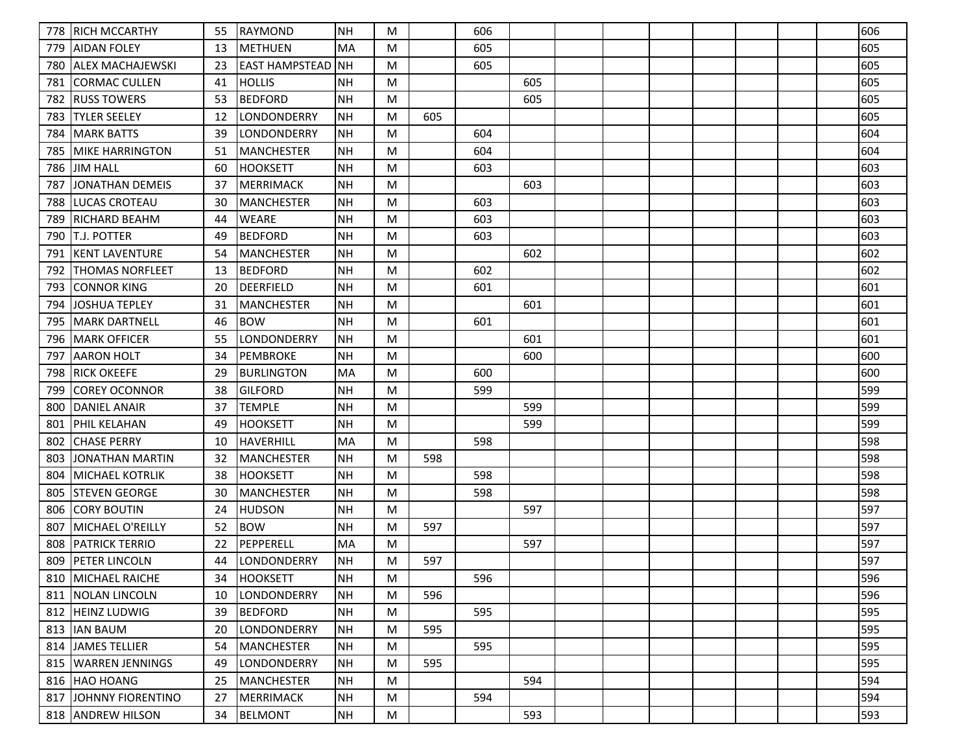| 778 | <b>RICH MCCARTHY</b>   | 55 | <b>RAYMOND</b>        | NH        | M |     | 606 |     |  |  |  | 606 |
|-----|------------------------|----|-----------------------|-----------|---|-----|-----|-----|--|--|--|-----|
| 779 | IAIDAN FOLEY           | 13 | <b>IMETHUEN</b>       | <b>MA</b> | M |     | 605 |     |  |  |  | 605 |
| 780 | ALLEX MACHAJEWSKI      | 23 | <b>EAST HAMPSTEAD</b> | <b>NH</b> | M |     | 605 |     |  |  |  | 605 |
| 781 | CORMAC CULLEN          | 41 | <b>HOLLIS</b>         | <b>NH</b> | M |     |     | 605 |  |  |  | 605 |
| 782 | <b>RUSS TOWERS</b>     | 53 | <b>BEDFORD</b>        | <b>NH</b> | M |     |     | 605 |  |  |  | 605 |
| 783 | <b>TYLER SEELEY</b>    | 12 | LONDONDERRY           | <b>NH</b> | M | 605 |     |     |  |  |  | 605 |
| 784 | <b>MARK BATTS</b>      | 39 | LONDONDERRY           | <b>NH</b> | M |     | 604 |     |  |  |  | 604 |
| 785 | <b>MIKE HARRINGTON</b> | 51 | <b>MANCHESTER</b>     | <b>NH</b> | M |     | 604 |     |  |  |  | 604 |
| 786 | <b>JIM HALL</b>        | 60 | <b>HOOKSETT</b>       | <b>NH</b> | M |     | 603 |     |  |  |  | 603 |
| 787 | JONATHAN DEMEIS        | 37 | MERRIMACK             | NH        | M |     |     | 603 |  |  |  | 603 |
| 788 | <b>LUCAS CROTEAU</b>   | 30 | MANCHESTER            | <b>NH</b> | M |     | 603 |     |  |  |  | 603 |
| 789 | <b>RICHARD BEAHM</b>   | 44 | <b>WEARE</b>          | NH        | M |     | 603 |     |  |  |  | 603 |
| 790 | IT.J. POTTER           | 49 | <b>BEDFORD</b>        | <b>NH</b> | M |     | 603 |     |  |  |  | 603 |
| 791 | <b>KENT LAVENTURE</b>  | 54 | <b>MANCHESTER</b>     | <b>NH</b> | M |     |     | 602 |  |  |  | 602 |
| 792 | <b>THOMAS NORFLEET</b> | 13 | <b>BEDFORD</b>        | NH        | M |     | 602 |     |  |  |  | 602 |
| 793 | <b>CONNOR KING</b>     | 20 | <b>DEERFIELD</b>      | <b>NH</b> | M |     | 601 |     |  |  |  | 601 |
| 794 | JOSHUA TEPLEY          | 31 | <b>MANCHESTER</b>     | <b>NH</b> | M |     |     | 601 |  |  |  | 601 |
| 795 | <b>MARK DARTNELL</b>   | 46 | <b>BOW</b>            | NH        | M |     | 601 |     |  |  |  | 601 |
| 796 | <b>MARK OFFICER</b>    | 55 | LONDONDERRY           | <b>NH</b> | M |     |     | 601 |  |  |  | 601 |
| 797 | AARON HOLT             | 34 | <b>PEMBROKE</b>       | <b>NH</b> | M |     |     | 600 |  |  |  | 600 |
| 798 | <b>RICK OKEEFE</b>     | 29 | <b>BURLINGTON</b>     | MA        | M |     | 600 |     |  |  |  | 600 |
| 799 | COREY OCONNOR          | 38 | <b>GILFORD</b>        | <b>NH</b> | M |     | 599 |     |  |  |  | 599 |
| 800 | DANIEL ANAIR           | 37 | <b>TEMPLE</b>         | <b>NH</b> | M |     |     | 599 |  |  |  | 599 |
| 801 | <b>PHIL KELAHAN</b>    | 49 | <b>HOOKSETT</b>       | <b>NH</b> | M |     |     | 599 |  |  |  | 599 |
| 802 | <b>CHASE PERRY</b>     | 10 | HAVERHILL             | MA        | M |     | 598 |     |  |  |  | 598 |
| 803 | JONATHAN MARTIN        | 32 | <b>MANCHESTER</b>     | NH        | M | 598 |     |     |  |  |  | 598 |
| 804 | <b>MICHAEL KOTRLIK</b> | 38 | <b>HOOKSETT</b>       | <b>NH</b> | M |     | 598 |     |  |  |  | 598 |
| 805 | <b>ISTEVEN GEORGE</b>  | 30 | <b>MANCHESTER</b>     | <b>NH</b> | M |     | 598 |     |  |  |  | 598 |
| 806 | ICORY BOUTIN           | 24 | HUDSON                | <b>NH</b> | M |     |     | 597 |  |  |  | 597 |
| 807 | MICHAEL O'REILLY       | 52 | <b>BOW</b>            | <b>NH</b> | M | 597 |     |     |  |  |  | 597 |
| 808 | <b>PATRICK TERRIO</b>  | 22 | PEPPERELL             | MA        | M |     |     | 597 |  |  |  | 597 |
| 809 | <b>PETER LINCOLN</b>   | 44 | LONDONDERRY           | <b>NH</b> | M | 597 |     |     |  |  |  | 597 |
|     | 810   MICHAEL RAICHE   | 34 | HOOKSETT              | NH        | M |     | 596 |     |  |  |  | 596 |
| 811 | NOLAN LINCOLN          | 10 | <b>LONDONDERRY</b>    | <b>NH</b> | M | 596 |     |     |  |  |  | 596 |
| 812 | <b>HEINZ LUDWIG</b>    | 39 | <b>BEDFORD</b>        | <b>NH</b> | M |     | 595 |     |  |  |  | 595 |
|     | 813  IAN BAUM          | 20 | LONDONDERRY           | NH        | M | 595 |     |     |  |  |  | 595 |
| 814 | JAMES TELLIER          | 54 | MANCHESTER            | NH        | M |     | 595 |     |  |  |  | 595 |
| 815 | <b>WARREN JENNINGS</b> | 49 | LONDONDERRY           | NH        | M | 595 |     |     |  |  |  | 595 |
|     | 816 HAO HOANG          | 25 | MANCHESTER            | <b>NH</b> | M |     |     | 594 |  |  |  | 594 |
| 817 | JOHNNY FIORENTINO      | 27 | MERRIMACK             | NH        | M |     | 594 |     |  |  |  | 594 |
|     | 818 ANDREW HILSON      | 34 | <b>BELMONT</b>        | NH        | M |     |     | 593 |  |  |  | 593 |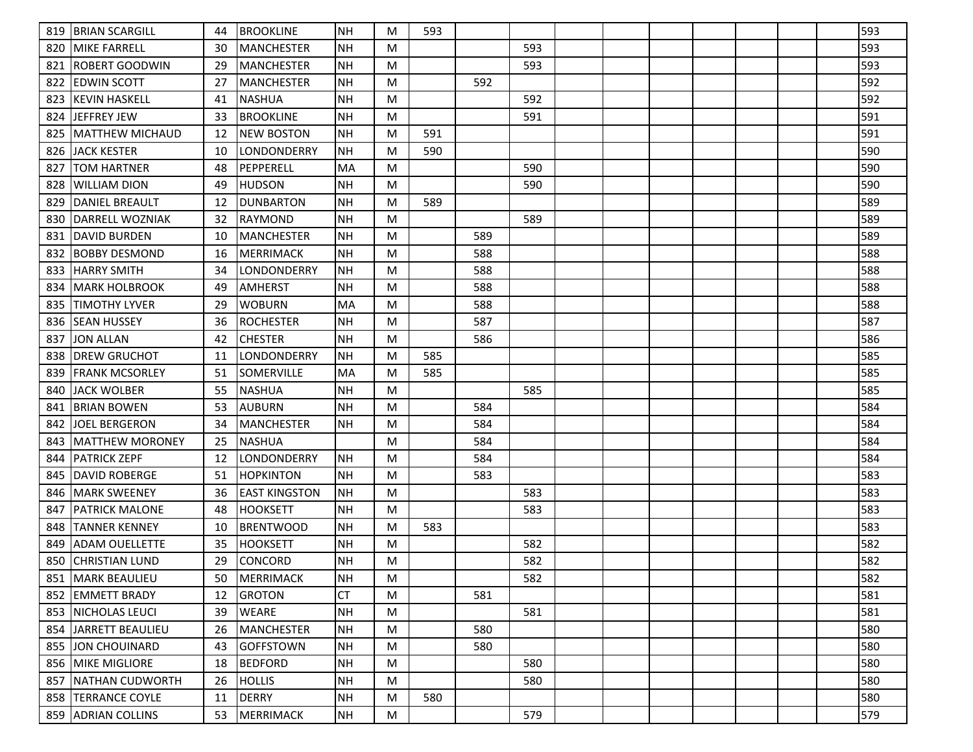| 819 | <b>BRIAN SCARGILL</b>  | 44 | <b>BROOKLINE</b>     | NH        | M | 593 |     |     |  |  |  | 593 |
|-----|------------------------|----|----------------------|-----------|---|-----|-----|-----|--|--|--|-----|
| 820 | IMIKE FARRELL          | 30 | MANCHESTER           | <b>NH</b> | M |     |     | 593 |  |  |  | 593 |
| 821 | IROBERT GOODWIN        | 29 | <b>IMANCHESTER</b>   | <b>NH</b> | M |     |     | 593 |  |  |  | 593 |
| 822 | <b>EDWIN SCOTT</b>     | 27 | MANCHESTER           | NH        | M |     | 592 |     |  |  |  | 592 |
| 823 | <b>KEVIN HASKELL</b>   | 41 | <b>NASHUA</b>        | <b>NH</b> | M |     |     | 592 |  |  |  | 592 |
| 824 | JEFFREY JEW            | 33 | <b>BROOKLINE</b>     | <b>NH</b> | M |     |     | 591 |  |  |  | 591 |
| 825 | IMATTHEW MICHAUD       | 12 | <b>NEW BOSTON</b>    | <b>NH</b> | M | 591 |     |     |  |  |  | 591 |
| 826 | <b>JACK KESTER</b>     | 10 | LONDONDERRY          | <b>NH</b> | M | 590 |     |     |  |  |  | 590 |
| 827 | ITOM HARTNER           | 48 | <b>PEPPERELL</b>     | <b>MA</b> | M |     |     | 590 |  |  |  | 590 |
| 828 | iwilliam dion          | 49 | <b>HUDSON</b>        | <b>NH</b> | M |     |     | 590 |  |  |  | 590 |
| 829 | <b>IDANIEL BREAULT</b> | 12 | <b>DUNBARTON</b>     | <b>NH</b> | M | 589 |     |     |  |  |  | 589 |
| 830 | IDARRELL WOZNIAK       | 32 | <b>RAYMOND</b>       | NH        | M |     |     | 589 |  |  |  | 589 |
| 831 | IDAVID BURDEN          | 10 | MANCHESTER           | <b>NH</b> | M |     | 589 |     |  |  |  | 589 |
| 832 | BOBBY DESMOND          | 16 | <b>MERRIMACK</b>     | <b>NH</b> | M |     | 588 |     |  |  |  | 588 |
| 833 | <b>HARRY SMITH</b>     | 34 | LONDONDERRY          | NH        | M |     | 588 |     |  |  |  | 588 |
| 834 | <b>IMARK HOLBROOK</b>  | 49 | AMHERST              | <b>NH</b> | M |     | 588 |     |  |  |  | 588 |
| 835 | <b>ITIMOTHY LYVER</b>  | 29 | <b>WOBURN</b>        | MA        | M |     | 588 |     |  |  |  | 588 |
| 836 | <b>SEAN HUSSEY</b>     | 36 | <b>ROCHESTER</b>     | NH        | M |     | 587 |     |  |  |  | 587 |
| 837 | <b>JON ALLAN</b>       | 42 | <b>CHESTER</b>       | <b>NH</b> | M |     | 586 |     |  |  |  | 586 |
| 838 | <b>IDREW GRUCHOT</b>   | 11 | LONDONDERRY          | <b>NH</b> | M | 585 |     |     |  |  |  | 585 |
| 839 | FRANK MCSORLEY         | 51 | <b>SOMERVILLE</b>    | MA        | M | 585 |     |     |  |  |  | 585 |
| 840 | JACK WOLBER            | 55 | <b>NASHUA</b>        | <b>NH</b> | M |     |     | 585 |  |  |  | 585 |
| 841 | <b>BRIAN BOWEN</b>     | 53 | <b>AUBURN</b>        | <b>NH</b> | M |     | 584 |     |  |  |  | 584 |
| 842 | IJOEL BERGERON         | 34 | MANCHESTER           | <b>NH</b> | M |     | 584 |     |  |  |  | 584 |
| 843 | <b>MATTHEW MORONEY</b> | 25 | <b>NASHUA</b>        |           | M |     | 584 |     |  |  |  | 584 |
| 844 | <b>PATRICK ZEPF</b>    | 12 | LONDONDERRY          | NH        | M |     | 584 |     |  |  |  | 584 |
| 845 | <b>DAVID ROBERGE</b>   | 51 | <b>HOPKINTON</b>     | <b>NH</b> | M |     | 583 |     |  |  |  | 583 |
| 846 | IMARK SWEENEY          | 36 | <b>EAST KINGSTON</b> | NH        | M |     |     | 583 |  |  |  | 583 |
| 847 | <b>PATRICK MALONE</b>  | 48 | <b>HOOKSETT</b>      | <b>NH</b> | M |     |     | 583 |  |  |  | 583 |
| 848 | <b>TANNER KENNEY</b>   | 10 | <b>BRENTWOOD</b>     | <b>NH</b> | M | 583 |     |     |  |  |  | 583 |
| 849 | ADAM OUELLETTE         | 35 | <b>HOOKSETT</b>      | <b>NH</b> | M |     |     | 582 |  |  |  | 582 |
| 850 | <b>CHRISTIAN LUND</b>  | 29 | CONCORD              | <b>NH</b> | M |     |     | 582 |  |  |  | 582 |
|     | 851   MARK BEAULIEU    | 50 | <b>MERRIMACK</b>     | NH        | M |     |     | 582 |  |  |  | 582 |
| 852 | <b>EMMETT BRADY</b>    | 12 | <b>GROTON</b>        | CT        | M |     | 581 |     |  |  |  | 581 |
| 853 | <b>INICHOLAS LEUCI</b> | 39 | WEARE                | NH        | M |     |     | 581 |  |  |  | 581 |
| 854 | JARRETT BEAULIEU       | 26 | MANCHESTER           | NH        | M |     | 580 |     |  |  |  | 580 |
|     | 855 JJON CHOUINARD     | 43 | <b>GOFFSTOWN</b>     | NH        | M |     | 580 |     |  |  |  | 580 |
| 856 | <b>MIKE MIGLIORE</b>   | 18 | <b>BEDFORD</b>       | <b>NH</b> | M |     |     | 580 |  |  |  | 580 |
| 857 | <b>NATHAN CUDWORTH</b> | 26 | <b>HOLLIS</b>        | <b>NH</b> | M |     |     | 580 |  |  |  | 580 |
|     | 858   TERRANCE COYLE   | 11 | DERRY                | NH        | M | 580 |     |     |  |  |  | 580 |
|     | 859 ADRIAN COLLINS     | 53 | MERRIMACK            | NH        | M |     |     | 579 |  |  |  | 579 |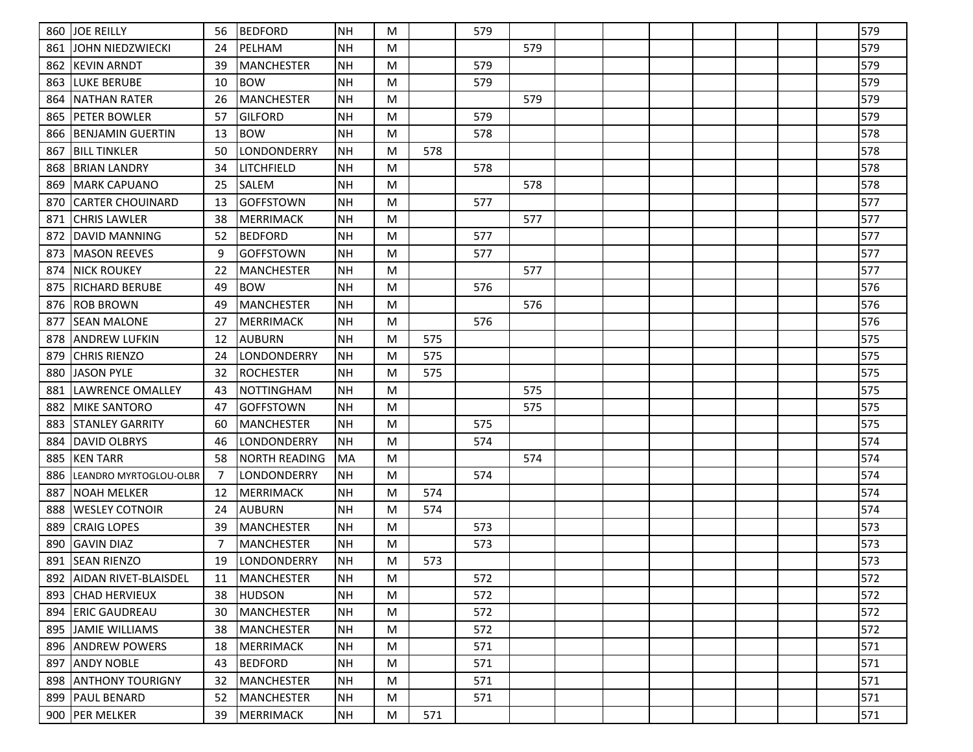| 860 | <b>JOE REILLY</b>          | 56 | <b>BEDFORD</b>       | <b>NH</b> | M         |     | 579 |     |  |  |  | 579 |
|-----|----------------------------|----|----------------------|-----------|-----------|-----|-----|-----|--|--|--|-----|
| 861 | ljohn niedzwiecki          | 24 | PELHAM               | <b>NH</b> | M         |     |     | 579 |  |  |  | 579 |
| 862 | KEVIN ARNDT                | 39 | <b>MANCHESTER</b>    | <b>NH</b> | M         |     | 579 |     |  |  |  | 579 |
| 863 | LUKE BERUBE                | 10 | <b>BOW</b>           | <b>NH</b> | M         |     | 579 |     |  |  |  | 579 |
| 864 | INATHAN RATER              | 26 | <b>MANCHESTER</b>    | <b>NH</b> | M         |     |     | 579 |  |  |  | 579 |
| 865 | IPETER BOWLER              | 57 | <b>GILFORD</b>       | <b>NH</b> | M         |     | 579 |     |  |  |  | 579 |
| 866 | BENJAMIN GUERTIN           | 13 | <b>BOW</b>           | <b>NH</b> | M         |     | 578 |     |  |  |  | 578 |
| 867 | <b>BILL TINKLER</b>        | 50 | LONDONDERRY          | <b>NH</b> | M         | 578 |     |     |  |  |  | 578 |
| 868 | IBRIAN LANDRY              | 34 | LITCHFIELD           | <b>NH</b> | M         |     | 578 |     |  |  |  | 578 |
| 869 | MARK CAPUANO               | 25 | <b>SALEM</b>         | <b>NH</b> | M         |     |     | 578 |  |  |  | 578 |
| 870 | ICARTER CHOUINARD          | 13 | <b>GOFFSTOWN</b>     | <b>NH</b> | M         |     | 577 |     |  |  |  | 577 |
| 871 | <b>CHRIS LAWLER</b>        | 38 | <b>MERRIMACK</b>     | <b>NH</b> | M         |     |     | 577 |  |  |  | 577 |
| 872 | IDAVID MANNING             | 52 | <b>BEDFORD</b>       | <b>NH</b> | M         |     | 577 |     |  |  |  | 577 |
| 873 | <b>MASON REEVES</b>        | 9  | <b>GOFFSTOWN</b>     | <b>NH</b> | M         |     | 577 |     |  |  |  | 577 |
| 874 | NICK ROUKEY                | 22 | <b>MANCHESTER</b>    | <b>NH</b> | M         |     |     | 577 |  |  |  | 577 |
| 875 | IRICHARD BERUBE            | 49 | <b>BOW</b>           | <b>NH</b> | M         |     | 576 |     |  |  |  | 576 |
| 876 | <b>ROB BROWN</b>           | 49 | <b>MANCHESTER</b>    | <b>NH</b> | M         |     |     | 576 |  |  |  | 576 |
| 877 | <b>SEAN MALONE</b>         | 27 | MERRIMACK            | <b>NH</b> | M         |     | 576 |     |  |  |  | 576 |
| 878 | ANDREW LUFKIN              | 12 | <b>AUBURN</b>        | <b>NH</b> | M         | 575 |     |     |  |  |  | 575 |
| 879 | ICHRIS RIENZO              | 24 | LONDONDERRY          | <b>NH</b> | M         | 575 |     |     |  |  |  | 575 |
| 880 | <b>JASON PYLE</b>          | 32 | <b>ROCHESTER</b>     | <b>NH</b> | M         | 575 |     |     |  |  |  | 575 |
| 881 | LAWRENCE OMALLEY           | 43 | <b>NOTTINGHAM</b>    | <b>NH</b> | M         |     |     | 575 |  |  |  | 575 |
| 882 | IMIKE SANTORO              | 47 | <b>GOFFSTOWN</b>     | <b>NH</b> | M         |     |     | 575 |  |  |  | 575 |
| 883 | <b>STANLEY GARRITY</b>     | 60 | MANCHESTER           | <b>NH</b> | M         |     | 575 |     |  |  |  | 575 |
| 884 | <b>DAVID OLBRYS</b>        | 46 | LONDONDERRY          | <b>NH</b> | M         |     | 574 |     |  |  |  | 574 |
| 885 | <b>KEN TARR</b>            | 58 | <b>NORTH READING</b> | <b>MA</b> | M         |     |     | 574 |  |  |  | 574 |
| 886 | LEANDRO MYRTOGLOU-OLBR     | -7 | LONDONDERRY          | <b>NH</b> | M         |     | 574 |     |  |  |  | 574 |
| 887 | NOAH MELKER                | 12 | <b>MERRIMACK</b>     | <b>NH</b> | M         | 574 |     |     |  |  |  | 574 |
| 888 | <b>WESLEY COTNOIR</b>      | 24 | <b>AUBURN</b>        | <b>NH</b> | M         | 574 |     |     |  |  |  | 574 |
| 889 | <b>CRAIG LOPES</b>         | 39 | <b>MANCHESTER</b>    | <b>NH</b> | M         |     | 573 |     |  |  |  | 573 |
| 890 | <b>GAVIN DIAZ</b>          | 7  | <b>MANCHESTER</b>    | <b>NH</b> | M         |     | 573 |     |  |  |  | 573 |
| 891 | <b>SEAN RIENZO</b>         | 19 | LONDONDERRY          | <b>NH</b> | M         | 573 |     |     |  |  |  | 573 |
|     | 892   AIDAN RIVET-BLAISDEL | 11 | MANCHESTER           | NH        | M         |     | 572 |     |  |  |  | 572 |
| 893 | <b>CHAD HERVIEUX</b>       | 38 | <b>HUDSON</b>        | <b>NH</b> | M         |     | 572 |     |  |  |  | 572 |
| 894 | <b>ERIC GAUDREAU</b>       | 30 | <b>MANCHESTER</b>    | <b>NH</b> | M         |     | 572 |     |  |  |  | 572 |
|     | 895 JAMIE WILLIAMS         | 38 | MANCHESTER           | <b>NH</b> | ${\sf M}$ |     | 572 |     |  |  |  | 572 |
| 896 | <b>ANDREW POWERS</b>       | 18 | <b>MERRIMACK</b>     | <b>NH</b> | M         |     | 571 |     |  |  |  | 571 |
| 897 | <b>ANDY NOBLE</b>          | 43 | <b>BEDFORD</b>       | <b>NH</b> | M         |     | 571 |     |  |  |  | 571 |
| 898 | <b>ANTHONY TOURIGNY</b>    | 32 | <b>MANCHESTER</b>    | <b>NH</b> | ${\sf M}$ |     | 571 |     |  |  |  | 571 |
| 899 | <b>PAUL BENARD</b>         | 52 | MANCHESTER           | <b>NH</b> | M         |     | 571 |     |  |  |  | 571 |
|     | 900 PER MELKER             | 39 | MERRIMACK            | <b>NH</b> | M         | 571 |     |     |  |  |  | 571 |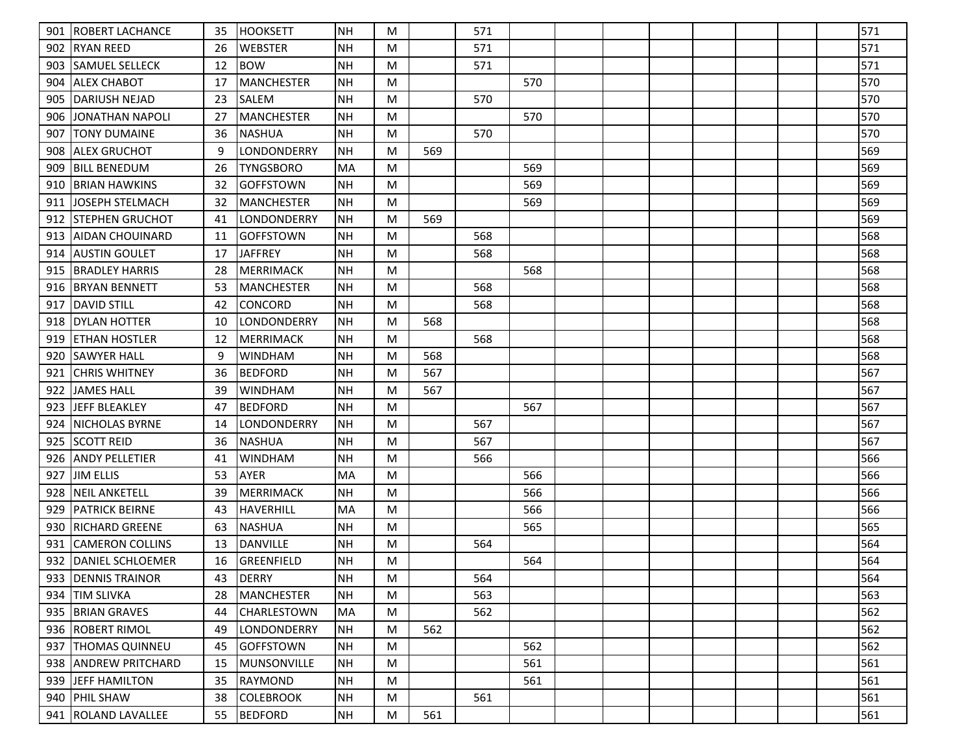| 901 | <b>ROBERT LACHANCE</b>  | 35 | <b>HOOKSETT</b>    | <b>NH</b> | M |     | 571 |     |  |  |  | 571 |
|-----|-------------------------|----|--------------------|-----------|---|-----|-----|-----|--|--|--|-----|
| 902 | IRYAN REED              | 26 | <b>WEBSTER</b>     | <b>NH</b> | M |     | 571 |     |  |  |  | 571 |
| 903 | <b>SAMUEL SELLECK</b>   | 12 | <b>BOW</b>         | <b>NH</b> | M |     | 571 |     |  |  |  | 571 |
| 904 | <b>ALEX CHABOT</b>      | 17 | MANCHESTER         | NH        | M |     |     | 570 |  |  |  | 570 |
| 905 | IDARIUSH NEJAD          | 23 | lsalem             | <b>NH</b> | M |     | 570 |     |  |  |  | 570 |
| 906 | <b>JONATHAN NAPOLI</b>  | 27 | <b>MANCHESTER</b>  | <b>NH</b> | M |     |     | 570 |  |  |  | 570 |
| 907 | <b>TONY DUMAINE</b>     | 36 | <b>NASHUA</b>      | <b>NH</b> | M |     | 570 |     |  |  |  | 570 |
| 908 | <b>ALEX GRUCHOT</b>     | 9  | LONDONDERRY        | <b>NH</b> | M | 569 |     |     |  |  |  | 569 |
| 909 | <b>BILL BENEDUM</b>     | 26 | <b>TYNGSBORO</b>   | MA        | M |     |     | 569 |  |  |  | 569 |
| 910 | <b>BRIAN HAWKINS</b>    | 32 | <b>GOFFSTOWN</b>   | NH        | M |     |     | 569 |  |  |  | 569 |
| 911 | <b>JJOSEPH STELMACH</b> | 32 | <b>MANCHESTER</b>  | NH        | M |     |     | 569 |  |  |  | 569 |
| 912 | <b>ISTEPHEN GRUCHOT</b> | 41 | LONDONDERRY        | <b>NH</b> | M | 569 |     |     |  |  |  | 569 |
| 913 | AIDAN CHOUINARD         | 11 | <b>GOFFSTOWN</b>   | <b>NH</b> | M |     | 568 |     |  |  |  | 568 |
| 914 | <b>AUSTIN GOULET</b>    | 17 | <b>JAFFREY</b>     | <b>NH</b> | M |     | 568 |     |  |  |  | 568 |
| 915 | <b>BRADLEY HARRIS</b>   | 28 | MERRIMACK          | NH        | M |     |     | 568 |  |  |  | 568 |
| 916 | <b>BRYAN BENNETT</b>    | 53 | MANCHESTER         | NH        | M |     | 568 |     |  |  |  | 568 |
| 917 | <b>DAVID STILL</b>      | 42 | <b>CONCORD</b>     | <b>NH</b> | M |     | 568 |     |  |  |  | 568 |
| 918 | <b>DYLAN HOTTER</b>     | 10 | LONDONDERRY        | NH        | M | 568 |     |     |  |  |  | 568 |
| 919 | <b> ETHAN HOSTLER</b>   | 12 | <b>MERRIMACK</b>   | <b>NH</b> | M |     | 568 |     |  |  |  | 568 |
| 920 | <b>SAWYER HALL</b>      | 9  | <b>WINDHAM</b>     | <b>NH</b> | M | 568 |     |     |  |  |  | 568 |
| 921 | <b>CHRIS WHITNEY</b>    | 36 | <b>BEDFORD</b>     | NH        | M | 567 |     |     |  |  |  | 567 |
| 922 | <b>JAMES HALL</b>       | 39 | <b>WINDHAM</b>     | <b>NH</b> | M | 567 |     |     |  |  |  | 567 |
| 923 | <b>JEFF BLEAKLEY</b>    | 47 | <b>BEDFORD</b>     | <b>NH</b> | M |     |     | 567 |  |  |  | 567 |
| 924 | <b>NICHOLAS BYRNE</b>   | 14 | <b>LONDONDERRY</b> | NH        | M |     | 567 |     |  |  |  | 567 |
| 925 | <b>SCOTT REID</b>       | 36 | <b>NASHUA</b>      | <b>NH</b> | M |     | 567 |     |  |  |  | 567 |
| 926 | <b>ANDY PELLETIER</b>   | 41 | <b>WINDHAM</b>     | <b>NH</b> | M |     | 566 |     |  |  |  | 566 |
| 927 | <b>JIM ELLIS</b>        | 53 | <b>AYER</b>        | MA        | M |     |     | 566 |  |  |  | 566 |
| 928 | <b>NEIL ANKETELL</b>    | 39 | MERRIMACK          | <b>NH</b> | M |     |     | 566 |  |  |  | 566 |
| 929 | <b>PATRICK BEIRNE</b>   | 43 | HAVERHILL          | MA        | M |     |     | 566 |  |  |  | 566 |
| 930 | <b>RICHARD GREENE</b>   | 63 | <b>NASHUA</b>      | <b>NH</b> | M |     |     | 565 |  |  |  | 565 |
| 931 | ICAMERON COLLINS        | 13 | DANVILLE           | <b>NH</b> | M |     | 564 |     |  |  |  | 564 |
| 932 | DANIEL SCHLOEMER        | 16 | GREENFIELD         | <b>NH</b> | M |     |     | 564 |  |  |  | 564 |
|     | 933   DENNIS TRAINOR    | 43 | DERRY              | NH        | M |     | 564 |     |  |  |  | 564 |
|     | 934 TIM SLIVKA          | 28 | MANCHESTER         | <b>NH</b> | M |     | 563 |     |  |  |  | 563 |
|     | 935   BRIAN GRAVES      | 44 | <b>CHARLESTOWN</b> | MA        | M |     | 562 |     |  |  |  | 562 |
|     | 936   ROBERT RIMOL      | 49 | LONDONDERRY        | NH        | M | 562 |     |     |  |  |  | 562 |
| 937 | <b>THOMAS QUINNEU</b>   | 45 | GOFFSTOWN          | NH        | M |     |     | 562 |  |  |  | 562 |
| 938 | <b>ANDREW PRITCHARD</b> | 15 | IMUNSONVILLE       | NH        | M |     |     | 561 |  |  |  | 561 |
|     | 939 JEFF HAMILTON       | 35 | RAYMOND            | <b>NH</b> | M |     |     | 561 |  |  |  | 561 |
|     | 940   PHIL SHAW         | 38 | <b>COLEBROOK</b>   | NH        | M |     | 561 |     |  |  |  | 561 |
|     | 941   ROLAND LAVALLEE   | 55 | BEDFORD            | NH        | M | 561 |     |     |  |  |  | 561 |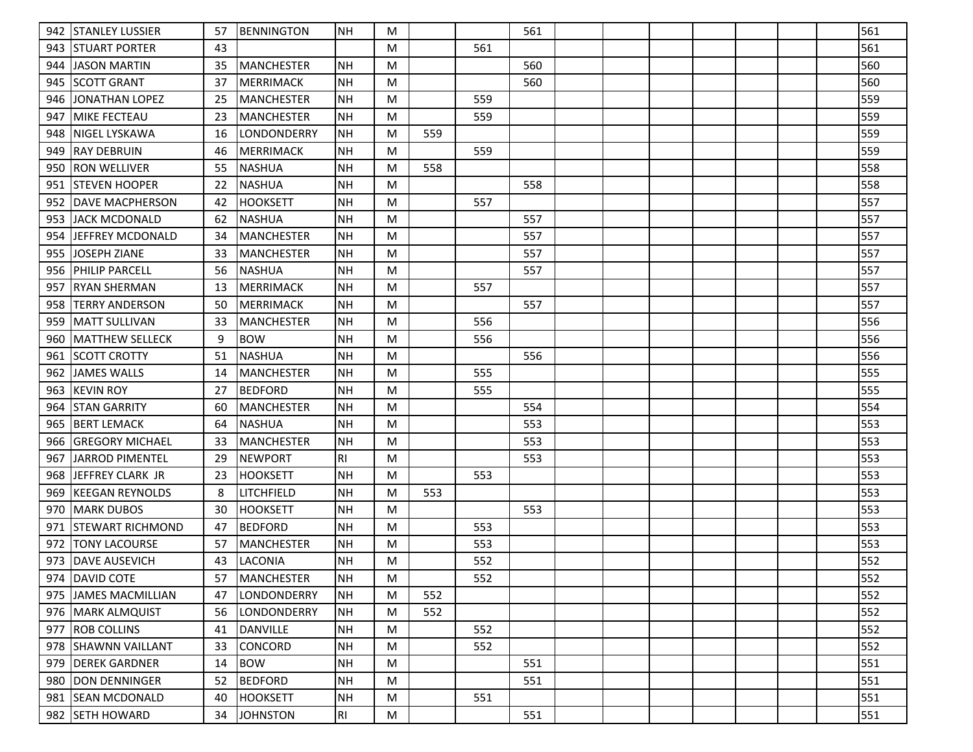| 942 | <b>STANLEY LUSSIER</b>  | 57 | BENNINGTON        | <b>NH</b>      | M |     |     | 561 |  |  |  | 561 |
|-----|-------------------------|----|-------------------|----------------|---|-----|-----|-----|--|--|--|-----|
| 943 | <b>ISTUART PORTER</b>   | 43 |                   |                | M |     | 561 |     |  |  |  | 561 |
| 944 | JASON MARTIN            | 35 | MANCHESTER        | NH             | M |     |     | 560 |  |  |  | 560 |
| 945 | <b>SCOTT GRANT</b>      | 37 | MERRIMACK         | NH             | M |     |     | 560 |  |  |  | 560 |
| 946 | <b>JONATHAN LOPEZ</b>   | 25 | <b>MANCHESTER</b> | NH             | M |     | 559 |     |  |  |  | 559 |
| 947 | <b>MIKE FECTEAU</b>     | 23 | MANCHESTER        | <b>NH</b>      | M |     | 559 |     |  |  |  | 559 |
| 948 | NIGEL LYSKAWA           | 16 | LONDONDERRY       | <b>NH</b>      | M | 559 |     |     |  |  |  | 559 |
| 949 | <b>RAY DEBRUIN</b>      | 46 | <b>MERRIMACK</b>  | <b>NH</b>      | M |     | 559 |     |  |  |  | 559 |
| 950 | IRON WELLIVER           | 55 | <b>NASHUA</b>     | <b>NH</b>      | M | 558 |     |     |  |  |  | 558 |
| 951 | <b>ISTEVEN HOOPER</b>   | 22 | <b>NASHUA</b>     | <b>NH</b>      | M |     |     | 558 |  |  |  | 558 |
| 952 | <b>IDAVE MACPHERSON</b> | 42 | <b>HOOKSETT</b>   | <b>NH</b>      | M |     | 557 |     |  |  |  | 557 |
| 953 | IJACK MCDONALD          | 62 | <b>NASHUA</b>     | <b>NH</b>      | M |     |     | 557 |  |  |  | 557 |
| 954 | <b>JEFFREY MCDONALD</b> | 34 | <b>MANCHESTER</b> | <b>NH</b>      | M |     |     | 557 |  |  |  | 557 |
| 955 | JOSEPH ZIANE            | 33 | MANCHESTER        | <b>NH</b>      | M |     |     | 557 |  |  |  | 557 |
| 956 | <b>PHILIP PARCELL</b>   | 56 | <b>NASHUA</b>     | <b>NH</b>      | M |     |     | 557 |  |  |  | 557 |
| 957 | IRYAN SHERMAN           | 13 | <b>MERRIMACK</b>  | <b>NH</b>      | M |     | 557 |     |  |  |  | 557 |
| 958 | <b>TERRY ANDERSON</b>   | 50 | MERRIMACK         | <b>NH</b>      | M |     |     | 557 |  |  |  | 557 |
| 959 | MATT SULLIVAN           | 33 | MANCHESTER        | NH             | M |     | 556 |     |  |  |  | 556 |
| 960 | <b>IMATTHEW SELLECK</b> | 9  | <b>BOW</b>        | <b>NH</b>      | M |     | 556 |     |  |  |  | 556 |
| 961 | <b>SCOTT CROTTY</b>     | 51 | <b>NASHUA</b>     | <b>NH</b>      | M |     |     | 556 |  |  |  | 556 |
| 962 | JAMES WALLS             | 14 | MANCHESTER        | NH             | M |     | 555 |     |  |  |  | 555 |
| 963 | <b>KEVIN ROY</b>        | 27 | <b>BEDFORD</b>    | <b>NH</b>      | M |     | 555 |     |  |  |  | 555 |
| 964 | <b>STAN GARRITY</b>     | 60 | MANCHESTER        | <b>NH</b>      | M |     |     | 554 |  |  |  | 554 |
| 965 | <b>BERT LEMACK</b>      | 64 | <b>NASHUA</b>     | <b>NH</b>      | M |     |     | 553 |  |  |  | 553 |
| 966 | <b>GREGORY MICHAEL</b>  | 33 | <b>MANCHESTER</b> | <b>NH</b>      | M |     |     | 553 |  |  |  | 553 |
| 967 | <b>JARROD PIMENTEL</b>  | 29 | <b>NEWPORT</b>    | R <sub>l</sub> | M |     |     | 553 |  |  |  | 553 |
| 968 | IJEFFREY CLARK JR       | 23 | <b>HOOKSETT</b>   | <b>NH</b>      | M |     | 553 |     |  |  |  | 553 |
| 969 | <b>KEEGAN REYNOLDS</b>  | 8  | LITCHFIELD        | <b>NH</b>      | M | 553 |     |     |  |  |  | 553 |
| 970 | <b>MARK DUBOS</b>       | 30 | <b>HOOKSETT</b>   | <b>NH</b>      | M |     |     | 553 |  |  |  | 553 |
| 971 | <b>STEWART RICHMOND</b> | 47 | <b>BEDFORD</b>    | <b>NH</b>      | M |     | 553 |     |  |  |  | 553 |
| 972 | <b>TONY LACOURSE</b>    | 57 | MANCHESTER        | <b>NH</b>      | M |     | 553 |     |  |  |  | 553 |
|     | 973   DAVE AUSEVICH     | 43 | <b>LACONIA</b>    | <b>NH</b>      | M |     | 552 |     |  |  |  | 552 |
|     | 974   DAVID COTE        | 57 | MANCHESTER        | NH             | M |     | 552 |     |  |  |  | 552 |
|     | 975 JJAMES MACMILLIAN   | 47 | LONDONDERRY       | <b>NH</b>      | M | 552 |     |     |  |  |  | 552 |
|     | 976   MARK ALMQUIST     | 56 | LONDONDERRY       | NH             | M | 552 |     |     |  |  |  | 552 |
|     | 977 ROB COLLINS         | 41 | DANVILLE          | NH             | M |     | 552 |     |  |  |  | 552 |
|     | 978 SHAWNN VAILLANT     | 33 | <b>CONCORD</b>    | <b>NH</b>      | M |     | 552 |     |  |  |  | 552 |
| 979 | <b>DEREK GARDNER</b>    | 14 | <b>BOW</b>        | <b>NH</b>      | M |     |     | 551 |  |  |  | 551 |
| 980 | DON DENNINGER           | 52 | <b>BEDFORD</b>    | <b>NH</b>      | M |     |     | 551 |  |  |  | 551 |
|     | 981 SEAN MCDONALD       | 40 | <b>HOOKSETT</b>   | NH             | M |     | 551 |     |  |  |  | 551 |
|     | 982 SETH HOWARD         | 34 | <b>JOHNSTON</b>   | RI             | M |     |     | 551 |  |  |  | 551 |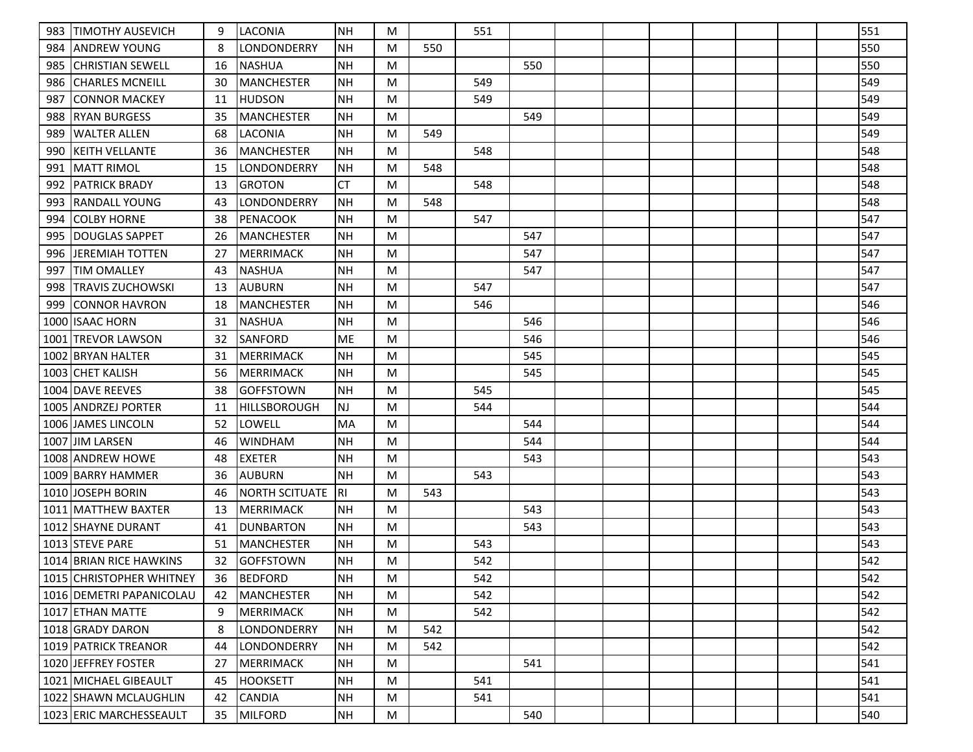| 983  | <b>ITIMOTHY AUSEVICH</b> | 9  | ILACONIA              | NH        | M |     | 551 |     |  |  |  | 551 |
|------|--------------------------|----|-----------------------|-----------|---|-----|-----|-----|--|--|--|-----|
| 984  | IANDREW YOUNG            | 8  | <b>LONDONDERRY</b>    | <b>NH</b> | M | 550 |     |     |  |  |  | 550 |
| 985  | CHRISTIAN SEWELL         | 16 | NASHUA                | <b>NH</b> | M |     |     | 550 |  |  |  | 550 |
| 986  | <b>CHARLES MCNEILL</b>   | 30 | MANCHESTER            | NH        | M |     | 549 |     |  |  |  | 549 |
| 987  | ICONNOR MACKEY           | 11 | <b>HUDSON</b>         | <b>NH</b> | M |     | 549 |     |  |  |  | 549 |
| 988  | <b>RYAN BURGESS</b>      | 35 | MANCHESTER            | <b>NH</b> | M |     |     | 549 |  |  |  | 549 |
| 989  | WALTER ALLEN             | 68 | ILACONIA              | <b>NH</b> | M | 549 |     |     |  |  |  | 549 |
| 990  | KEITH VELLANTE           | 36 | <b>MANCHESTER</b>     | <b>NH</b> | M |     | 548 |     |  |  |  | 548 |
| 991  | IMATT RIMOL              | 15 | LONDONDERRY           | <b>NH</b> | M | 548 |     |     |  |  |  | 548 |
| 992  | <b>IPATRICK BRADY</b>    | 13 | <b>GROTON</b>         | <b>CT</b> | M |     | 548 |     |  |  |  | 548 |
| 993  | <b>IRANDALL YOUNG</b>    | 43 | LONDONDERRY           | <b>NH</b> | M | 548 |     |     |  |  |  | 548 |
| 994  | <b>COLBY HORNE</b>       | 38 | <b>PENACOOK</b>       | <b>NH</b> | M |     | 547 |     |  |  |  | 547 |
| 995  | DOUGLAS SAPPET           | 26 | MANCHESTER            | <b>NH</b> | M |     |     | 547 |  |  |  | 547 |
| 996  | JEREMIAH TOTTEN          | 27 | MERRIMACK             | <b>NH</b> | M |     |     | 547 |  |  |  | 547 |
| 997  | <b>TIM OMALLEY</b>       | 43 | <b>NASHUA</b>         | <b>NH</b> | M |     |     | 547 |  |  |  | 547 |
| 998  | <b>TRAVIS ZUCHOWSKI</b>  | 13 | <b>AUBURN</b>         | <b>NH</b> | M |     | 547 |     |  |  |  | 547 |
| 999  | CONNOR HAVRON            | 18 | MANCHESTER            | <b>NH</b> | M |     | 546 |     |  |  |  | 546 |
|      | 1000 ISAAC HORN          | 31 | INASHUA               | <b>NH</b> | M |     |     | 546 |  |  |  | 546 |
|      | 1001 TREVOR LAWSON       | 32 | SANFORD               | ME        | M |     |     | 546 |  |  |  | 546 |
| 1002 | <b>BRYAN HALTER</b>      | 31 | <b>MERRIMACK</b>      | <b>NH</b> | M |     |     | 545 |  |  |  | 545 |
|      | 1003 CHET KALISH         | 56 | <b>MERRIMACK</b>      | NH        | M |     |     | 545 |  |  |  | 545 |
|      | 1004 DAVE REEVES         | 38 | <b>GOFFSTOWN</b>      | <b>NH</b> | M |     | 545 |     |  |  |  | 545 |
|      | 1005 ANDRZEJ PORTER      | 11 | <b>HILLSBOROUGH</b>   | <b>NJ</b> | M |     | 544 |     |  |  |  | 544 |
|      | 1006 JAMES LINCOLN       | 52 | llowell               | MA        | M |     |     | 544 |  |  |  | 544 |
| 1007 | JIM LARSEN               | 46 | <b>WINDHAM</b>        | <b>NH</b> | M |     |     | 544 |  |  |  | 544 |
|      | 1008 ANDREW HOWE         | 48 | EXETER                | <b>NH</b> | M |     |     | 543 |  |  |  | 543 |
|      | 1009 BARRY HAMMER        | 36 | <b>AUBURN</b>         | <b>NH</b> | M |     | 543 |     |  |  |  | 543 |
|      | 1010 JOSEPH BORIN        | 46 | <b>NORTH SCITUATE</b> | RI        | M | 543 |     |     |  |  |  | 543 |
|      | 1011   MATTHEW BAXTER    | 13 | <b>MERRIMACK</b>      | <b>NH</b> | M |     |     | 543 |  |  |  | 543 |
|      | 1012 SHAYNE DURANT       | 41 | <b>DUNBARTON</b>      | NH        | M |     |     | 543 |  |  |  | 543 |
|      | 1013 STEVE PARE          | 51 | MANCHESTER            | <b>NH</b> | M |     | 543 |     |  |  |  | 543 |
|      | 1014 BRIAN RICE HAWKINS  | 32 | GOFFSTOWN             | <b>NH</b> | M |     | 542 |     |  |  |  | 542 |
|      | 1015 CHRISTOPHER WHITNEY | 36 | BEDFORD               | NH        | M |     | 542 |     |  |  |  | 542 |
|      | 1016 DEMETRI PAPANICOLAU | 42 | <b>MANCHESTER</b>     | <b>NH</b> | M |     | 542 |     |  |  |  | 542 |
|      | 1017 ETHAN MATTE         | 9  | <b>MERRIMACK</b>      | NH        | M |     | 542 |     |  |  |  | 542 |
|      | 1018 GRADY DARON         | 8  | <b>LONDONDERRY</b>    | NH        | M | 542 |     |     |  |  |  | 542 |
|      | 1019 PATRICK TREANOR     | 44 | ILONDONDERRY          | NH        | M | 542 |     |     |  |  |  | 542 |
|      | 1020 JEFFREY FOSTER      | 27 | <b>MERRIMACK</b>      | NH        | M |     |     | 541 |  |  |  | 541 |
|      | 1021 MICHAEL GIBEAULT    | 45 | <b>HOOKSETT</b>       | <b>NH</b> | M |     | 541 |     |  |  |  | 541 |
|      | 1022 SHAWN MCLAUGHLIN    | 42 | <b>CANDIA</b>         | <b>NH</b> | M |     | 541 |     |  |  |  | 541 |
|      | 1023 ERIC MARCHESSEAULT  | 35 | <b>MILFORD</b>        | NH        | M |     |     | 540 |  |  |  | 540 |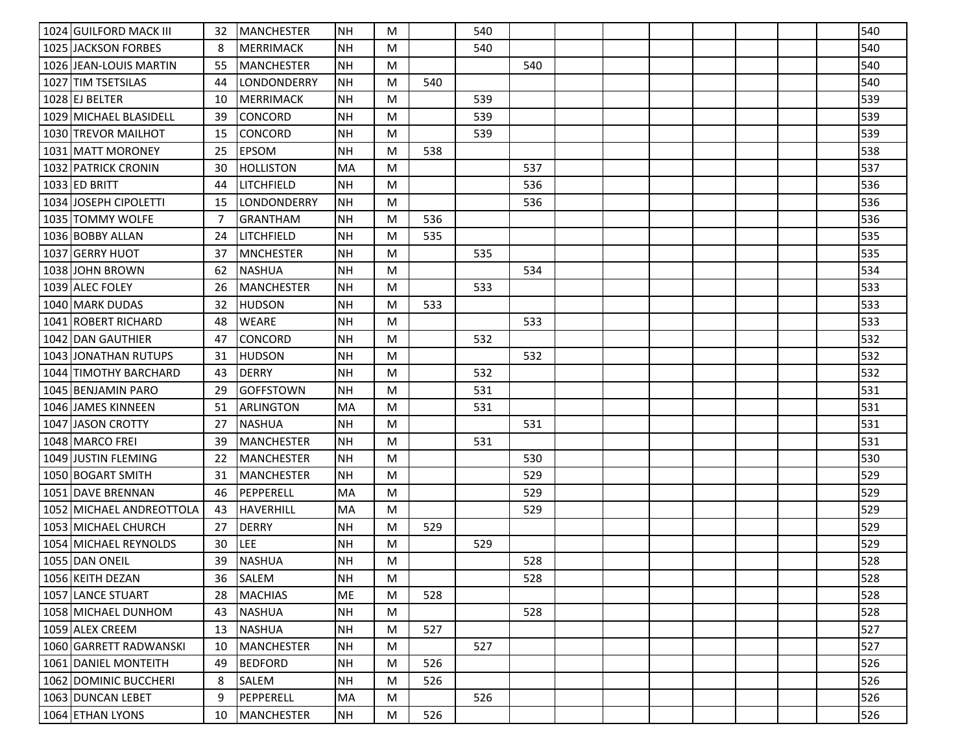| 1024 GUILFORD MACK III   | 32 | MANCHESTER        | <b>NH</b> | M |     | 540 |     |  |  |  | 540 |
|--------------------------|----|-------------------|-----------|---|-----|-----|-----|--|--|--|-----|
| 1025 JACKSON FORBES      | 8  | MERRIMACK         | <b>NH</b> | M |     | 540 |     |  |  |  | 540 |
| 1026 JEAN-LOUIS MARTIN   | 55 | <b>MANCHESTER</b> | <b>NH</b> | M |     |     | 540 |  |  |  | 540 |
| 1027 TIM TSETSILAS       | 44 | LONDONDERRY       | <b>NH</b> | M | 540 |     |     |  |  |  | 540 |
| 1028 EJ BELTER           | 10 | MERRIMACK         | <b>NH</b> | M |     | 539 |     |  |  |  | 539 |
| 1029 MICHAEL BLASIDELL   | 39 | CONCORD           | <b>NH</b> | M |     | 539 |     |  |  |  | 539 |
| 1030 TREVOR MAILHOT      | 15 | <b>CONCORD</b>    | <b>NH</b> | M |     | 539 |     |  |  |  | 539 |
| 1031   MATT MORONEY      | 25 | <b>EPSOM</b>      | NΗ        | M | 538 |     |     |  |  |  | 538 |
| 1032 PATRICK CRONIN      | 30 | <b>HOLLISTON</b>  | MA        | M |     |     | 537 |  |  |  | 537 |
| 1033 ED BRITT            | 44 | <b>LITCHFIELD</b> | NΗ        | M |     |     | 536 |  |  |  | 536 |
| 1034 JOSEPH CIPOLETTI    | 15 | LONDONDERRY       | <b>NH</b> | M |     |     | 536 |  |  |  | 536 |
| 1035 TOMMY WOLFE         | 7  | <b>GRANTHAM</b>   | <b>NH</b> | M | 536 |     |     |  |  |  | 536 |
| 1036 BOBBY ALLAN         | 24 | LITCHFIELD        | <b>NH</b> | M | 535 |     |     |  |  |  | 535 |
| 1037 GERRY HUOT          | 37 | <b>MNCHESTER</b>  | <b>NH</b> | M |     | 535 |     |  |  |  | 535 |
| 1038 JJOHN BROWN         | 62 | <b>NASHUA</b>     | <b>NH</b> | M |     |     | 534 |  |  |  | 534 |
| 1039 ALEC FOLEY          | 26 | <b>MANCHESTER</b> | NΗ        | M |     | 533 |     |  |  |  | 533 |
| 1040 MARK DUDAS          | 32 | <b>HUDSON</b>     | <b>NH</b> | M | 533 |     |     |  |  |  | 533 |
| 1041 ROBERT RICHARD      | 48 | <b>WEARE</b>      | <b>NH</b> | M |     |     | 533 |  |  |  | 533 |
| 1042 DAN GAUTHIER        | 47 | <b>CONCORD</b>    | NΗ        | M |     | 532 |     |  |  |  | 532 |
| 1043 JONATHAN RUTUPS     | 31 | <b>HUDSON</b>     | <b>NH</b> | M |     |     | 532 |  |  |  | 532 |
| 1044 TIMOTHY BARCHARD    | 43 | <b>DERRY</b>      | <b>NH</b> | M |     | 532 |     |  |  |  | 532 |
| 1045 BENJAMIN PARO       | 29 | <b>GOFFSTOWN</b>  | NΗ        | M |     | 531 |     |  |  |  | 531 |
| 1046 JAMES KINNEEN       | 51 | <b>ARLINGTON</b>  | MA        | M |     | 531 |     |  |  |  | 531 |
| 1047 JASON CROTTY        | 27 | <b>NASHUA</b>     | <b>NH</b> | M |     |     | 531 |  |  |  | 531 |
| 1048 IMARCO FREI         | 39 | <b>MANCHESTER</b> | <b>NH</b> | M |     | 531 |     |  |  |  | 531 |
| 1049 JUSTIN FLEMING      | 22 | <b>MANCHESTER</b> | <b>NH</b> | M |     |     | 530 |  |  |  | 530 |
| 1050 BOGART SMITH        | 31 | MANCHESTER        | <b>NH</b> | M |     |     | 529 |  |  |  | 529 |
| 1051 DAVE BRENNAN        | 46 | PEPPERELL         | MA        | M |     |     | 529 |  |  |  | 529 |
| 1052 MICHAEL ANDREOTTOLA | 43 | <b>HAVERHILL</b>  | MA        | M |     |     | 529 |  |  |  | 529 |
| 1053   MICHAEL CHURCH    | 27 | <b>DERRY</b>      | NΗ        | M | 529 |     |     |  |  |  | 529 |
| 1054 MICHAEL REYNOLDS    | 30 | LEE               | <b>NH</b> | M |     | 529 |     |  |  |  | 529 |
| 1055 DAN ONEIL           | 39 | INASHUA           | <b>NH</b> | M |     |     | 528 |  |  |  | 528 |
| 1056 KEITH DEZAN         | 36 | <b>SALEM</b>      | NH        | M |     |     | 528 |  |  |  | 528 |
| 1057 LANCE STUART        | 28 | <b>MACHIAS</b>    | ME        | M | 528 |     |     |  |  |  | 528 |
| 1058 MICHAEL DUNHOM      | 43 | <b>NASHUA</b>     | <b>NH</b> | M |     |     | 528 |  |  |  | 528 |
| 1059 ALEX CREEM          | 13 | <b>NASHUA</b>     | <b>NH</b> | M | 527 |     |     |  |  |  | 527 |
| 1060 GARRETT RADWANSKI   | 10 | <b>MANCHESTER</b> | <b>NH</b> | M |     | 527 |     |  |  |  | 527 |
| 1061 DANIEL MONTEITH     | 49 | <b>BEDFORD</b>    | <b>NH</b> | M | 526 |     |     |  |  |  | 526 |
| 1062 DOMINIC BUCCHERI    | 8  | SALEM             | <b>NH</b> | M | 526 |     |     |  |  |  | 526 |
| 1063 DUNCAN LEBET        | 9  | PEPPERELL         | MA        | M |     | 526 |     |  |  |  | 526 |
| 1064 ETHAN LYONS         | 10 | <b>MANCHESTER</b> | <b>NH</b> | M | 526 |     |     |  |  |  | 526 |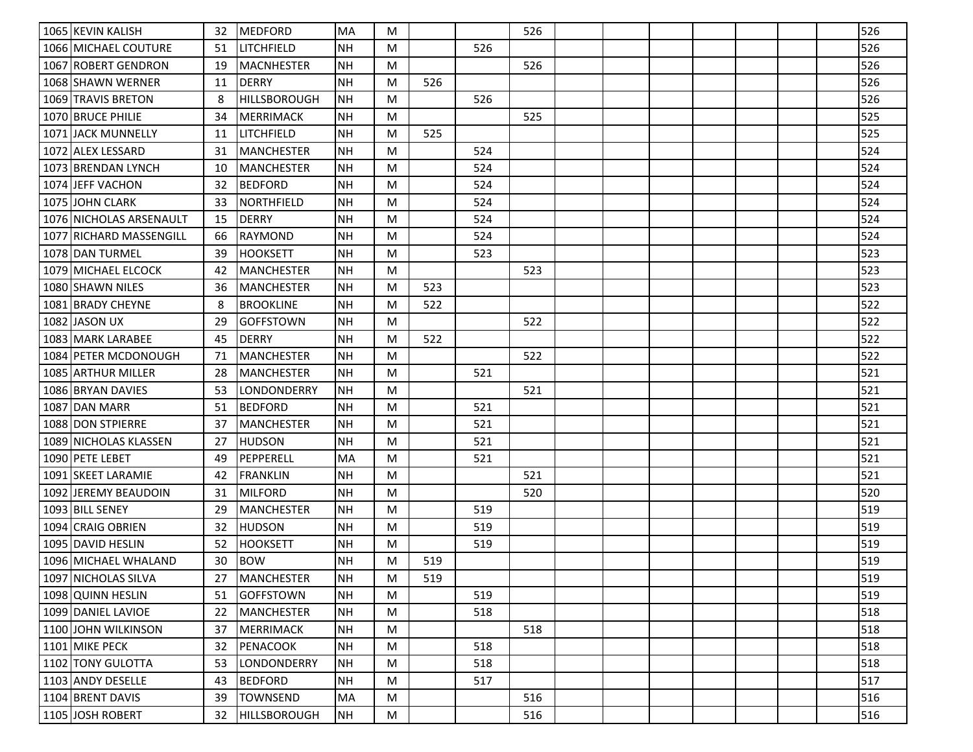| 1065 KEVIN KALISH       | 32 | <b>IMEDFORD</b>     | <b>IMA</b> | M |     |     | 526 |  |  |  | 526 |
|-------------------------|----|---------------------|------------|---|-----|-----|-----|--|--|--|-----|
| 1066 MICHAEL COUTURE    | 51 | <b>LITCHFIELD</b>   | <b>NH</b>  | M |     | 526 |     |  |  |  | 526 |
| 1067 ROBERT GENDRON     | 19 | <b>MACNHESTER</b>   | <b>NH</b>  | M |     |     | 526 |  |  |  | 526 |
| 1068 SHAWN WERNER       | 11 | <b>DERRY</b>        | <b>NH</b>  | M | 526 |     |     |  |  |  | 526 |
| 1069 TRAVIS BRETON      | 8  | <b>HILLSBOROUGH</b> | <b>NH</b>  | M |     | 526 |     |  |  |  | 526 |
| 1070 BRUCE PHILIE       | 34 | <b>MERRIMACK</b>    | <b>NH</b>  | M |     |     | 525 |  |  |  | 525 |
| 1071 JACK MUNNELLY      | 11 | LITCHFIELD          | <b>NH</b>  | M | 525 |     |     |  |  |  | 525 |
| 1072 ALEX LESSARD       | 31 | <b>MANCHESTER</b>   | <b>NH</b>  | M |     | 524 |     |  |  |  | 524 |
| 1073 BRENDAN LYNCH      | 10 | <b>MANCHESTER</b>   | <b>NH</b>  | M |     | 524 |     |  |  |  | 524 |
| 1074 JEFF VACHON        | 32 | <b>BEDFORD</b>      | <b>NH</b>  | M |     | 524 |     |  |  |  | 524 |
| 1075 JOHN CLARK         | 33 | NORTHFIELD          | NH         | M |     | 524 |     |  |  |  | 524 |
| 1076 NICHOLAS ARSENAULT | 15 | <b>DERRY</b>        | <b>NH</b>  | M |     | 524 |     |  |  |  | 524 |
| 1077 RICHARD MASSENGILL | 66 | <b>RAYMOND</b>      | NΗ         | M |     | 524 |     |  |  |  | 524 |
| 1078 DAN TURMEL         | 39 | <b>HOOKSETT</b>     | <b>NH</b>  | M |     | 523 |     |  |  |  | 523 |
| 1079 MICHAEL ELCOCK     | 42 | <b>MANCHESTER</b>   | <b>NH</b>  | M |     |     | 523 |  |  |  | 523 |
| 1080 SHAWN NILES        | 36 | <b>MANCHESTER</b>   | <b>NH</b>  | M | 523 |     |     |  |  |  | 523 |
| 1081 BRADY CHEYNE       | 8  | <b>BROOKLINE</b>    | <b>NH</b>  | M | 522 |     |     |  |  |  | 522 |
| 1082 JASON UX           | 29 | <b>GOFFSTOWN</b>    | NH         | M |     |     | 522 |  |  |  | 522 |
| 1083 MARK LARABEE       | 45 | <b>DERRY</b>        | <b>NH</b>  | M | 522 |     |     |  |  |  | 522 |
| 1084 PETER MCDONOUGH    | 71 | <b>MANCHESTER</b>   | <b>NH</b>  | M |     |     | 522 |  |  |  | 522 |
| 1085 ARTHUR MILLER      | 28 | <b>MANCHESTER</b>   | <b>NH</b>  | M |     | 521 |     |  |  |  | 521 |
| 1086 BRYAN DAVIES       | 53 | LONDONDERRY         | NH         | M |     |     | 521 |  |  |  | 521 |
| 1087 DAN MARR           | 51 | <b>BEDFORD</b>      | <b>NH</b>  | M |     | 521 |     |  |  |  | 521 |
| 1088 DON STPIERRE       | 37 | <b>MANCHESTER</b>   | NH         | M |     | 521 |     |  |  |  | 521 |
| 1089 NICHOLAS KLASSEN   | 27 | <b>HUDSON</b>       | <b>NH</b>  | M |     | 521 |     |  |  |  | 521 |
| 1090 PETE LEBET         | 49 | PEPPERELL           | <b>MA</b>  | M |     | 521 |     |  |  |  | 521 |
| 1091 ISKEET LARAMIE     | 42 | <b>FRANKLIN</b>     | <b>NH</b>  | M |     |     | 521 |  |  |  | 521 |
| 1092 JEREMY BEAUDOIN    | 31 | <b>MILFORD</b>      | <b>NH</b>  | M |     |     | 520 |  |  |  | 520 |
| 1093 BILL SENEY         | 29 | MANCHESTER          | <b>NH</b>  | M |     | 519 |     |  |  |  | 519 |
| 1094 CRAIG OBRIEN       | 32 | <b>HUDSON</b>       | <b>NH</b>  | M |     | 519 |     |  |  |  | 519 |
| 1095 DAVID HESLIN       | 52 | <b>HOOKSETT</b>     | <b>NH</b>  | M |     | 519 |     |  |  |  | 519 |
| 1096 MICHAEL WHALAND    | 30 | <b>BOW</b>          | <b>NH</b>  | M | 519 |     |     |  |  |  | 519 |
| 1097   NICHOLAS SILVA   | 27 | <b>MANCHESTER</b>   | <b>INH</b> | M | 519 |     |     |  |  |  | 519 |
| 1098 QUINN HESLIN       | 51 | <b>GOFFSTOWN</b>    | <b>NH</b>  | M |     | 519 |     |  |  |  | 519 |
| 1099 DANIEL LAVIOE      | 22 | <b>MANCHESTER</b>   | <b>NH</b>  | M |     | 518 |     |  |  |  | 518 |
| 1100 JOHN WILKINSON     | 37 | <b>MERRIMACK</b>    | NH         | M |     |     | 518 |  |  |  | 518 |
| 1101 MIKE PECK          | 32 | <b>PENACOOK</b>     | NH         | M |     | 518 |     |  |  |  | 518 |
| 1102 TONY GULOTTA       | 53 | LONDONDERRY         | NH         | M |     | 518 |     |  |  |  | 518 |
| 1103 ANDY DESELLE       | 43 | <b>BEDFORD</b>      | <b>NH</b>  | M |     | 517 |     |  |  |  | 517 |
| 1104 BRENT DAVIS        | 39 | <b>TOWNSEND</b>     | MA         | M |     |     | 516 |  |  |  | 516 |
| 1105 JOSH ROBERT        | 32 | <b>HILLSBOROUGH</b> | NH         | M |     |     | 516 |  |  |  | 516 |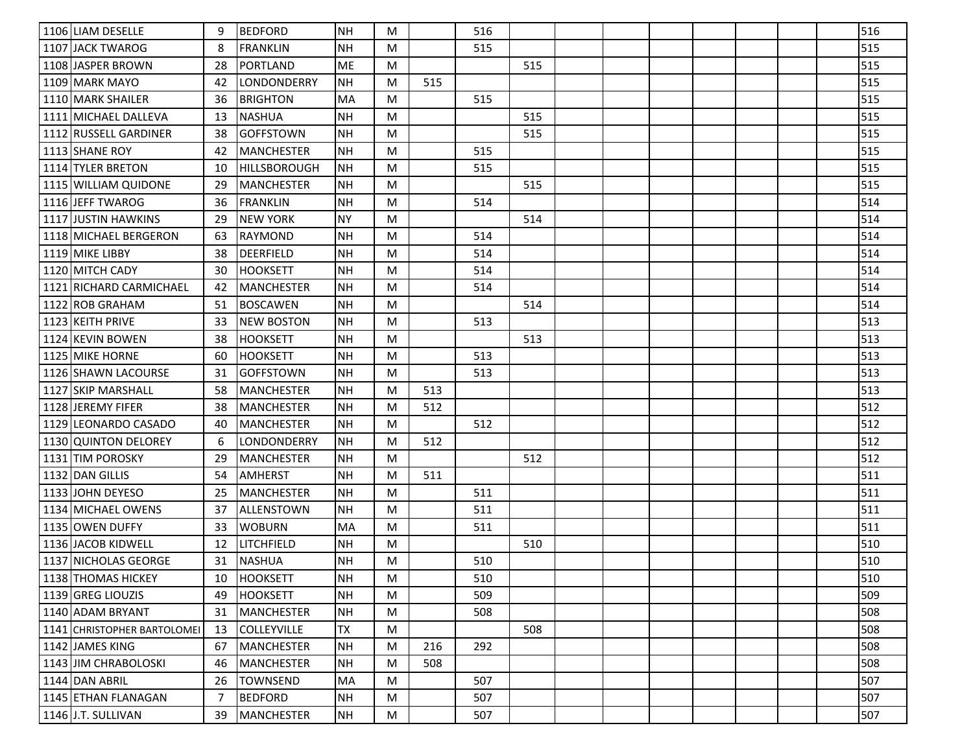| 1106 LIAM DESELLE           | 9  | <b>BEDFORD</b>      | INH.      | M |     | 516 |     |  |  |  | 516 |
|-----------------------------|----|---------------------|-----------|---|-----|-----|-----|--|--|--|-----|
| 1107 JACK TWAROG            | 8  | <b>FRANKLIN</b>     | <b>NH</b> | M |     | 515 |     |  |  |  | 515 |
| 1108 JASPER BROWN           | 28 | <b>PORTLAND</b>     | <b>ME</b> | M |     |     | 515 |  |  |  | 515 |
| 1109 MARK MAYO              | 42 | LONDONDERRY         | <b>NH</b> | M | 515 |     |     |  |  |  | 515 |
| 1110 MARK SHAILER           | 36 | <b>BRIGHTON</b>     | <b>MA</b> | M |     | 515 |     |  |  |  | 515 |
| 1111 MICHAEL DALLEVA        | 13 | <b>NASHUA</b>       | <b>NH</b> | M |     |     | 515 |  |  |  | 515 |
| 1112 RUSSELL GARDINER       | 38 | <b>GOFFSTOWN</b>    | NΗ        | M |     |     | 515 |  |  |  | 515 |
| 1113 SHANE ROY              | 42 | <b>MANCHESTER</b>   | NH        | M |     | 515 |     |  |  |  | 515 |
| 1114 TYLER BRETON           | 10 | <b>HILLSBOROUGH</b> | NH        | M |     | 515 |     |  |  |  | 515 |
| 1115 WILLIAM QUIDONE        | 29 | <b>MANCHESTER</b>   | NH        | M |     |     | 515 |  |  |  | 515 |
| 1116 JEFF TWAROG            | 36 | <b>FRANKLIN</b>     | <b>NH</b> | M |     | 514 |     |  |  |  | 514 |
| 1117 JUSTIN HAWKINS         | 29 | <b>NEW YORK</b>     | <b>NY</b> | M |     |     | 514 |  |  |  | 514 |
| 1118 MICHAEL BERGERON       | 63 | <b>RAYMOND</b>      | <b>NH</b> | M |     | 514 |     |  |  |  | 514 |
| 1119 MIKE LIBBY             | 38 | <b>DEERFIELD</b>    | <b>NH</b> | M |     | 514 |     |  |  |  | 514 |
| 1120 MITCH CADY             | 30 | <b>HOOKSETT</b>     | <b>NH</b> | M |     | 514 |     |  |  |  | 514 |
| 1121 RICHARD CARMICHAEL     | 42 | <b>MANCHESTER</b>   | <b>NH</b> | M |     | 514 |     |  |  |  | 514 |
| 1122 ROB GRAHAM             | 51 | <b>BOSCAWEN</b>     | <b>NH</b> | M |     |     | 514 |  |  |  | 514 |
| 1123 KEITH PRIVE            | 33 | <b>NEW BOSTON</b>   | <b>NH</b> | M |     | 513 |     |  |  |  | 513 |
| 1124 KEVIN BOWEN            | 38 | <b>HOOKSETT</b>     | <b>NH</b> | M |     |     | 513 |  |  |  | 513 |
| 1125 MIKE HORNE             | 60 | <b>HOOKSETT</b>     | <b>NH</b> | M |     | 513 |     |  |  |  | 513 |
| 1126 SHAWN LACOURSE         | 31 | <b>GOFFSTOWN</b>    | NH        | M |     | 513 |     |  |  |  | 513 |
| 1127 SKIP MARSHALL          | 58 | <b>MANCHESTER</b>   | <b>NH</b> | M | 513 |     |     |  |  |  | 513 |
| 1128 JEREMY FIFER           | 38 | <b>MANCHESTER</b>   | <b>NH</b> | M | 512 |     |     |  |  |  | 512 |
| 1129 LEONARDO CASADO        | 40 | <b>MANCHESTER</b>   | NH        | M |     | 512 |     |  |  |  | 512 |
| 1130 QUINTON DELOREY        | 6  | LONDONDERRY         | <b>NH</b> | M | 512 |     |     |  |  |  | 512 |
| 1131 TIM POROSKY            | 29 | <b>MANCHESTER</b>   | <b>NH</b> | M |     |     | 512 |  |  |  | 512 |
| 1132 DAN GILLIS             | 54 | <b>AMHERST</b>      | <b>NH</b> | M | 511 |     |     |  |  |  | 511 |
| 1133 JOHN DEYESO            | 25 | <b>MANCHESTER</b>   | <b>NH</b> | M |     | 511 |     |  |  |  | 511 |
| 1134   MICHAEL OWENS        | 37 | ALLENSTOWN          | <b>NH</b> | M |     | 511 |     |  |  |  | 511 |
| 1135 OWEN DUFFY             | 33 | <b>WOBURN</b>       | <b>MA</b> | M |     | 511 |     |  |  |  | 511 |
| 1136 JACOB KIDWELL          | 12 | LITCHFIELD          | <b>NH</b> | M |     |     | 510 |  |  |  | 510 |
| 1137   NICHOLAS GEORGE      | 31 | <b>INASHUA</b>      | <b>NH</b> | M |     | 510 |     |  |  |  | 510 |
| 1138 THOMAS HICKEY          | 10 | HOOKSETT            | <b>NH</b> | M |     | 510 |     |  |  |  | 510 |
| 1139 GREG LIOUZIS           | 49 | <b>HOOKSETT</b>     | <b>NH</b> | M |     | 509 |     |  |  |  | 509 |
| 1140 ADAM BRYANT            | 31 | <b>MANCHESTER</b>   | NH        | M |     | 508 |     |  |  |  | 508 |
| 1141 CHRISTOPHER BARTOLOMEI | 13 | <b>COLLEYVILLE</b>  | <b>TX</b> | M |     |     | 508 |  |  |  | 508 |
| 1142 JAMES KING             | 67 | <b>MANCHESTER</b>   | <b>NH</b> | M | 216 | 292 |     |  |  |  | 508 |
| 1143 JJIM CHRABOLOSKI       | 46 | <b>MANCHESTER</b>   | <b>NH</b> | M | 508 |     |     |  |  |  | 508 |
| 1144 DAN ABRIL              | 26 | <b>TOWNSEND</b>     | MA        | M |     | 507 |     |  |  |  | 507 |
| 1145 ETHAN FLANAGAN         | 7  | <b>BEDFORD</b>      | <b>NH</b> | M |     | 507 |     |  |  |  | 507 |
| 1146 J.T. SULLIVAN          | 39 | <b>MANCHESTER</b>   | NH        | M |     | 507 |     |  |  |  | 507 |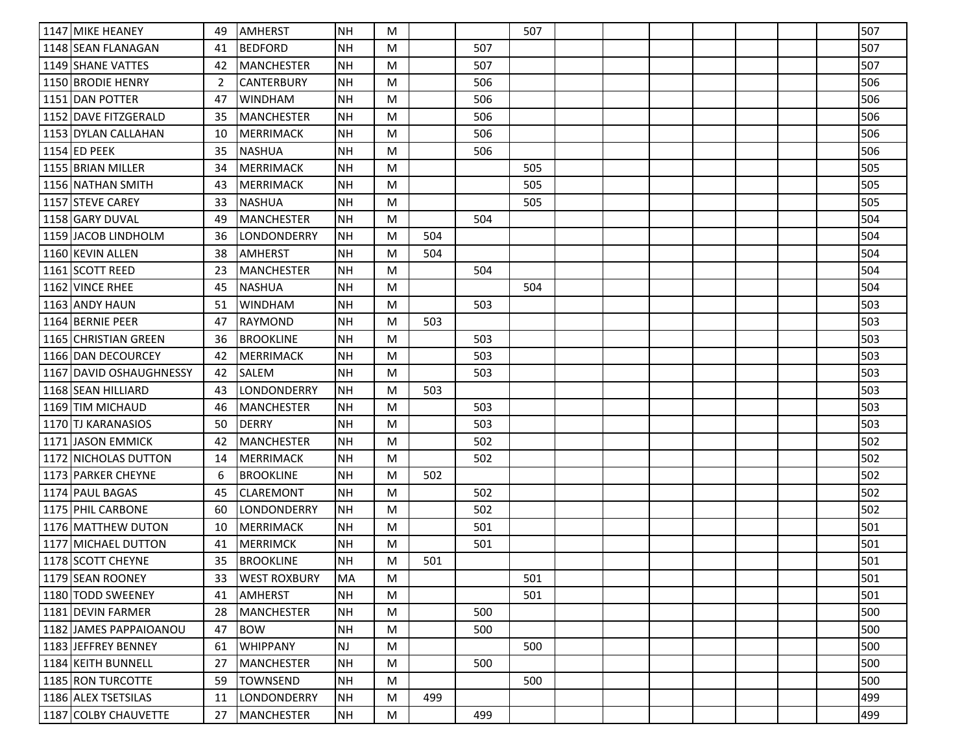| 1147 MIKE HEANEY        | 49 | <b>AMHERST</b>      | <b>NH</b> | M |     |     | 507 |  |  |  | 507 |
|-------------------------|----|---------------------|-----------|---|-----|-----|-----|--|--|--|-----|
| 1148 SEAN FLANAGAN      | 41 | <b>BEDFORD</b>      | NΗ        | M |     | 507 |     |  |  |  | 507 |
| 1149 SHANE VATTES       | 42 | <b>MANCHESTER</b>   | <b>NH</b> | M |     | 507 |     |  |  |  | 507 |
| 1150 BRODIE HENRY       | 2  | <b>CANTERBURY</b>   | <b>NH</b> | M |     | 506 |     |  |  |  | 506 |
| 1151 DAN POTTER         | 47 | <b>WINDHAM</b>      | <b>NH</b> | M |     | 506 |     |  |  |  | 506 |
| 1152 DAVE FITZGERALD    | 35 | <b>MANCHESTER</b>   | <b>NH</b> | M |     | 506 |     |  |  |  | 506 |
| 1153 DYLAN CALLAHAN     | 10 | <b>MERRIMACK</b>    | <b>NH</b> | M |     | 506 |     |  |  |  | 506 |
| 1154 ED PEEK            | 35 | <b>NASHUA</b>       | <b>NH</b> | M |     | 506 |     |  |  |  | 506 |
| 1155 BRIAN MILLER       | 34 | <b>MERRIMACK</b>    | <b>NH</b> | M |     |     | 505 |  |  |  | 505 |
| 1156 NATHAN SMITH       | 43 | <b>MERRIMACK</b>    | NΗ        | M |     |     | 505 |  |  |  | 505 |
| 1157 STEVE CAREY        | 33 | <b>NASHUA</b>       | <b>NH</b> | M |     |     | 505 |  |  |  | 505 |
| 1158 GARY DUVAL         | 49 | <b>MANCHESTER</b>   | <b>NH</b> | M |     | 504 |     |  |  |  | 504 |
| 1159 JACOB LINDHOLM     | 36 | LONDONDERRY         | NΗ        | M | 504 |     |     |  |  |  | 504 |
| 1160 KEVIN ALLEN        | 38 | <b>AMHERST</b>      | <b>NH</b> | M | 504 |     |     |  |  |  | 504 |
| 1161 SCOTT REED         | 23 | <b>MANCHESTER</b>   | <b>NH</b> | M |     | 504 |     |  |  |  | 504 |
| 1162 VINCE RHEE         | 45 | <b>NASHUA</b>       | <b>NH</b> | M |     |     | 504 |  |  |  | 504 |
| 1163 ANDY HAUN          | 51 | <b>WINDHAM</b>      | <b>NH</b> | M |     | 503 |     |  |  |  | 503 |
| 1164 BERNIE PEER        | 47 | <b>RAYMOND</b>      | <b>NH</b> | M | 503 |     |     |  |  |  | 503 |
| 1165 CHRISTIAN GREEN    | 36 | <b>BROOKLINE</b>    | <b>NH</b> | M |     | 503 |     |  |  |  | 503 |
| 1166 DAN DECOURCEY      | 42 | <b>MERRIMACK</b>    | <b>NH</b> | M |     | 503 |     |  |  |  | 503 |
| 1167 DAVID OSHAUGHNESSY | 42 | <b>SALEM</b>        | <b>NH</b> | M |     | 503 |     |  |  |  | 503 |
| 1168 SEAN HILLIARD      | 43 | LONDONDERRY         | <b>NH</b> | M | 503 |     |     |  |  |  | 503 |
| 1169 TIM MICHAUD        | 46 | <b>MANCHESTER</b>   | <b>NH</b> | M |     | 503 |     |  |  |  | 503 |
| 1170 TJ KARANASIOS      | 50 | <b>DERRY</b>        | <b>NH</b> | M |     | 503 |     |  |  |  | 503 |
| 1171 JASON EMMICK       | 42 | <b>MANCHESTER</b>   | <b>NH</b> | M |     | 502 |     |  |  |  | 502 |
| 1172 NICHOLAS DUTTON    | 14 | <b>MERRIMACK</b>    | <b>NH</b> | M |     | 502 |     |  |  |  | 502 |
| 1173 PARKER CHEYNE      | 6  | <b>BROOKLINE</b>    | <b>NH</b> | M | 502 |     |     |  |  |  | 502 |
| 1174 PAUL BAGAS         | 45 | <b>CLAREMONT</b>    | <b>NH</b> | M |     | 502 |     |  |  |  | 502 |
| 1175 PHIL CARBONE       | 60 | LONDONDERRY         | <b>NH</b> | M |     | 502 |     |  |  |  | 502 |
| 1176 MATTHEW DUTON      | 10 | <b>MERRIMACK</b>    | <b>NH</b> | M |     | 501 |     |  |  |  | 501 |
| 1177 MICHAEL DUTTON     | 41 | <b>MERRIMCK</b>     | <b>NH</b> | M |     | 501 |     |  |  |  | 501 |
| 1178 SCOTT CHEYNE       | 35 | <b>BROOKLINE</b>    | <b>NH</b> | M | 501 |     |     |  |  |  | 501 |
| 1179 SEAN ROONEY        | 33 | <b>WEST ROXBURY</b> | MA        | M |     |     | 501 |  |  |  | 501 |
| 1180 TODD SWEENEY       | 41 | <b>AMHERST</b>      | <b>NH</b> | M |     |     | 501 |  |  |  | 501 |
| 1181 DEVIN FARMER       | 28 | <b>MANCHESTER</b>   | <b>NH</b> | M |     | 500 |     |  |  |  | 500 |
| 1182 JAMES PAPPAIOANOU  | 47 | <b>BOW</b>          | <b>NH</b> | M |     | 500 |     |  |  |  | 500 |
| 1183 JEFFREY BENNEY     | 61 | <b>WHIPPANY</b>     | NJ        | M |     |     | 500 |  |  |  | 500 |
| 1184 KEITH BUNNELL      | 27 | <b>MANCHESTER</b>   | <b>NH</b> | M |     | 500 |     |  |  |  | 500 |
| 1185 RON TURCOTTE       | 59 | TOWNSEND            | <b>NH</b> | M |     |     | 500 |  |  |  | 500 |
| 1186 ALEX TSETSILAS     | 11 | LONDONDERRY         | <b>NH</b> | M | 499 |     |     |  |  |  | 499 |
| 1187 COLBY CHAUVETTE    | 27 | <b>MANCHESTER</b>   | <b>NH</b> | M |     | 499 |     |  |  |  | 499 |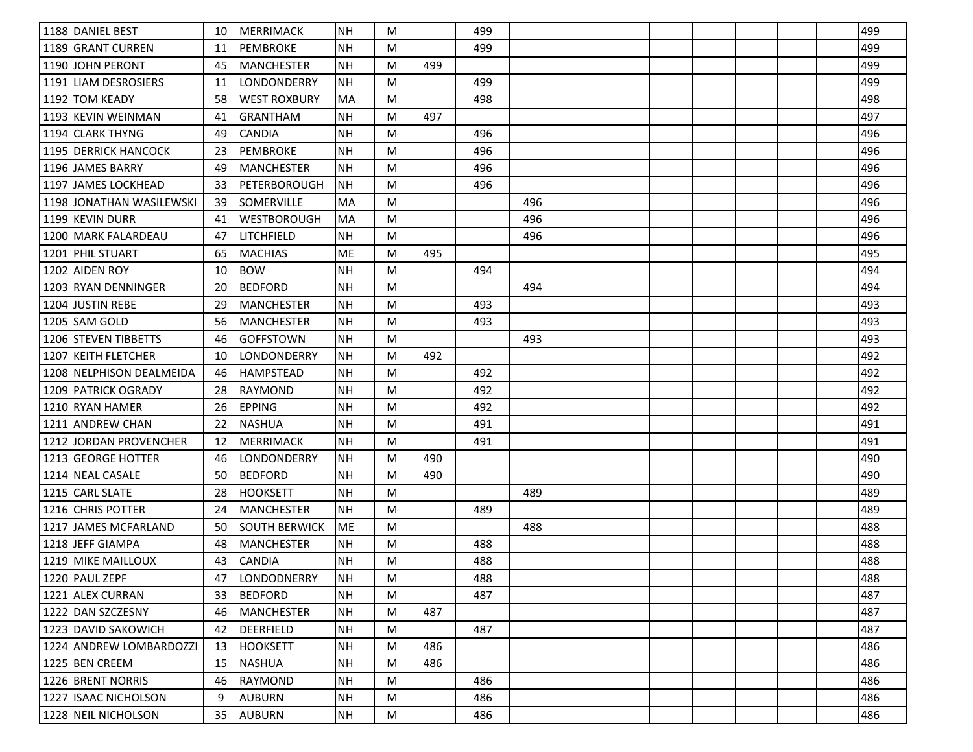| 1188 DANIEL BEST                 | 10 | MERRIMACK            | <b>NH</b> | M |     | 499 |     |  |  |  | 499 |
|----------------------------------|----|----------------------|-----------|---|-----|-----|-----|--|--|--|-----|
| 1189 GRANT CURREN                | 11 | <b>PEMBROKE</b>      | NΗ        | M |     | 499 |     |  |  |  | 499 |
| 1190 JOHN PERONT                 | 45 | <b>MANCHESTER</b>    | <b>NH</b> | M | 499 |     |     |  |  |  | 499 |
| 1191 LIAM DESROSIERS             | 11 | LONDONDERRY          | <b>NH</b> | M |     | 499 |     |  |  |  | 499 |
| 1192 TOM KEADY                   | 58 | <b>WEST ROXBURY</b>  | MA        | M |     | 498 |     |  |  |  | 498 |
| 1193 KEVIN WEINMAN               | 41 | GRANTHAM             | <b>NH</b> | M | 497 |     |     |  |  |  | 497 |
| 1194 CLARK THYNG                 | 49 | <b>CANDIA</b>        | <b>NH</b> | M |     | 496 |     |  |  |  | 496 |
| 1195 DERRICK HANCOCK             | 23 | <b>PEMBROKE</b>      | <b>NH</b> | M |     | 496 |     |  |  |  | 496 |
| 1196 JAMES BARRY                 | 49 | <b>MANCHESTER</b>    | <b>NH</b> | M |     | 496 |     |  |  |  | 496 |
| 1197 JAMES LOCKHEAD              | 33 | PETERBOROUGH         | <b>NH</b> | M |     | 496 |     |  |  |  | 496 |
| 1198 JONATHAN WASILEWSKI         | 39 | SOMERVILLE           | MA        | M |     |     | 496 |  |  |  | 496 |
| 1199 KEVIN DURR                  | 41 | WESTBOROUGH          | MA        | M |     |     | 496 |  |  |  | 496 |
| 1200 MARK FALARDEAU              | 47 | LITCHFIELD           | NΗ        | M |     |     | 496 |  |  |  | 496 |
| 1201 PHIL STUART                 | 65 | <b>MACHIAS</b>       | ME        | M | 495 |     |     |  |  |  | 495 |
| 1202 AIDEN ROY                   | 10 | <b>BOW</b>           | <b>NH</b> | M |     | 494 |     |  |  |  | 494 |
| 1203 RYAN DENNINGER              | 20 | <b>BEDFORD</b>       | NΗ        | M |     |     | 494 |  |  |  | 494 |
| 1204 JUSTIN REBE                 | 29 | <b>MANCHESTER</b>    | <b>NH</b> | M |     | 493 |     |  |  |  | 493 |
| 1205 SAM GOLD                    | 56 | <b>MANCHESTER</b>    | NH        | M |     | 493 |     |  |  |  | 493 |
| 1206 STEVEN TIBBETTS             | 46 | <b>GOFFSTOWN</b>     | <b>NH</b> | M |     |     | 493 |  |  |  | 493 |
| 1207 KEITH FLETCHER              | 10 | LONDONDERRY          | NΗ        | M | 492 |     |     |  |  |  | 492 |
| 1208 NELPHISON DEALMEIDA         | 46 | <b>HAMPSTEAD</b>     | <b>NH</b> | M |     | 492 |     |  |  |  | 492 |
| 1209 PATRICK OGRADY              | 28 | <b>RAYMOND</b>       | <b>NH</b> | M |     | 492 |     |  |  |  | 492 |
| 1210 RYAN HAMER                  | 26 | <b>EPPING</b>        | <b>NH</b> | M |     | 492 |     |  |  |  | 492 |
| 1211 ANDREW CHAN                 | 22 | <b>NASHUA</b>        | <b>NH</b> | M |     | 491 |     |  |  |  | 491 |
| <b>JORDAN PROVENCHER</b><br>1212 | 12 | <b>MERRIMACK</b>     | <b>NH</b> | M |     | 491 |     |  |  |  | 491 |
| 1213 GEORGE HOTTER               | 46 | LONDONDERRY          | <b>NH</b> | M | 490 |     |     |  |  |  | 490 |
| 1214 NEAL CASALE                 | 50 | <b>BEDFORD</b>       | NΗ        | M | 490 |     |     |  |  |  | 490 |
| 1215 CARL SLATE                  | 28 | <b>HOOKSETT</b>      | <b>NH</b> | M |     |     | 489 |  |  |  | 489 |
| 1216 CHRIS POTTER                | 24 | <b>MANCHESTER</b>    | <b>NH</b> | M |     | 489 |     |  |  |  | 489 |
| 1217 JAMES MCFARLAND             | 50 | <b>SOUTH BERWICK</b> | ME        | M |     |     | 488 |  |  |  | 488 |
| 1218 JEFF GIAMPA                 | 48 | <b>MANCHESTER</b>    | <b>NH</b> | M |     | 488 |     |  |  |  | 488 |
| 1219 MIKE MAILLOUX               | 43 | <b>CANDIA</b>        | <b>NH</b> | M |     | 488 |     |  |  |  | 488 |
| 1220 PAUL ZEPF                   | 47 | LONDODNERRY          | NH        | M |     | 488 |     |  |  |  | 488 |
| 1221 ALEX CURRAN                 | 33 | <b>BEDFORD</b>       | <b>NH</b> | M |     | 487 |     |  |  |  | 487 |
| 1222 DAN SZCZESNY                | 46 | <b>MANCHESTER</b>    | <b>NH</b> | M | 487 |     |     |  |  |  | 487 |
| 1223 DAVID SAKOWICH              | 42 | DEERFIELD            | <b>NH</b> | M |     | 487 |     |  |  |  | 487 |
| 1224 ANDREW LOMBARDOZZI          | 13 | <b>HOOKSETT</b>      | <b>NH</b> | M | 486 |     |     |  |  |  | 486 |
| 1225 BEN CREEM                   | 15 | <b>NASHUA</b>        | <b>NH</b> | M | 486 |     |     |  |  |  | 486 |
| 1226 BRENT NORRIS                | 46 | RAYMOND              | <b>NH</b> | M |     | 486 |     |  |  |  | 486 |
| 1227 ISAAC NICHOLSON             | 9  | <b>AUBURN</b>        | <b>NH</b> | M |     | 486 |     |  |  |  | 486 |
| 1228 NEIL NICHOLSON              | 35 | <b>AUBURN</b>        | NH        | M |     | 486 |     |  |  |  | 486 |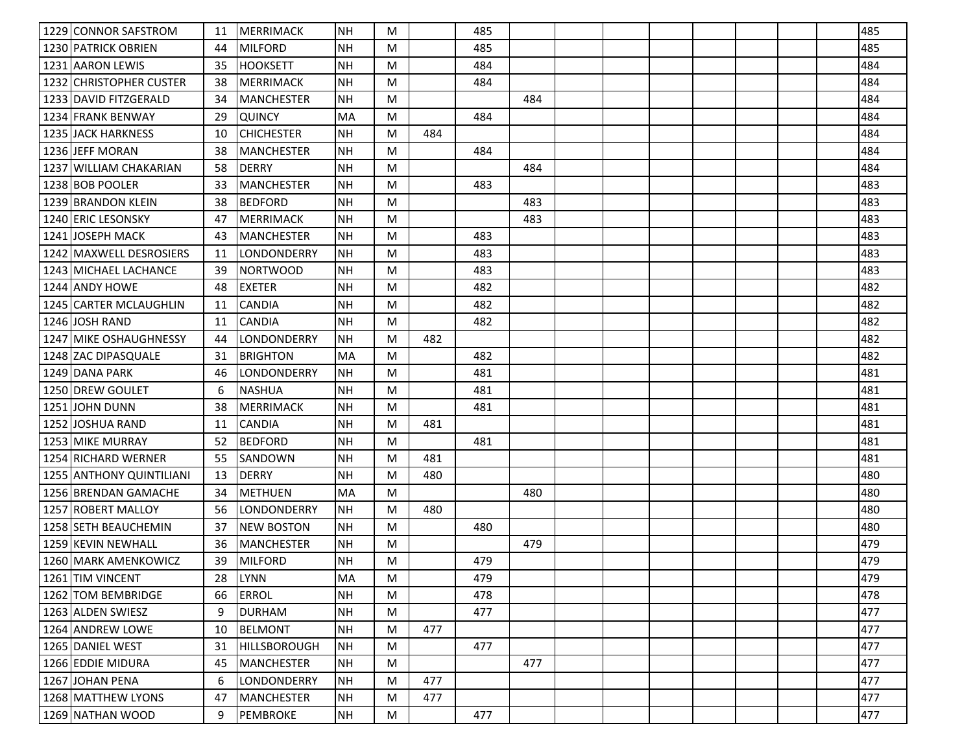| 1229 CONNOR SAFSTROM      | 11 | <b>MERRIMACK</b>    | <b>NH</b> | M |     | 485 |     |  |  |  | 485 |
|---------------------------|----|---------------------|-----------|---|-----|-----|-----|--|--|--|-----|
| 1230 PATRICK OBRIEN       | 44 | <b>MILFORD</b>      | NΗ        | M |     | 485 |     |  |  |  | 485 |
| 1231 AARON LEWIS          | 35 | <b>HOOKSETT</b>     | <b>NH</b> | M |     | 484 |     |  |  |  | 484 |
| 1232 CHRISTOPHER CUSTER   | 38 | <b>MERRIMACK</b>    | <b>NH</b> | M |     | 484 |     |  |  |  | 484 |
| 1233 DAVID FITZGERALD     | 34 | <b>MANCHESTER</b>   | <b>NH</b> | M |     |     | 484 |  |  |  | 484 |
| 1234 FRANK BENWAY         | 29 | <b>QUINCY</b>       | MA        | M |     | 484 |     |  |  |  | 484 |
| <b>1235 JACK HARKNESS</b> | 10 | <b>CHICHESTER</b>   | <b>NH</b> | M | 484 |     |     |  |  |  | 484 |
| 1236 JEFF MORAN           | 38 | <b>MANCHESTER</b>   | <b>NH</b> | M |     | 484 |     |  |  |  | 484 |
| 1237 WILLIAM CHAKARIAN    | 58 | <b>DERRY</b>        | <b>NH</b> | M |     |     | 484 |  |  |  | 484 |
| 1238 BOB POOLER           | 33 | <b>MANCHESTER</b>   | <b>NH</b> | M |     | 483 |     |  |  |  | 483 |
| 1239 BRANDON KLEIN        | 38 | <b>BEDFORD</b>      | <b>NH</b> | M |     |     | 483 |  |  |  | 483 |
| 1240 ERIC LESONSKY        | 47 | <b>MERRIMACK</b>    | <b>NH</b> | M |     |     | 483 |  |  |  | 483 |
| 1241 JOSEPH MACK          | 43 | <b>MANCHESTER</b>   | NΗ        | M |     | 483 |     |  |  |  | 483 |
| 1242 MAXWELL DESROSIERS   | 11 | LONDONDERRY         | <b>NH</b> | M |     | 483 |     |  |  |  | 483 |
| 1243 MICHAEL LACHANCE     | 39 | <b>NORTWOOD</b>     | <b>NH</b> | M |     | 483 |     |  |  |  | 483 |
| 1244 ANDY HOWE            | 48 | <b>EXETER</b>       | NΗ        | M |     | 482 |     |  |  |  | 482 |
| 1245 CARTER MCLAUGHLIN    | 11 | <b>CANDIA</b>       | <b>NH</b> | M |     | 482 |     |  |  |  | 482 |
| 1246 JOSH RAND            | 11 | <b>CANDIA</b>       | <b>NH</b> | M |     | 482 |     |  |  |  | 482 |
| 1247 MIKE OSHAUGHNESSY    | 44 | LONDONDERRY         | NΗ        | M | 482 |     |     |  |  |  | 482 |
| 1248 ZAC DIPASQUALE       | 31 | <b>BRIGHTON</b>     | MA        | M |     | 482 |     |  |  |  | 482 |
| 1249 DANA PARK            | 46 | LONDONDERRY         | NH        | M |     | 481 |     |  |  |  | 481 |
| 1250 DREW GOULET          | 6  | <b>NASHUA</b>       | <b>NH</b> | M |     | 481 |     |  |  |  | 481 |
| 1251 JOHN DUNN            | 38 | <b>MERRIMACK</b>    | <b>NH</b> | M |     | 481 |     |  |  |  | 481 |
| 1252 JJOSHUA RAND         | 11 | <b>CANDIA</b>       | <b>NH</b> | M | 481 |     |     |  |  |  | 481 |
| 1253 MIKE MURRAY          | 52 | <b>BEDFORD</b>      | <b>NH</b> | M |     | 481 |     |  |  |  | 481 |
| 1254 RICHARD WERNER       | 55 | SANDOWN             | <b>NH</b> | M | 481 |     |     |  |  |  | 481 |
| 1255 ANTHONY QUINTILIANI  | 13 | <b>DERRY</b>        | NΗ        | M | 480 |     |     |  |  |  | 480 |
| 1256 BRENDAN GAMACHE      | 34 | <b>METHUEN</b>      | MA        | M |     |     | 480 |  |  |  | 480 |
| 1257 ROBERT MALLOY        | 56 | LONDONDERRY         | <b>NH</b> | M | 480 |     |     |  |  |  | 480 |
| 1258 SETH BEAUCHEMIN      | 37 | <b>NEW BOSTON</b>   | <b>NH</b> | M |     | 480 |     |  |  |  | 480 |
| 1259 KEVIN NEWHALL        | 36 | <b>MANCHESTER</b>   | <b>NH</b> | M |     |     | 479 |  |  |  | 479 |
| 1260 MARK AMENKOWICZ      | 39 | <b>MILFORD</b>      | <b>NH</b> | M |     | 479 |     |  |  |  | 479 |
| 1261 TIM VINCENT          | 28 | LYNN                | MA        | M |     | 479 |     |  |  |  | 479 |
| 1262 TOM BEMBRIDGE        | 66 | <b>ERROL</b>        | <b>NH</b> | M |     | 478 |     |  |  |  | 478 |
| 1263 ALDEN SWIESZ         | 9  | <b>DURHAM</b>       | <b>NH</b> | M |     | 477 |     |  |  |  | 477 |
| 1264 ANDREW LOWE          | 10 | <b>BELMONT</b>      | <b>NH</b> | M | 477 |     |     |  |  |  | 477 |
| 1265 DANIEL WEST          | 31 | <b>HILLSBOROUGH</b> | NH        | M |     | 477 |     |  |  |  | 477 |
| 1266 EDDIE MIDURA         | 45 | <b>MANCHESTER</b>   | NH        | M |     |     | 477 |  |  |  | 477 |
| 1267 JOHAN PENA           | 6  | LONDONDERRY         | <b>NH</b> | M | 477 |     |     |  |  |  | 477 |
| 1268 MATTHEW LYONS        | 47 | <b>MANCHESTER</b>   | <b>NH</b> | M | 477 |     |     |  |  |  | 477 |
| 1269 NATHAN WOOD          | 9  | PEMBROKE            | NH        | M |     | 477 |     |  |  |  | 477 |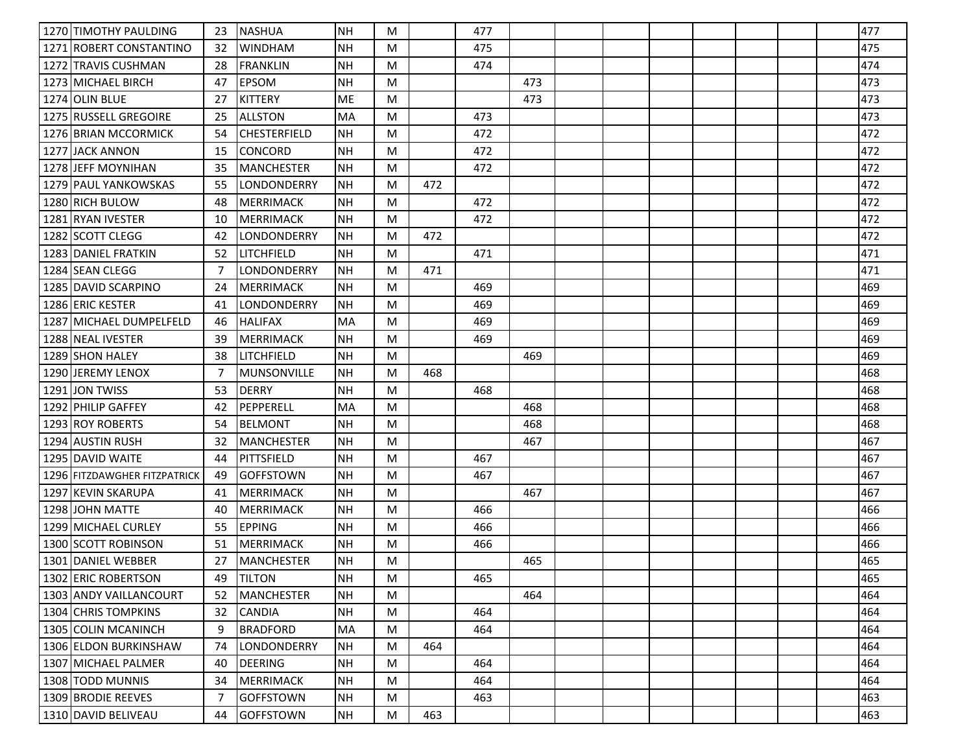| 1270 TIMOTHY PAULDING        | 23 | <b>NASHUA</b>       | <b>NH</b> | M |     | 477 |     |  |  |  | 477 |
|------------------------------|----|---------------------|-----------|---|-----|-----|-----|--|--|--|-----|
| 1271 ROBERT CONSTANTINO      | 32 | <b>WINDHAM</b>      | ΝH        | M |     | 475 |     |  |  |  | 475 |
| 1272 TRAVIS CUSHMAN          | 28 | <b>FRANKLIN</b>     | <b>NH</b> | M |     | 474 |     |  |  |  | 474 |
| 1273 MICHAEL BIRCH           | 47 | <b>EPSOM</b>        | <b>NH</b> | M |     |     | 473 |  |  |  | 473 |
| 1274 OLIN BLUE               | 27 | <b>KITTERY</b>      | <b>ME</b> | M |     |     | 473 |  |  |  | 473 |
| 1275 RUSSELL GREGOIRE        | 25 | <b>ALLSTON</b>      | MA        | M |     | 473 |     |  |  |  | 473 |
| 1276 BRIAN MCCORMICK         | 54 | <b>CHESTERFIELD</b> | <b>NH</b> | M |     | 472 |     |  |  |  | 472 |
| 1277 JACK ANNON              | 15 | <b>CONCORD</b>      | <b>NH</b> | M |     | 472 |     |  |  |  | 472 |
| 1278 JEFF MOYNIHAN           | 35 | <b>MANCHESTER</b>   | <b>NH</b> | M |     | 472 |     |  |  |  | 472 |
| 1279 PAUL YANKOWSKAS         | 55 | LONDONDERRY         | <b>NH</b> | M | 472 |     |     |  |  |  | 472 |
| 1280 RICH BULOW              | 48 | <b>MERRIMACK</b>    | <b>NH</b> | M |     | 472 |     |  |  |  | 472 |
| 1281 RYAN IVESTER            | 10 | <b>MERRIMACK</b>    | <b>NH</b> | M |     | 472 |     |  |  |  | 472 |
| 1282 SCOTT CLEGG             | 42 | LONDONDERRY         | <b>NH</b> | M | 472 |     |     |  |  |  | 472 |
| 1283 DANIEL FRATKIN          | 52 | LITCHFIELD          | <b>NH</b> | M |     | 471 |     |  |  |  | 471 |
| 1284 SEAN CLEGG              | 7  | <b>LONDONDERRY</b>  | <b>NH</b> | M | 471 |     |     |  |  |  | 471 |
| 1285 DAVID SCARPINO          | 24 | <b>MERRIMACK</b>    | ΝH        | M |     | 469 |     |  |  |  | 469 |
| 1286 ERIC KESTER             | 41 | LONDONDERRY         | <b>NH</b> | M |     | 469 |     |  |  |  | 469 |
| 1287 MICHAEL DUMPELFELD      | 46 | <b>HALIFAX</b>      | <b>MA</b> | M |     | 469 |     |  |  |  | 469 |
| 1288 NEAL IVESTER            | 39 | <b>MERRIMACK</b>    | <b>NH</b> | M |     | 469 |     |  |  |  | 469 |
| 1289 SHON HALEY              | 38 | LITCHFIELD          | <b>NH</b> | M |     |     | 469 |  |  |  | 469 |
| 1290 JEREMY LENOX            | -7 | <b>MUNSONVILLE</b>  | <b>NH</b> | M | 468 |     |     |  |  |  | 468 |
| 1291 JON TWISS               | 53 | <b>DERRY</b>        | <b>NH</b> | M |     | 468 |     |  |  |  | 468 |
| 1292 PHILIP GAFFEY           | 42 | PEPPERELL           | MA        | M |     |     | 468 |  |  |  | 468 |
| 1293 ROY ROBERTS             | 54 | <b>BELMONT</b>      | <b>NH</b> | M |     |     | 468 |  |  |  | 468 |
| 1294 AUSTIN RUSH             | 32 | <b>MANCHESTER</b>   | <b>NH</b> | M |     |     | 467 |  |  |  | 467 |
| 1295 DAVID WAITE             | 44 | <b>PITTSFIELD</b>   | <b>NH</b> | M |     | 467 |     |  |  |  | 467 |
| 1296 FITZDAWGHER FITZPATRICK | 49 | <b>GOFFSTOWN</b>    | <b>NH</b> | M |     | 467 |     |  |  |  | 467 |
| 1297 KEVIN SKARUPA           | 41 | <b>MERRIMACK</b>    | <b>NH</b> | M |     |     | 467 |  |  |  | 467 |
| 1298 JOHN MATTE              | 40 | <b>MERRIMACK</b>    | <b>NH</b> | M |     | 466 |     |  |  |  | 466 |
| 1299 MICHAEL CURLEY          | 55 | <b>EPPING</b>       | <b>NH</b> | M |     | 466 |     |  |  |  | 466 |
| 1300 SCOTT ROBINSON          | 51 | <b>MERRIMACK</b>    | <b>NH</b> | M |     | 466 |     |  |  |  | 466 |
| 1301 DANIEL WEBBER           | 27 | <b>MANCHESTER</b>   | <b>NH</b> | M |     |     | 465 |  |  |  | 465 |
| 1302 ERIC ROBERTSON          | 49 | <b>TILTON</b>       | NH        | M |     | 465 |     |  |  |  | 465 |
| 1303 ANDY VAILLANCOURT       | 52 | <b>MANCHESTER</b>   | <b>NH</b> | M |     |     | 464 |  |  |  | 464 |
| 1304 CHRIS TOMPKINS          | 32 | <b>CANDIA</b>       | <b>NH</b> | M |     | 464 |     |  |  |  | 464 |
| 1305 COLIN MCANINCH          | 9  | <b>BRADFORD</b>     | <b>MA</b> | M |     | 464 |     |  |  |  | 464 |
| 1306 ELDON BURKINSHAW        | 74 | LONDONDERRY         | <b>NH</b> | M | 464 |     |     |  |  |  | 464 |
| 1307 MICHAEL PALMER          | 40 | <b>DEERING</b>      | <b>NH</b> | M |     | 464 |     |  |  |  | 464 |
| 1308 TODD MUNNIS             | 34 | <b>MERRIMACK</b>    | <b>NH</b> | M |     | 464 |     |  |  |  | 464 |
| 1309 BRODIE REEVES           | 7  | <b>GOFFSTOWN</b>    | <b>NH</b> | M |     | 463 |     |  |  |  | 463 |
| 1310 DAVID BELIVEAU          | 44 | <b>GOFFSTOWN</b>    | <b>NH</b> | M | 463 |     |     |  |  |  | 463 |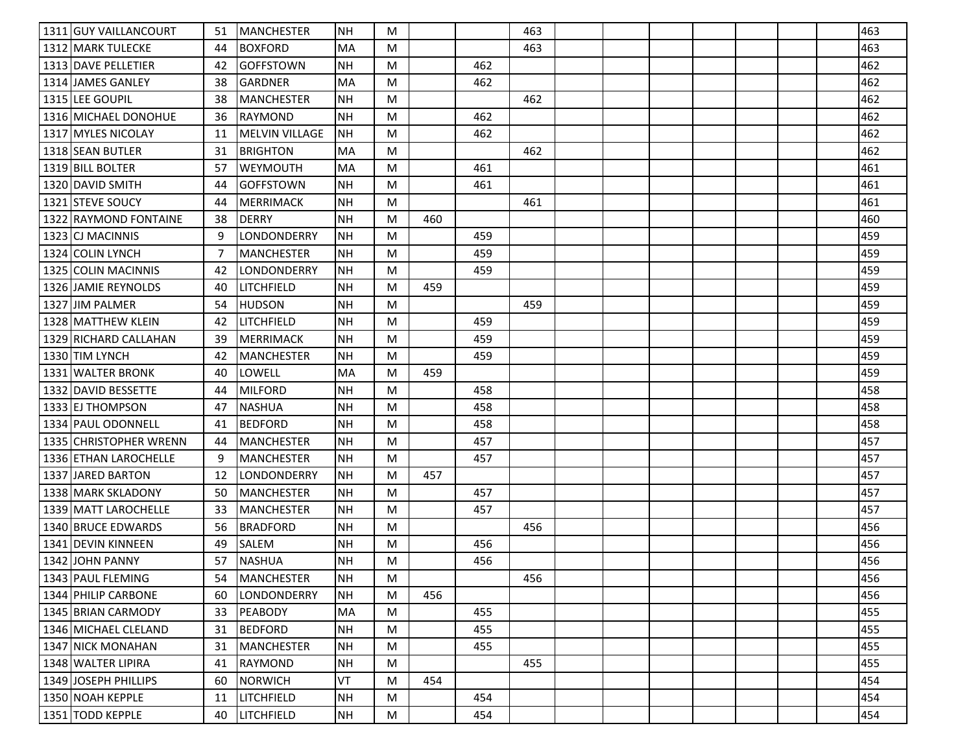| 1311 GUY VAILLANCOURT  | 51 | <b>MANCHESTER</b>     | NΗ        | M |     |     | 463 |  |  |  | 463 |
|------------------------|----|-----------------------|-----------|---|-----|-----|-----|--|--|--|-----|
| 1312 MARK TULECKE      | 44 | <b>BOXFORD</b>        | MA        | M |     |     | 463 |  |  |  | 463 |
| 1313 DAVE PELLETIER    | 42 | <b>GOFFSTOWN</b>      | <b>NH</b> | M |     | 462 |     |  |  |  | 462 |
| 1314 JAMES GANLEY      | 38 | <b>GARDNER</b>        | MA        | M |     | 462 |     |  |  |  | 462 |
| 1315 LEE GOUPIL        | 38 | <b>MANCHESTER</b>     | <b>NH</b> | M |     |     | 462 |  |  |  | 462 |
| 1316 MICHAEL DONOHUE   | 36 | <b>RAYMOND</b>        | NΗ        | M |     | 462 |     |  |  |  | 462 |
| 1317 MYLES NICOLAY     | 11 | <b>MELVIN VILLAGE</b> | <b>NH</b> | M |     | 462 |     |  |  |  | 462 |
| 1318 SEAN BUTLER       | 31 | <b>BRIGHTON</b>       | MA        | M |     |     | 462 |  |  |  | 462 |
| 1319 BILL BOLTER       | 57 | <b>WEYMOUTH</b>       | MA        | M |     | 461 |     |  |  |  | 461 |
| 1320 DAVID SMITH       | 44 | <b>GOFFSTOWN</b>      | <b>NH</b> | M |     | 461 |     |  |  |  | 461 |
| 1321 STEVE SOUCY       | 44 | <b>MERRIMACK</b>      | <b>NH</b> | M |     |     | 461 |  |  |  | 461 |
| 1322 RAYMOND FONTAINE  | 38 | <b>DERRY</b>          | <b>NH</b> | M | 460 |     |     |  |  |  | 460 |
| 1323 CJ MACINNIS       | 9  | LONDONDERRY           | <b>NH</b> | M |     | 459 |     |  |  |  | 459 |
| 1324 COLIN LYNCH       | -7 | <b>MANCHESTER</b>     | <b>NH</b> | M |     | 459 |     |  |  |  | 459 |
| 1325 COLIN MACINNIS    | 42 | LONDONDERRY           | <b>NH</b> | M |     | 459 |     |  |  |  | 459 |
| 1326 JAMIE REYNOLDS    | 40 | LITCHFIELD            | NΗ        | M | 459 |     |     |  |  |  | 459 |
| 1327 JIM PALMER        | 54 | <b>HUDSON</b>         | <b>NH</b> | M |     |     | 459 |  |  |  | 459 |
| 1328 MATTHEW KLEIN     | 42 | LITCHFIELD            | <b>NH</b> | M |     | 459 |     |  |  |  | 459 |
| 1329 RICHARD CALLAHAN  | 39 | <b>MERRIMACK</b>      | NΗ        | M |     | 459 |     |  |  |  | 459 |
| 1330 TIM LYNCH         | 42 | <b>MANCHESTER</b>     | NΗ        | M |     | 459 |     |  |  |  | 459 |
| 1331 WALTER BRONK      | 40 | LOWELL                | MA        | M | 459 |     |     |  |  |  | 459 |
| 1332 DAVID BESSETTE    | 44 | <b>MILFORD</b>        | <b>NH</b> | M |     | 458 |     |  |  |  | 458 |
| 1333 EJ THOMPSON       | 47 | <b>NASHUA</b>         | <b>NH</b> | M |     | 458 |     |  |  |  | 458 |
| 1334 PAUL ODONNELL     | 41 | <b>BEDFORD</b>        | <b>NH</b> | M |     | 458 |     |  |  |  | 458 |
| 1335 CHRISTOPHER WRENN | 44 | <b>MANCHESTER</b>     | <b>NH</b> | M |     | 457 |     |  |  |  | 457 |
| 1336 ETHAN LAROCHELLE  | 9  | <b>MANCHESTER</b>     | NΗ        | M |     | 457 |     |  |  |  | 457 |
| 1337 JARED BARTON      | 12 | LONDONDERRY           | <b>NH</b> | M | 457 |     |     |  |  |  | 457 |
| 1338 MARK SKLADONY     | 50 | <b>MANCHESTER</b>     | <b>NH</b> | M |     | 457 |     |  |  |  | 457 |
| 1339 MATT LAROCHELLE   | 33 | <b>MANCHESTER</b>     | <b>NH</b> | M |     | 457 |     |  |  |  | 457 |
| 1340 BRUCE EDWARDS     | 56 | <b>BRADFORD</b>       | <b>NH</b> | M |     |     | 456 |  |  |  | 456 |
| 1341 DEVIN KINNEEN     | 49 | SALEM                 | <b>NH</b> | M |     | 456 |     |  |  |  | 456 |
| 1342 JOHN PANNY        | 57 | <b>NASHUA</b>         | NΗ        | M |     | 456 |     |  |  |  | 456 |
| 1343 PAUL FLEMING      | 54 | MANCHESTER            | NH        | M |     |     | 456 |  |  |  | 456 |
| 1344 PHILIP CARBONE    | 60 | LONDONDERRY           | <b>NH</b> | M | 456 |     |     |  |  |  | 456 |
| 1345 BRIAN CARMODY     | 33 | PEABODY               | MA        | M |     | 455 |     |  |  |  | 455 |
| 1346 MICHAEL CLELAND   | 31 | <b>BEDFORD</b>        | <b>NH</b> | M |     | 455 |     |  |  |  | 455 |
| 1347 NICK MONAHAN      | 31 | <b>MANCHESTER</b>     | <b>NH</b> | M |     | 455 |     |  |  |  | 455 |
| 1348 WALTER LIPIRA     | 41 | RAYMOND               | <b>NH</b> | M |     |     | 455 |  |  |  | 455 |
| 1349 JOSEPH PHILLIPS   | 60 | <b>NORWICH</b>        | VT        | M | 454 |     |     |  |  |  | 454 |
| 1350 NOAH KEPPLE       | 11 | LITCHFIELD            | <b>NH</b> | M |     | 454 |     |  |  |  | 454 |
| 1351 TODD KEPPLE       | 40 | LITCHFIELD            | NH        | M |     | 454 |     |  |  |  | 454 |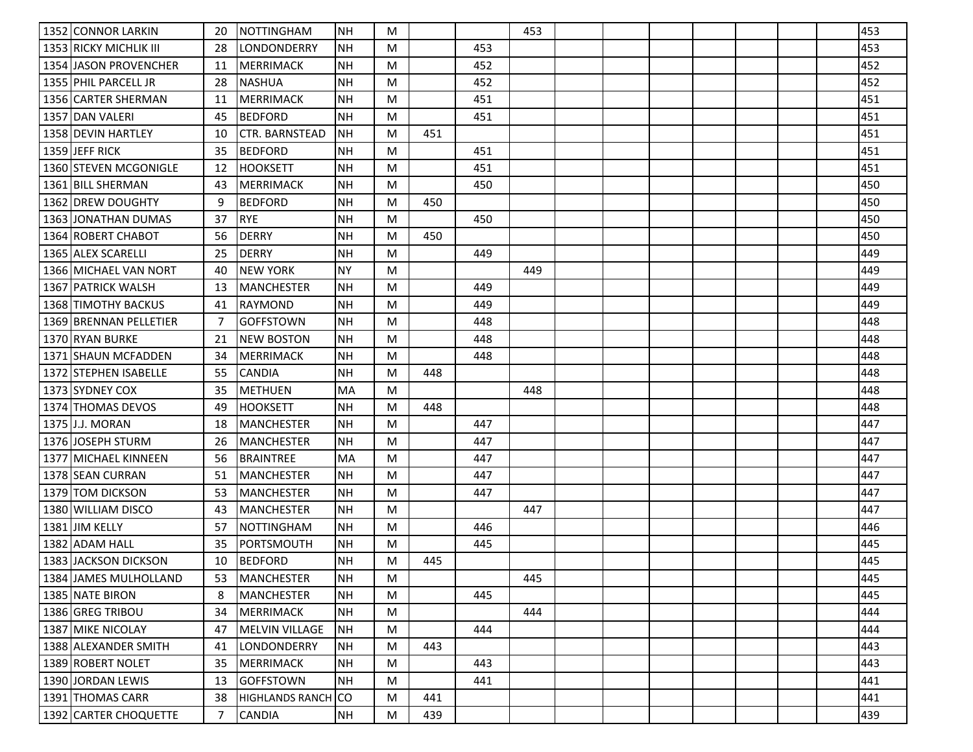| 1352 CONNOR LARKIN     | 20 | NOTTINGHAM             | <b>NH</b>  | M |     |     | 453 |  |  |  | 453 |
|------------------------|----|------------------------|------------|---|-----|-----|-----|--|--|--|-----|
| 1353 RICKY MICHLIK III | 28 | LONDONDERRY            | <b>NH</b>  | M |     | 453 |     |  |  |  | 453 |
| 1354 JASON PROVENCHER  | 11 | <b>MERRIMACK</b>       | <b>NH</b>  | M |     | 452 |     |  |  |  | 452 |
| 1355 PHIL PARCELL JR   | 28 | <b>NASHUA</b>          | <b>NH</b>  | M |     | 452 |     |  |  |  | 452 |
| 1356 CARTER SHERMAN    | 11 | <b>MERRIMACK</b>       | <b>NH</b>  | M |     | 451 |     |  |  |  | 451 |
| 1357 DAN VALERI        | 45 | <b>BEDFORD</b>         | <b>NH</b>  | M |     | 451 |     |  |  |  | 451 |
| 1358 DEVIN HARTLEY     | 10 | <b>CTR. BARNSTEAD</b>  | <b>INH</b> | M | 451 |     |     |  |  |  | 451 |
| 1359 JEFF RICK         | 35 | <b>BEDFORD</b>         | <b>NH</b>  | M |     | 451 |     |  |  |  | 451 |
| 1360 STEVEN MCGONIGLE  | 12 | <b>HOOKSETT</b>        | <b>NH</b>  | M |     | 451 |     |  |  |  | 451 |
| 1361 BILL SHERMAN      | 43 | MERRIMACK              | <b>NH</b>  | M |     | 450 |     |  |  |  | 450 |
| 1362 DREW DOUGHTY      | 9  | <b>BEDFORD</b>         | <b>NH</b>  | M | 450 |     |     |  |  |  | 450 |
| 1363 JONATHAN DUMAS    | 37 | <b>RYE</b>             | <b>NH</b>  | M |     | 450 |     |  |  |  | 450 |
| 1364 ROBERT CHABOT     | 56 | <b>DERRY</b>           | <b>NH</b>  | M | 450 |     |     |  |  |  | 450 |
| 1365 ALEX SCARELLI     | 25 | <b>DERRY</b>           | <b>NH</b>  | M |     | 449 |     |  |  |  | 449 |
| 1366 MICHAEL VAN NORT  | 40 | <b>NEW YORK</b>        | <b>NY</b>  | M |     |     | 449 |  |  |  | 449 |
| 1367   PATRICK WALSH   | 13 | <b>MANCHESTER</b>      | <b>NH</b>  | M |     | 449 |     |  |  |  | 449 |
| 1368 TIMOTHY BACKUS    | 41 | <b>RAYMOND</b>         | <b>NH</b>  | M |     | 449 |     |  |  |  | 449 |
| 1369 BRENNAN PELLETIER | 7  | <b>GOFFSTOWN</b>       | NH         | M |     | 448 |     |  |  |  | 448 |
| 1370 RYAN BURKE        | 21 | <b>NEW BOSTON</b>      | <b>NH</b>  | M |     | 448 |     |  |  |  | 448 |
| 1371 SHAUN MCFADDEN    | 34 | <b>MERRIMACK</b>       | <b>NH</b>  | M |     | 448 |     |  |  |  | 448 |
| 1372 STEPHEN ISABELLE  | 55 | <b>CANDIA</b>          | <b>NH</b>  | M | 448 |     |     |  |  |  | 448 |
| 1373 SYDNEY COX        | 35 | <b>METHUEN</b>         | MA         | M |     |     | 448 |  |  |  | 448 |
| 1374 THOMAS DEVOS      | 49 | <b>HOOKSETT</b>        | ΝH         | M | 448 |     |     |  |  |  | 448 |
| 1375 J.J. MORAN        | 18 | <b>MANCHESTER</b>      | NH         | M |     | 447 |     |  |  |  | 447 |
| 1376 JOSEPH STURM      | 26 | <b>MANCHESTER</b>      | <b>NH</b>  | M |     | 447 |     |  |  |  | 447 |
| 1377   MICHAEL KINNEEN | 56 | <b>BRAINTREE</b>       | <b>MA</b>  | M |     | 447 |     |  |  |  | 447 |
| 1378 SEAN CURRAN       | 51 | <b>MANCHESTER</b>      | <b>NH</b>  | M |     | 447 |     |  |  |  | 447 |
| 1379 TOM DICKSON       | 53 | <b>MANCHESTER</b>      | <b>NH</b>  | M |     | 447 |     |  |  |  | 447 |
| 1380 WILLIAM DISCO     | 43 | <b>MANCHESTER</b>      | <b>NH</b>  | M |     |     | 447 |  |  |  | 447 |
| 1381 JIM KELLY         | 57 | <b>NOTTINGHAM</b>      | <b>NH</b>  | M |     | 446 |     |  |  |  | 446 |
| 1382 ADAM HALL         | 35 | PORTSMOUTH             | <b>NH</b>  | M |     | 445 |     |  |  |  | 445 |
| 1383 JACKSON DICKSON   | 10 | <b>BEDFORD</b>         | <b>NH</b>  | M | 445 |     |     |  |  |  | 445 |
| 1384 JAMES MULHOLLAND  | 53 | <b>MANCHESTER</b>      | <b>INH</b> | M |     |     | 445 |  |  |  | 445 |
| 1385 NATE BIRON        | 8  | <b>MANCHESTER</b>      | <b>NH</b>  | M |     | 445 |     |  |  |  | 445 |
| 1386 GREG TRIBOU       | 34 | <b>MERRIMACK</b>       | <b>NH</b>  | M |     |     | 444 |  |  |  | 444 |
| 1387 MIKE NICOLAY      | 47 | <b>MELVIN VILLAGE</b>  | NH         | M |     | 444 |     |  |  |  | 444 |
| 1388 ALEXANDER SMITH   | 41 | LONDONDERRY            | NH         | M | 443 |     |     |  |  |  | 443 |
| 1389 ROBERT NOLET      | 35 | <b>MERRIMACK</b>       | NH         | M |     | 443 |     |  |  |  | 443 |
| 1390 JORDAN LEWIS      | 13 | <b>GOFFSTOWN</b>       | NH         | M |     | 441 |     |  |  |  | 441 |
| 1391 THOMAS CARR       | 38 | <b>HIGHLANDS RANCH</b> | Ico        | M | 441 |     |     |  |  |  | 441 |
| 1392 CARTER CHOQUETTE  | 7  | <b>CANDIA</b>          | NH         | M | 439 |     |     |  |  |  | 439 |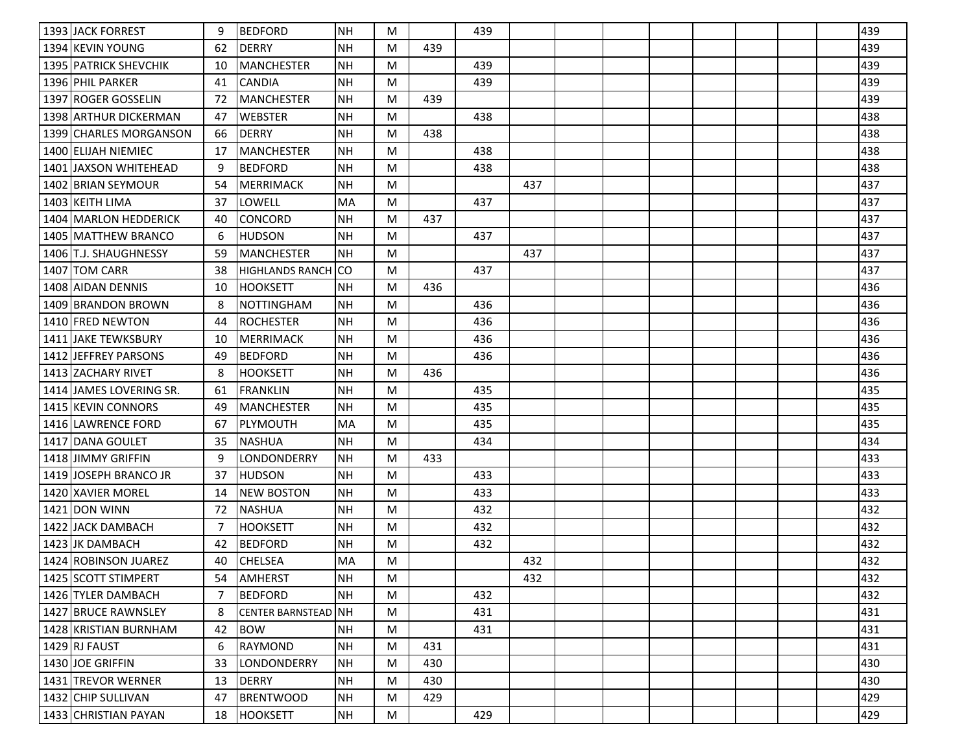| 1393 JACK FORREST          | 9              | <b>BEDFORD</b>         | <b>NH</b> | M |     | 439 |     |  |  |  | 439 |
|----------------------------|----------------|------------------------|-----------|---|-----|-----|-----|--|--|--|-----|
| 1394 KEVIN YOUNG           | 62             | <b>DERRY</b>           | <b>NH</b> | M | 439 |     |     |  |  |  | 439 |
| 1395 PATRICK SHEVCHIK      | 10             | <b>MANCHESTER</b>      | <b>NH</b> | M |     | 439 |     |  |  |  | 439 |
| 1396 PHIL PARKER           | 41             | ICANDIA                | <b>NH</b> | M |     | 439 |     |  |  |  | 439 |
| 1397 ROGER GOSSELIN        | 72             | <b>MANCHESTER</b>      | <b>NH</b> | M | 439 |     |     |  |  |  | 439 |
| 1398 ARTHUR DICKERMAN      | 47             | <b>WEBSTER</b>         | <b>NH</b> | M |     | 438 |     |  |  |  | 438 |
| 1399 CHARLES MORGANSON     | 66             | DERRY                  | <b>NH</b> | M | 438 |     |     |  |  |  | 438 |
| 1400 ELIJAH NIEMIEC        | 17             | <b>MANCHESTER</b>      | <b>NH</b> | M |     | 438 |     |  |  |  | 438 |
| 1401 JJAXSON WHITEHEAD     | 9              | <b>BEDFORD</b>         | <b>NH</b> | M |     | 438 |     |  |  |  | 438 |
| 1402 BRIAN SEYMOUR         | 54             | <b>MERRIMACK</b>       | <b>NH</b> | M |     |     | 437 |  |  |  | 437 |
| 1403 KEITH LIMA            | 37             | LOWELL                 | <b>MA</b> | M |     | 437 |     |  |  |  | 437 |
| 1404 MARLON HEDDERICK      | 40             | <b>CONCORD</b>         | <b>NH</b> | M | 437 |     |     |  |  |  | 437 |
| 1405 IMATTHEW BRANCO       | 6              | <b>HUDSON</b>          | NΗ        | M |     | 437 |     |  |  |  | 437 |
| 1406 T.J. SHAUGHNESSY      | 59             | <b>MANCHESTER</b>      | <b>NH</b> | M |     |     | 437 |  |  |  | 437 |
| 1407 TOM CARR              | 38             | <b>HIGHLANDS RANCH</b> | CO        | M |     | 437 |     |  |  |  | 437 |
| 1408 AIDAN DENNIS          | 10             | <b>HOOKSETT</b>        | NΗ        | M | 436 |     |     |  |  |  | 436 |
| 1409 BRANDON BROWN         | 8              | <b>NOTTINGHAM</b>      | <b>NH</b> | M |     | 436 |     |  |  |  | 436 |
| 1410 FRED NEWTON           | 44             | ROCHESTER              | NH        | M |     | 436 |     |  |  |  | 436 |
| <b>1411 JAKE TEWKSBURY</b> | 10             | <b>MERRIMACK</b>       | <b>NH</b> | M |     | 436 |     |  |  |  | 436 |
| 1412 JEFFREY PARSONS       | 49             | <b>BEDFORD</b>         | <b>NH</b> | M |     | 436 |     |  |  |  | 436 |
| 1413 ZACHARY RIVET         | 8              | <b>HOOKSETT</b>        | <b>NH</b> | M | 436 |     |     |  |  |  | 436 |
| 1414 JAMES LOVERING SR.    | 61             | <b>FRANKLIN</b>        | <b>NH</b> | M |     | 435 |     |  |  |  | 435 |
| 1415 IKEVIN CONNORS        | 49             | <b>MANCHESTER</b>      | <b>NH</b> | M |     | 435 |     |  |  |  | 435 |
| 1416 LAWRENCE FORD         | 67             | PLYMOUTH               | <b>MA</b> | M |     | 435 |     |  |  |  | 435 |
| 1417 DANA GOULET           | 35             | <b>NASHUA</b>          | <b>NH</b> | M |     | 434 |     |  |  |  | 434 |
| 1418 JJIMMY GRIFFIN        | 9              | LONDONDERRY            | <b>NH</b> | M | 433 |     |     |  |  |  | 433 |
| 1419 JOSEPH BRANCO JR      | 37             | HUDSON                 | NΗ        | M |     | 433 |     |  |  |  | 433 |
| 1420 XAVIER MOREL          | 14             | <b>NEW BOSTON</b>      | <b>NH</b> | M |     | 433 |     |  |  |  | 433 |
| 1421 IDON WINN             | 72             | <b>NASHUA</b>          | <b>NH</b> | M |     | 432 |     |  |  |  | 432 |
| 1422 IJACK DAMBACH         | 7              | <b>HOOKSETT</b>        | <b>NH</b> | M |     | 432 |     |  |  |  | 432 |
| 1423 JK DAMBACH            | 42             | <b>BEDFORD</b>         | <b>NH</b> | M |     | 432 |     |  |  |  | 432 |
| 1424 ROBINSON JUAREZ       | 40             | <b>CHELSEA</b>         | <b>MA</b> | M |     |     | 432 |  |  |  | 432 |
| 1425 SCOTT STIMPERT        | 54             | AMHERST                | <b>NH</b> | M |     |     | 432 |  |  |  | 432 |
| 1426 TYLER DAMBACH         | $\overline{7}$ | <b>BEDFORD</b>         | <b>NH</b> | M |     | 432 |     |  |  |  | 432 |
| 1427 BRUCE RAWNSLEY        | 8              | CENTER BARNSTEAD NH    |           | M |     | 431 |     |  |  |  | 431 |
| 1428 KRISTIAN BURNHAM      | 42             | <b>BOW</b>             | <b>NH</b> | M |     | 431 |     |  |  |  | 431 |
| 1429 RJ FAUST              | 6              | <b>RAYMOND</b>         | <b>NH</b> | M | 431 |     |     |  |  |  | 431 |
| 1430 JOE GRIFFIN           | 33             | <b>LONDONDERRY</b>     | NH        | M | 430 |     |     |  |  |  | 430 |
| 1431 TREVOR WERNER         | 13             | <b>DERRY</b>           | <b>NH</b> | M | 430 |     |     |  |  |  | 430 |
| 1432 CHIP SULLIVAN         | 47             | <b>BRENTWOOD</b>       | NH        | M | 429 |     |     |  |  |  | 429 |
| 1433 CHRISTIAN PAYAN       | 18             | <b>HOOKSETT</b>        | NH        | M |     | 429 |     |  |  |  | 429 |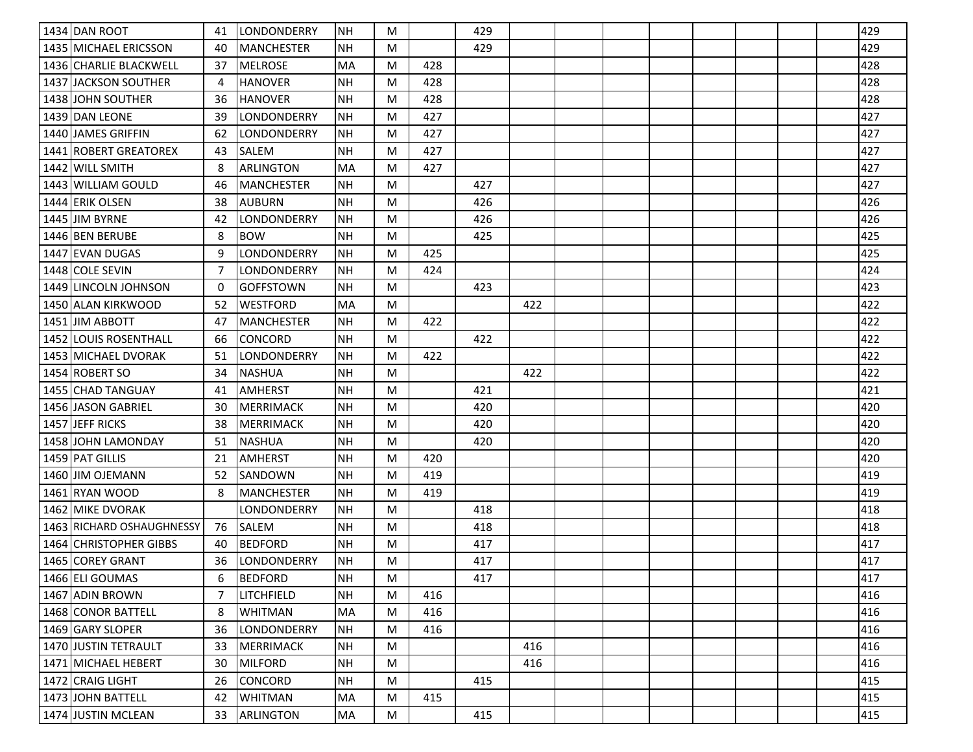| 1434 DAN ROOT                | 41 | LONDONDERRY       | <b>NH</b> | M |     | 429 |     |  |  |  | 429 |
|------------------------------|----|-------------------|-----------|---|-----|-----|-----|--|--|--|-----|
| 1435 MICHAEL ERICSSON        | 40 | <b>MANCHESTER</b> | NΗ        | M |     | 429 |     |  |  |  | 429 |
| 1436 CHARLIE BLACKWELL       | 37 | <b>MELROSE</b>    | MA        | M | 428 |     |     |  |  |  | 428 |
| 1437 JACKSON SOUTHER         | 4  | <b>HANOVER</b>    | <b>NH</b> | M | 428 |     |     |  |  |  | 428 |
| 1438 JOHN SOUTHER            | 36 | <b>HANOVER</b>    | <b>NH</b> | M | 428 |     |     |  |  |  | 428 |
| 1439 JDAN LEONE              | 39 | LONDONDERRY       | <b>NH</b> | M | 427 |     |     |  |  |  | 427 |
| 1440 JAMES GRIFFIN           | 62 | LONDONDERRY       | NH        | M | 427 |     |     |  |  |  | 427 |
| 1441 ROBERT GREATOREX        | 43 | SALEM             | <b>NH</b> | M | 427 |     |     |  |  |  | 427 |
| 1442 WILL SMITH              | 8  | <b>ARLINGTON</b>  | <b>MA</b> | M | 427 |     |     |  |  |  | 427 |
| 1443 WILLIAM GOULD           | 46 | <b>MANCHESTER</b> | <b>NH</b> | M |     | 427 |     |  |  |  | 427 |
| 1444 ERIK OLSEN              | 38 | <b>AUBURN</b>     | <b>NH</b> | M |     | 426 |     |  |  |  | 426 |
| 1445 JIM BYRNE               | 42 | LONDONDERRY       | <b>NH</b> | M |     | 426 |     |  |  |  | 426 |
| 1446 BEN BERUBE              | 8  | <b>BOW</b>        | NΗ        | M |     | 425 |     |  |  |  | 425 |
| 1447 EVAN DUGAS              | 9  | LONDONDERRY       | <b>NH</b> | M | 425 |     |     |  |  |  | 425 |
| 1448 COLE SEVIN              | 7  | LONDONDERRY       | <b>NH</b> | M | 424 |     |     |  |  |  | 424 |
| 1449 LINCOLN JOHNSON         | 0  | <b>GOFFSTOWN</b>  | <b>NH</b> | M |     | 423 |     |  |  |  | 423 |
| 1450 ALAN KIRKWOOD           | 52 | <b>WESTFORD</b>   | <b>MA</b> | M |     |     | 422 |  |  |  | 422 |
| 1451 JIM ABBOTT              | 47 | MANCHESTER        | NH        | M | 422 |     |     |  |  |  | 422 |
| <b>1452 LOUIS ROSENTHALL</b> | 66 | <b>CONCORD</b>    | <b>NH</b> | M |     | 422 |     |  |  |  | 422 |
| 1453 MICHAEL DVORAK          | 51 | LONDONDERRY       | <b>NH</b> | M | 422 |     |     |  |  |  | 422 |
| 1454 ROBERT SO               | 34 | <b>NASHUA</b>     | <b>NH</b> | M |     |     | 422 |  |  |  | 422 |
| 1455 CHAD TANGUAY            | 41 | <b>AMHERST</b>    | <b>NH</b> | M |     | 421 |     |  |  |  | 421 |
| 1456 JASON GABRIEL           | 30 | <b>MERRIMACK</b>  | <b>NH</b> | M |     | 420 |     |  |  |  | 420 |
| 1457 JEFF RICKS              | 38 | MERRIMACK         | NH        | M |     | 420 |     |  |  |  | 420 |
| 1458 JOHN LAMONDAY           | 51 | <b>NASHUA</b>     | <b>NH</b> | M |     | 420 |     |  |  |  | 420 |
| 1459 PAT GILLIS              | 21 | <b>AMHERST</b>    | <b>NH</b> | M | 420 |     |     |  |  |  | 420 |
| 1460 JJIM OJEMANN            | 52 | <b>SANDOWN</b>    | <b>NH</b> | M | 419 |     |     |  |  |  | 419 |
| 1461 RYAN WOOD               | 8  | <b>MANCHESTER</b> | <b>NH</b> | M | 419 |     |     |  |  |  | 419 |
| 1462 MIKE DVORAK             |    | LONDONDERRY       | <b>NH</b> | M |     | 418 |     |  |  |  | 418 |
| 1463 RICHARD OSHAUGHNESSY    | 76 | <b>SALEM</b>      | <b>NH</b> | M |     | 418 |     |  |  |  | 418 |
| 1464 CHRISTOPHER GIBBS       | 40 | <b>BEDFORD</b>    | <b>NH</b> | M |     | 417 |     |  |  |  | 417 |
| 1465 COREY GRANT             | 36 | LONDONDERRY       | <b>NH</b> | M |     | 417 |     |  |  |  | 417 |
| 1466 ELI GOUMAS              | 6  | <b>BEDFORD</b>    | <b>NH</b> | M |     | 417 |     |  |  |  | 417 |
| 1467 ADIN BROWN              | 7  | <b>LITCHFIELD</b> | <b>NH</b> | M | 416 |     |     |  |  |  | 416 |
| 1468 CONOR BATTELL           | 8  | <b>WHITMAN</b>    | <b>MA</b> | M | 416 |     |     |  |  |  | 416 |
| 1469 GARY SLOPER             | 36 | LONDONDERRY       | NH        | M | 416 |     |     |  |  |  | 416 |
| 1470 JUSTIN TETRAULT         | 33 | <b>MERRIMACK</b>  | NH        | M |     |     | 416 |  |  |  | 416 |
| 1471 MICHAEL HEBERT          | 30 | <b>MILFORD</b>    | <b>NH</b> | M |     |     | 416 |  |  |  | 416 |
| 1472 CRAIG LIGHT             | 26 | <b>CONCORD</b>    | <b>NH</b> | M |     | 415 |     |  |  |  | 415 |
| 1473 JOHN BATTELL            | 42 | <b>WHITMAN</b>    | MA        | M | 415 |     |     |  |  |  | 415 |
| 1474 JUSTIN MCLEAN           | 33 | <b>ARLINGTON</b>  | MA        | M |     | 415 |     |  |  |  | 415 |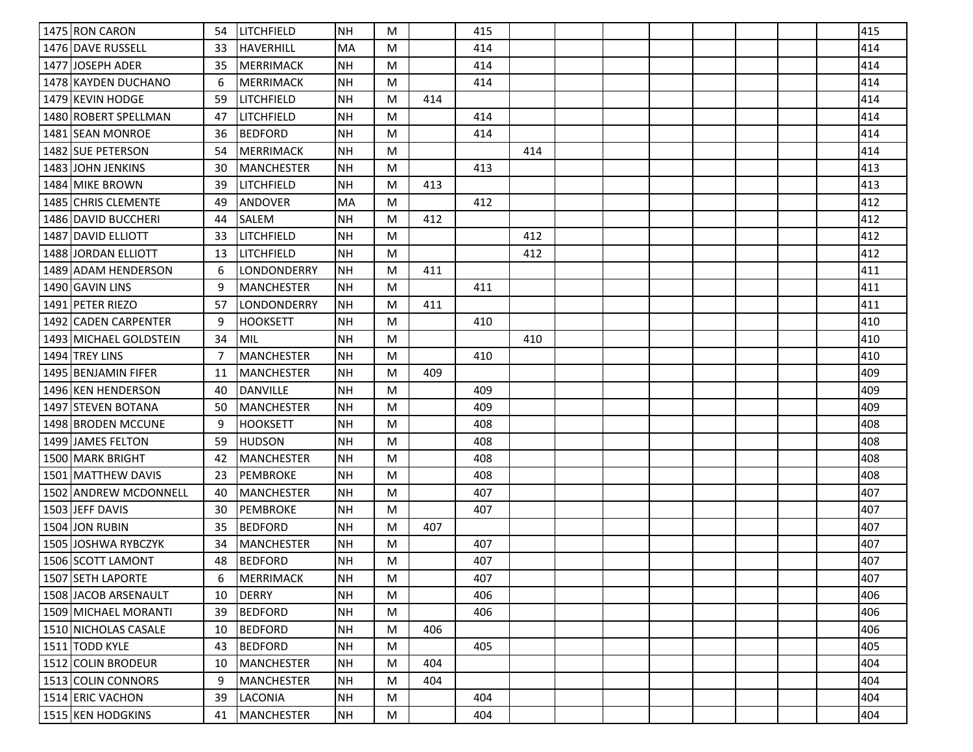| 1475 RON CARON          | 54 | <b>LITCHFIELD</b> | NH        | M |     | 415 |     |  |  |  | 415 |
|-------------------------|----|-------------------|-----------|---|-----|-----|-----|--|--|--|-----|
| 1476 DAVE RUSSELL       | 33 | <b>HAVERHILL</b>  | <b>MA</b> | M |     | 414 |     |  |  |  | 414 |
| 1477 JJOSEPH ADER       | 35 | <b>MERRIMACK</b>  | <b>NH</b> | M |     | 414 |     |  |  |  | 414 |
| 1478 KAYDEN DUCHANO     | 6  | <b>MERRIMACK</b>  | <b>NH</b> | M |     | 414 |     |  |  |  | 414 |
| 1479 KEVIN HODGE        | 59 | Ilitchfield       | <b>NH</b> | M | 414 |     |     |  |  |  | 414 |
| 1480 ROBERT SPELLMAN    | 47 | LITCHFIELD        | <b>NH</b> | M |     | 414 |     |  |  |  | 414 |
| 1481 SEAN MONROE        | 36 | <b>BEDFORD</b>    | <b>NH</b> | M |     | 414 |     |  |  |  | 414 |
| 1482 SUE PETERSON       | 54 | <b>MERRIMACK</b>  | <b>NH</b> | M |     |     | 414 |  |  |  | 414 |
| 1483 JJOHN JENKINS      | 30 | <b>MANCHESTER</b> | <b>NH</b> | M |     | 413 |     |  |  |  | 413 |
| 1484 MIKE BROWN         | 39 | LITCHFIELD        | <b>NH</b> | M | 413 |     |     |  |  |  | 413 |
| 1485 CHRIS CLEMENTE     | 49 | ANDOVER           | <b>MA</b> | M |     | 412 |     |  |  |  | 412 |
| 1486 DAVID BUCCHERI     | 44 | SALEM             | <b>NH</b> | M | 412 |     |     |  |  |  | 412 |
| 1487 DAVID ELLIOTT      | 33 | LITCHFIELD        | <b>NH</b> | M |     |     | 412 |  |  |  | 412 |
| 1488 JORDAN ELLIOTT     | 13 | LITCHFIELD        | <b>NH</b> | M |     |     | 412 |  |  |  | 412 |
| 1489 ADAM HENDERSON     | 6  | LONDONDERRY       | <b>NH</b> | M | 411 |     |     |  |  |  | 411 |
| 1490 GAVIN LINS         | 9  | <b>MANCHESTER</b> | <b>NH</b> | M |     | 411 |     |  |  |  | 411 |
| 1491 <b>PETER RIEZO</b> | 57 | LONDONDERRY       | <b>NH</b> | M | 411 |     |     |  |  |  | 411 |
| 1492 CADEN CARPENTER    | 9  | HOOKSETT          | <b>NH</b> | M |     | 410 |     |  |  |  | 410 |
| 1493 MICHAEL GOLDSTEIN  | 34 | MIL               | <b>NH</b> | M |     |     | 410 |  |  |  | 410 |
| 1494 TREY LINS          | 7  | <b>MANCHESTER</b> | <b>NH</b> | M |     | 410 |     |  |  |  | 410 |
| 1495 BENJAMIN FIFER     | 11 | <b>MANCHESTER</b> | <b>NH</b> | M | 409 |     |     |  |  |  | 409 |
| 1496 KEN HENDERSON      | 40 | <b>DANVILLE</b>   | NΗ        | M |     | 409 |     |  |  |  | 409 |
| 1497 STEVEN BOTANA      | 50 | <b>MANCHESTER</b> | <b>NH</b> | M |     | 409 |     |  |  |  | 409 |
| 1498 BRODEN MCCUNE      | 9  | <b>HOOKSETT</b>   | <b>NH</b> | M |     | 408 |     |  |  |  | 408 |
| 1499 JJAMES FELTON      | 59 | <b>HUDSON</b>     | <b>NH</b> | M |     | 408 |     |  |  |  | 408 |
| 1500 MARK BRIGHT        | 42 | <b>MANCHESTER</b> | <b>NH</b> | M |     | 408 |     |  |  |  | 408 |
| 1501   MATTHEW DAVIS    | 23 | PEMBROKE          | NH        | M |     | 408 |     |  |  |  | 408 |
| 1502 ANDREW MCDONNELL   | 40 | <b>MANCHESTER</b> | <b>NH</b> | M |     | 407 |     |  |  |  | 407 |
| 1503 JEFF DAVIS         | 30 | <b>PEMBROKE</b>   | <b>NH</b> | M |     | 407 |     |  |  |  | 407 |
| 1504 JON RUBIN          | 35 | <b>BEDFORD</b>    | <b>NH</b> | M | 407 |     |     |  |  |  | 407 |
| 1505 JOSHWA RYBCZYK     | 34 | <b>MANCHESTER</b> | <b>NH</b> | M |     | 407 |     |  |  |  | 407 |
| 1506 SCOTT LAMONT       | 48 | <b>BEDFORD</b>    | <b>NH</b> | M |     | 407 |     |  |  |  | 407 |
| 1507 SETH LAPORTE       | 6  | MERRIMACK         | <b>NH</b> | M |     | 407 |     |  |  |  | 407 |
| 1508 JACOB ARSENAULT    | 10 | <b>DERRY</b>      | <b>NH</b> | M |     | 406 |     |  |  |  | 406 |
| 1509 MICHAEL MORANTI    | 39 | <b>BEDFORD</b>    | <b>NH</b> | M |     | 406 |     |  |  |  | 406 |
| 1510 NICHOLAS CASALE    | 10 | <b>BEDFORD</b>    | <b>NH</b> | M | 406 |     |     |  |  |  | 406 |
| 1511 TODD KYLE          | 43 | <b>BEDFORD</b>    | <b>NH</b> | M |     | 405 |     |  |  |  | 405 |
| 1512 COLIN BRODEUR      | 10 | <b>MANCHESTER</b> | <b>NH</b> | M | 404 |     |     |  |  |  | 404 |
| 1513 COLIN CONNORS      | 9  | <b>MANCHESTER</b> | <b>NH</b> | M | 404 |     |     |  |  |  | 404 |
| 1514 ERIC VACHON        | 39 | LACONIA           | <b>NH</b> | M |     | 404 |     |  |  |  | 404 |
| 1515 KEN HODGKINS       | 41 | MANCHESTER        | NH        | M |     | 404 |     |  |  |  | 404 |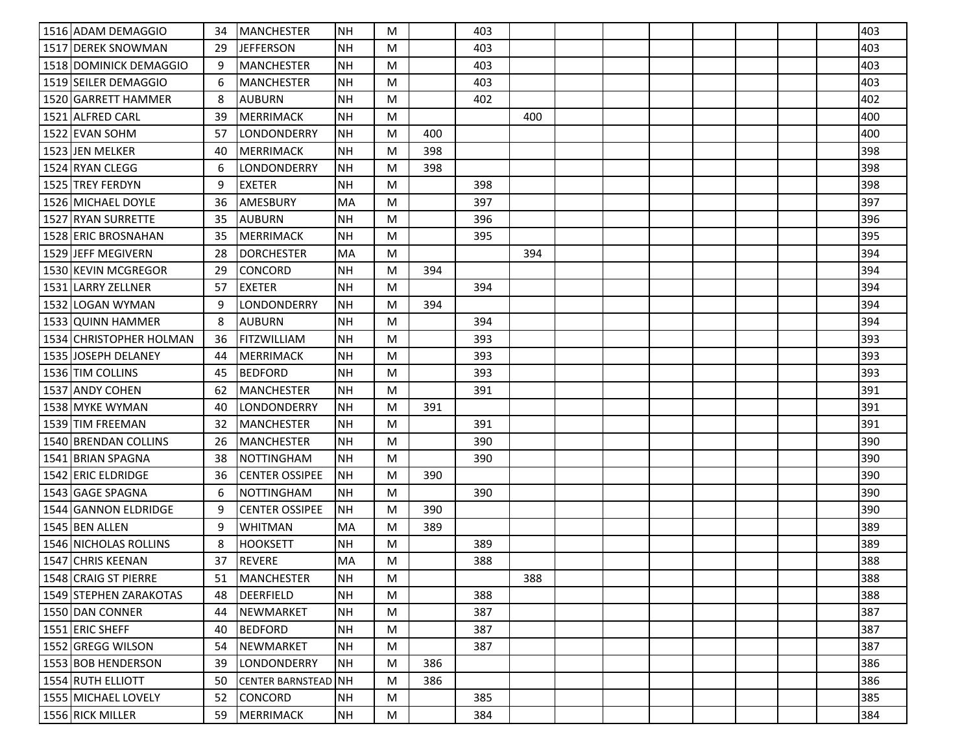| 1516 ADAM DEMAGGIO      | 34 | <b>MANCHESTER</b>       | NΗ        | M |     | 403 |     |  |  |  | 403 |
|-------------------------|----|-------------------------|-----------|---|-----|-----|-----|--|--|--|-----|
| 1517 DEREK SNOWMAN      | 29 | <b>JEFFERSON</b>        | NΗ        | M |     | 403 |     |  |  |  | 403 |
| 1518 DOMINICK DEMAGGIO  | 9  | <b>MANCHESTER</b>       | <b>NH</b> | M |     | 403 |     |  |  |  | 403 |
| 1519 SEILER DEMAGGIO    | 6  | <b>MANCHESTER</b>       | <b>NH</b> | M |     | 403 |     |  |  |  | 403 |
| 1520 GARRETT HAMMER     | 8  | <b>AUBURN</b>           | <b>NH</b> | M |     | 402 |     |  |  |  | 402 |
| 1521 ALFRED CARL        | 39 | <b>MERRIMACK</b>        | <b>NH</b> | M |     |     | 400 |  |  |  | 400 |
| 1522 EVAN SOHM          | 57 | LONDONDERRY             | <b>NH</b> | M | 400 |     |     |  |  |  | 400 |
| 1523 JEN MELKER         | 40 | <b>MERRIMACK</b>        | <b>NH</b> | M | 398 |     |     |  |  |  | 398 |
| 1524 RYAN CLEGG         | 6  | LONDONDERRY             | <b>NH</b> | M | 398 |     |     |  |  |  | 398 |
| <b>1525 TREY FERDYN</b> | 9  | <b>EXETER</b>           | <b>NH</b> | M |     | 398 |     |  |  |  | 398 |
| 1526 MICHAEL DOYLE      | 36 | AMESBURY                | MA        | M |     | 397 |     |  |  |  | 397 |
| 1527 RYAN SURRETTE      | 35 | <b>AUBURN</b>           | <b>NH</b> | M |     | 396 |     |  |  |  | 396 |
| 1528 ERIC BROSNAHAN     | 35 | <b>MERRIMACK</b>        | NΗ        | M |     | 395 |     |  |  |  | 395 |
| 1529 JEFF MEGIVERN      | 28 | <b>DORCHESTER</b>       | MA        | M |     |     | 394 |  |  |  | 394 |
| 1530 KEVIN MCGREGOR     | 29 | <b>CONCORD</b>          | <b>NH</b> | M | 394 |     |     |  |  |  | 394 |
| 1531 LARRY ZELLNER      | 57 | <b>EXETER</b>           | NΗ        | M |     | 394 |     |  |  |  | 394 |
| 1532 LOGAN WYMAN        | 9  | LONDONDERRY             | <b>NH</b> | M | 394 |     |     |  |  |  | 394 |
| 1533 QUINN HAMMER       | 8  | <b>AUBURN</b>           | <b>NH</b> | M |     | 394 |     |  |  |  | 394 |
| 1534 CHRISTOPHER HOLMAN | 36 | <b>FITZWILLIAM</b>      | <b>NH</b> | M |     | 393 |     |  |  |  | 393 |
| 1535 JOSEPH DELANEY     | 44 | <b>MERRIMACK</b>        | <b>NH</b> | M |     | 393 |     |  |  |  | 393 |
| 1536 TIM COLLINS        | 45 | <b>BEDFORD</b>          | <b>NH</b> | M |     | 393 |     |  |  |  | 393 |
| 1537 ANDY COHEN         | 62 | <b>MANCHESTER</b>       | <b>NH</b> | M |     | 391 |     |  |  |  | 391 |
| 1538 MYKE WYMAN         | 40 | LONDONDERRY             | NΗ        | M | 391 |     |     |  |  |  | 391 |
| 1539 TIM FREEMAN        | 32 | <b>MANCHESTER</b>       | NH        | M |     | 391 |     |  |  |  | 391 |
| 1540 BRENDAN COLLINS    | 26 | <b>MANCHESTER</b>       | <b>NH</b> | M |     | 390 |     |  |  |  | 390 |
| 1541 BRIAN SPAGNA       | 38 | <b>NOTTINGHAM</b>       | <b>NH</b> | M |     | 390 |     |  |  |  | 390 |
| 1542 ERIC ELDRIDGE      | 36 | <b>CENTER OSSIPEE</b>   | <b>NH</b> | M | 390 |     |     |  |  |  | 390 |
| 1543 GAGE SPAGNA        | 6  | <b>NOTTINGHAM</b>       | <b>NH</b> | M |     | 390 |     |  |  |  | 390 |
| 1544 GANNON ELDRIDGE    | 9  | <b>CENTER OSSIPEE</b>   | <b>NH</b> | M | 390 |     |     |  |  |  | 390 |
| 1545 BEN ALLEN          | 9  | <b>WHITMAN</b>          | MA        | M | 389 |     |     |  |  |  | 389 |
| 1546 NICHOLAS ROLLINS   | 8  | <b>HOOKSETT</b>         | <b>NH</b> | M |     | 389 |     |  |  |  | 389 |
| 1547 CHRIS KEENAN       | 37 | <b>REVERE</b>           | MA        | M |     | 388 |     |  |  |  | 388 |
| 1548 CRAIG ST PIERRE    | 51 | MANCHESTER              | NH        | M |     |     | 388 |  |  |  | 388 |
| 1549 STEPHEN ZARAKOTAS  | 48 | DEERFIELD               | <b>NH</b> | M |     | 388 |     |  |  |  | 388 |
| 1550 DAN CONNER         | 44 | NEWMARKET               | <b>NH</b> | M |     | 387 |     |  |  |  | 387 |
| 1551 ERIC SHEFF         | 40 | <b>BEDFORD</b>          | <b>NH</b> | M |     | 387 |     |  |  |  | 387 |
| 1552 GREGG WILSON       | 54 | NEWMARKET               | <b>NH</b> | M |     | 387 |     |  |  |  | 387 |
| 1553 BOB HENDERSON      | 39 | LONDONDERRY             | <b>NH</b> | M | 386 |     |     |  |  |  | 386 |
| 1554 RUTH ELLIOTT       | 50 | <b>CENTER BARNSTEAD</b> | NH        | M | 386 |     |     |  |  |  | 386 |
| 1555 MICHAEL LOVELY     | 52 | CONCORD                 | <b>NH</b> | M |     | 385 |     |  |  |  | 385 |
| 1556 RICK MILLER        | 59 | <b>MERRIMACK</b>        | NH        | M |     | 384 |     |  |  |  | 384 |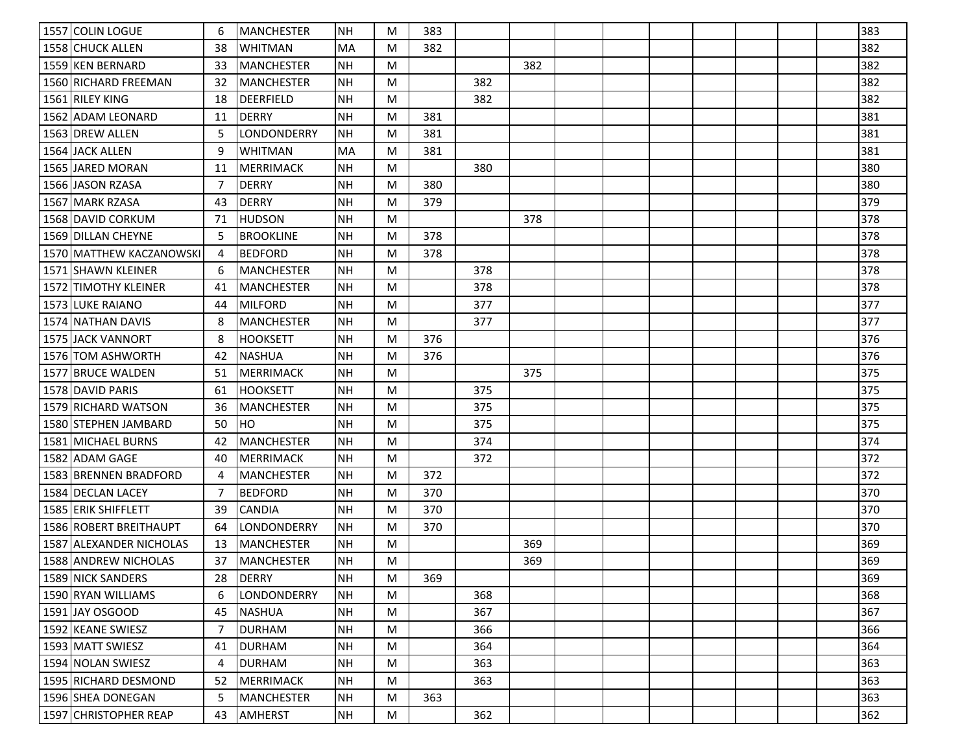| 1557 COLIN LOGUE         | 6              | <b>MANCHESTER</b> | <b>INH</b> | M | 383 |     |     |  |  |  | 383 |
|--------------------------|----------------|-------------------|------------|---|-----|-----|-----|--|--|--|-----|
| 1558 CHUCK ALLEN         | 38             | WHITMAN           | MA         | M | 382 |     |     |  |  |  | 382 |
| 1559 KEN BERNARD         | 33             | <b>MANCHESTER</b> | <b>NH</b>  | M |     |     | 382 |  |  |  | 382 |
| 1560 RICHARD FREEMAN     | 32             | <b>MANCHESTER</b> | <b>NH</b>  | M |     | 382 |     |  |  |  | 382 |
| 1561 RILEY KING          | 18             | <b>DEERFIELD</b>  | <b>NH</b>  | M |     | 382 |     |  |  |  | 382 |
| 1562 ADAM LEONARD        | 11             | <b>DERRY</b>      | <b>NH</b>  | M | 381 |     |     |  |  |  | 381 |
| 1563 DREW ALLEN          | .5             | LONDONDERRY       | <b>NH</b>  | M | 381 |     |     |  |  |  | 381 |
| 1564 JACK ALLEN          | 9              | <b>WHITMAN</b>    | MA         | M | 381 |     |     |  |  |  | 381 |
| 1565 JJARED MORAN        | 11             | <b>MERRIMACK</b>  | <b>NH</b>  | M |     | 380 |     |  |  |  | 380 |
| 1566 JASON RZASA         | -7             | <b>DERRY</b>      | NΗ         | M | 380 |     |     |  |  |  | 380 |
| 1567 MARK RZASA          | 43             | <b>DERRY</b>      | <b>NH</b>  | M | 379 |     |     |  |  |  | 379 |
| 1568 DAVID CORKUM        | 71             | <b>HUDSON</b>     | <b>NH</b>  | M |     |     | 378 |  |  |  | 378 |
| 1569 DILLAN CHEYNE       | -5             | <b>BROOKLINE</b>  | NΗ         | M | 378 |     |     |  |  |  | 378 |
| 1570 MATTHEW KACZANOWSKI | 4              | <b>BEDFORD</b>    | <b>NH</b>  | M | 378 |     |     |  |  |  | 378 |
| 1571 SHAWN KLEINER       | 6              | <b>MANCHESTER</b> | NH         | M |     | 378 |     |  |  |  | 378 |
| 1572 TIMOTHY KLEINER     | 41             | <b>MANCHESTER</b> | NΗ         | M |     | 378 |     |  |  |  | 378 |
| 1573 LUKE RAIANO         | 44             | <b>MILFORD</b>    | <b>NH</b>  | M |     | 377 |     |  |  |  | 377 |
| 1574 NATHAN DAVIS        | 8              | <b>MANCHESTER</b> | NH         | M |     | 377 |     |  |  |  | 377 |
| 1575 JJACK VANNORT       | 8              | <b>HOOKSETT</b>   | <b>NH</b>  | M | 376 |     |     |  |  |  | 376 |
| 1576 TOM ASHWORTH        | 42             | <b>NASHUA</b>     | <b>NH</b>  | M | 376 |     |     |  |  |  | 376 |
| 1577 BRUCE WALDEN        | 51             | <b>MERRIMACK</b>  | NH         | M |     |     | 375 |  |  |  | 375 |
| 1578 DAVID PARIS         | 61             | <b>HOOKSETT</b>   | <b>NH</b>  | M |     | 375 |     |  |  |  | 375 |
| 1579 RICHARD WATSON      | 36             | <b>MANCHESTER</b> | <b>NH</b>  | M |     | 375 |     |  |  |  | 375 |
| 1580 STEPHEN JAMBARD     | 50             | HO                | <b>NH</b>  | M |     | 375 |     |  |  |  | 375 |
| 1581 MICHAEL BURNS       | 42             | <b>MANCHESTER</b> | <b>NH</b>  | M |     | 374 |     |  |  |  | 374 |
| 1582 ADAM GAGE           | 40             | <b>MERRIMACK</b>  | <b>NH</b>  | M |     | 372 |     |  |  |  | 372 |
| 1583 BRENNEN BRADFORD    | 4              | <b>MANCHESTER</b> | <b>NH</b>  | M | 372 |     |     |  |  |  | 372 |
| 1584 DECLAN LACEY        | -7             | <b>BEDFORD</b>    | <b>NH</b>  | M | 370 |     |     |  |  |  | 370 |
| 1585 ERIK SHIFFLETT      | 39             | <b>CANDIA</b>     | <b>NH</b>  | M | 370 |     |     |  |  |  | 370 |
| 1586 ROBERT BREITHAUPT   | 64             | LONDONDERRY       | <b>NH</b>  | M | 370 |     |     |  |  |  | 370 |
| 1587 ALEXANDER NICHOLAS  | 13             | <b>MANCHESTER</b> | NΗ         | M |     |     | 369 |  |  |  | 369 |
| 1588 ANDREW NICHOLAS     | 37             | <b>MANCHESTER</b> | <b>NH</b>  | M |     |     | 369 |  |  |  | 369 |
| 1589 NICK SANDERS        | 28             | <b>DERRY</b>      | NH         | M | 369 |     |     |  |  |  | 369 |
| 1590 RYAN WILLIAMS       | 6              | LONDONDERRY       | <b>NH</b>  | M |     | 368 |     |  |  |  | 368 |
| 1591 JAY OSGOOD          | 45             | <b>NASHUA</b>     | <b>NH</b>  | M |     | 367 |     |  |  |  | 367 |
| 1592 KEANE SWIESZ        | $\overline{7}$ | <b>DURHAM</b>     | <b>NH</b>  | M |     | 366 |     |  |  |  | 366 |
| 1593 MATT SWIESZ         | 41             | <b>DURHAM</b>     | <b>NH</b>  | M |     | 364 |     |  |  |  | 364 |
| 1594 NOLAN SWIESZ        | 4              | <b>DURHAM</b>     | NΗ         | M |     | 363 |     |  |  |  | 363 |
| 1595 RICHARD DESMOND     | 52             | <b>MERRIMACK</b>  | <b>NH</b>  | M |     | 363 |     |  |  |  | 363 |
| 1596 SHEA DONEGAN        | 5              | <b>MANCHESTER</b> | NH         | M | 363 |     |     |  |  |  | 363 |
| 1597 CHRISTOPHER REAP    | 43             | AMHERST           | NH         | M |     | 362 |     |  |  |  | 362 |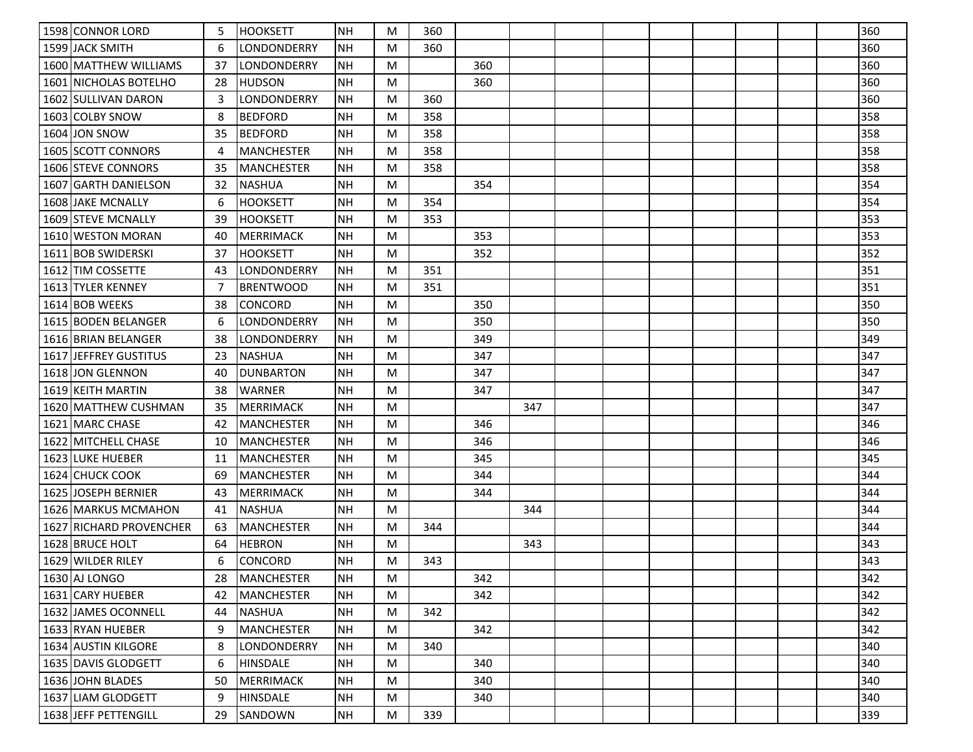| 1598 CONNOR LORD                 | 5  | <b>HOOKSETT</b>   | NH         | M | 360 |     |     |  |  |  | 360 |
|----------------------------------|----|-------------------|------------|---|-----|-----|-----|--|--|--|-----|
| 1599 JACK SMITH                  | 6  | LONDONDERRY       | NΗ         | M | 360 |     |     |  |  |  | 360 |
| 1600 MATTHEW WILLIAMS            | 37 | LONDONDERRY       | NΗ         | M |     | 360 |     |  |  |  | 360 |
| 1601 NICHOLAS BOTELHO            | 28 | <b>HUDSON</b>     | <b>NH</b>  | M |     | 360 |     |  |  |  | 360 |
| 1602 SULLIVAN DARON              | 3  | LONDONDERRY       | <b>NH</b>  | M | 360 |     |     |  |  |  | 360 |
| 1603 COLBY SNOW                  | 8  | <b>BEDFORD</b>    | <b>NH</b>  | M | 358 |     |     |  |  |  | 358 |
| 1604 JON SNOW                    | 35 | <b>BEDFORD</b>    | <b>NH</b>  | M | 358 |     |     |  |  |  | 358 |
| 1605 SCOTT CONNORS               | 4  | <b>MANCHESTER</b> | NH         | M | 358 |     |     |  |  |  | 358 |
| <b>1606 ISTEVE CONNORS</b>       | 35 | <b>MANCHESTER</b> | <b>NH</b>  | M | 358 |     |     |  |  |  | 358 |
| 1607 GARTH DANIELSON             | 32 | <b>NASHUA</b>     | NΗ         | M |     | 354 |     |  |  |  | 354 |
| 1608 JAKE MCNALLY                | 6  | <b>HOOKSETT</b>   | <b>NH</b>  | M | 354 |     |     |  |  |  | 354 |
| 1609 STEVE MCNALLY               | 39 | <b>HOOKSETT</b>   | <b>NH</b>  | M | 353 |     |     |  |  |  | 353 |
| 1610 WESTON MORAN                | 40 | <b>MERRIMACK</b>  | NΗ         | M |     | 353 |     |  |  |  | 353 |
| 1611 BOB SWIDERSKI               | 37 | <b>HOOKSETT</b>   | <b>NH</b>  | M |     | 352 |     |  |  |  | 352 |
| 1612 TIM COSSETTE                | 43 | LONDONDERRY       | <b>INH</b> | M | 351 |     |     |  |  |  | 351 |
| 1613 TYLER KENNEY                | -7 | <b>BRENTWOOD</b>  | <b>NH</b>  | M | 351 |     |     |  |  |  | 351 |
| 1614 BOB WEEKS                   | 38 | <b>CONCORD</b>    | <b>NH</b>  | M |     | 350 |     |  |  |  | 350 |
| 1615 BODEN BELANGER              | 6  | LONDONDERRY       | <b>INH</b> | M |     | 350 |     |  |  |  | 350 |
| 1616 BRIAN BELANGER              | 38 | LONDONDERRY       | <b>NH</b>  | M |     | 349 |     |  |  |  | 349 |
| <b>IJEFFREY GUSTITUS</b><br>1617 | 23 | <b>NASHUA</b>     | <b>NH</b>  | M |     | 347 |     |  |  |  | 347 |
| 1618 JON GLENNON                 | 40 | <b>DUNBARTON</b>  | <b>NH</b>  | M |     | 347 |     |  |  |  | 347 |
| 1619 KEITH MARTIN                | 38 | <b>WARNER</b>     | <b>NH</b>  | M |     | 347 |     |  |  |  | 347 |
| 1620 MATTHEW CUSHMAN             | 35 | <b>MERRIMACK</b>  | <b>NH</b>  | M |     |     | 347 |  |  |  | 347 |
| 1621 MARC CHASE                  | 42 | <b>MANCHESTER</b> | <b>INH</b> | M |     | 346 |     |  |  |  | 346 |
| 1622 MITCHELL CHASE              | 10 | <b>MANCHESTER</b> | <b>NH</b>  | M |     | 346 |     |  |  |  | 346 |
| 1623 LUKE HUEBER                 | 11 | <b>MANCHESTER</b> | <b>NH</b>  | M |     | 345 |     |  |  |  | 345 |
| 1624 CHUCK COOK                  | 69 | <b>MANCHESTER</b> | <b>NH</b>  | M |     | 344 |     |  |  |  | 344 |
| 1625 JOSEPH BERNIER              | 43 | <b>MERRIMACK</b>  | <b>NH</b>  | M |     | 344 |     |  |  |  | 344 |
| 1626 MARKUS MCMAHON              | 41 | <b>NASHUA</b>     | <b>NH</b>  | M |     |     | 344 |  |  |  | 344 |
| 1627 RICHARD PROVENCHER          | 63 | <b>MANCHESTER</b> | <b>NH</b>  | M | 344 |     |     |  |  |  | 344 |
| 1628 BRUCE HOLT                  | 64 | <b>HEBRON</b>     | <b>NH</b>  | M |     |     | 343 |  |  |  | 343 |
| 1629 WILDER RILEY                | 6  | CONCORD           | NΗ         | M | 343 |     |     |  |  |  | 343 |
| 1630 AJ LONGO                    | 28 | MANCHESTER        | INH        | M |     | 342 |     |  |  |  | 342 |
| 1631 CARY HUEBER                 | 42 | <b>MANCHESTER</b> | <b>NH</b>  | M |     | 342 |     |  |  |  | 342 |
| 1632 JAMES OCONNELL              | 44 | <b>NASHUA</b>     | <b>NH</b>  | M | 342 |     |     |  |  |  | 342 |
| 1633 RYAN HUEBER                 | 9  | <b>MANCHESTER</b> | <b>NH</b>  | M |     | 342 |     |  |  |  | 342 |
| 1634 AUSTIN KILGORE              | 8  | LONDONDERRY       | NH         | M | 340 |     |     |  |  |  | 340 |
| 1635 DAVIS GLODGETT              | 6  | <b>HINSDALE</b>   | <b>NH</b>  | M |     | 340 |     |  |  |  | 340 |
| 1636 JOHN BLADES                 | 50 | <b>MERRIMACK</b>  | <b>NH</b>  | M |     | 340 |     |  |  |  | 340 |
| 1637 LIAM GLODGETT               | 9  | <b>HINSDALE</b>   | <b>NH</b>  | M |     | 340 |     |  |  |  | 340 |
| 1638 JEFF PETTENGILL             | 29 | SANDOWN           | <b>NH</b>  | M | 339 |     |     |  |  |  | 339 |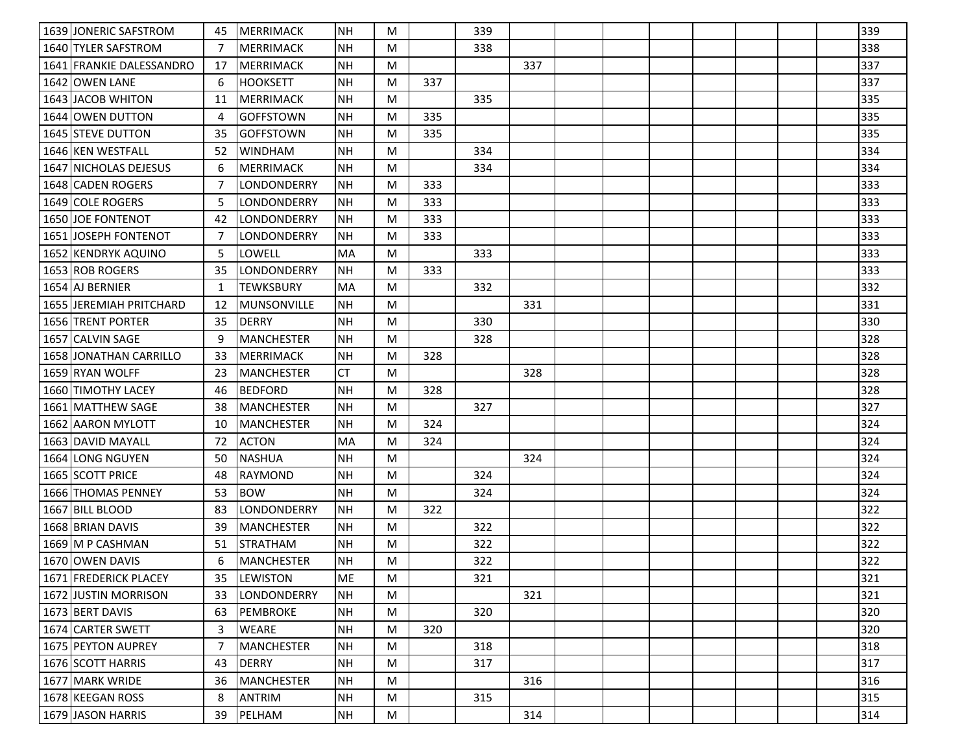| 1639 JONERIC SAFSTROM    | 45 | MERRIMACK          | <b>NH</b> | M |     | 339 |     |  |  |  | 339 |
|--------------------------|----|--------------------|-----------|---|-----|-----|-----|--|--|--|-----|
| 1640 ITYLER SAFSTROM     | 7  | <b>MERRIMACK</b>   | <b>NH</b> | M |     | 338 |     |  |  |  | 338 |
| 1641 FRANKIE DALESSANDRO | 17 | <b>MERRIMACK</b>   | <b>NH</b> | M |     |     | 337 |  |  |  | 337 |
| 1642 OWEN LANE           | 6  | <b>HOOKSETT</b>    | <b>NH</b> | M | 337 |     |     |  |  |  | 337 |
| 1643 JACOB WHITON        | 11 | <b>MERRIMACK</b>   | <b>NH</b> | M |     | 335 |     |  |  |  | 335 |
| 1644 OWEN DUTTON         | 4  | <b>GOFFSTOWN</b>   | <b>NH</b> | M | 335 |     |     |  |  |  | 335 |
| 1645 STEVE DUTTON        | 35 | <b>GOFFSTOWN</b>   | <b>NH</b> | M | 335 |     |     |  |  |  | 335 |
| 1646 KEN WESTFALL        | 52 | <b>WINDHAM</b>     | <b>NH</b> | M |     | 334 |     |  |  |  | 334 |
| 1647 NICHOLAS DEJESUS    | 6  | <b>MERRIMACK</b>   | <b>NH</b> | M |     | 334 |     |  |  |  | 334 |
| 1648 CADEN ROGERS        | 7  | LONDONDERRY        | <b>NH</b> | M | 333 |     |     |  |  |  | 333 |
| 1649 COLE ROGERS         | 5  | LONDONDERRY        | <b>NH</b> | M | 333 |     |     |  |  |  | 333 |
| <b>1650 JOE FONTENOT</b> | 42 | LONDONDERRY        | <b>NH</b> | M | 333 |     |     |  |  |  | 333 |
| 1651 JOSEPH FONTENOT     | 7  | LONDONDERRY        | NΗ        | M | 333 |     |     |  |  |  | 333 |
| 1652 KENDRYK AQUINO      | 5  | LOWELL             | <b>MA</b> | M |     | 333 |     |  |  |  | 333 |
| 1653 ROB ROGERS          | 35 | LONDONDERRY        | NH        | M | 333 |     |     |  |  |  | 333 |
| 1654 AJ BERNIER          | 1  | <b>TEWKSBURY</b>   | MA        | M |     | 332 |     |  |  |  | 332 |
| 1655 JEREMIAH PRITCHARD  | 12 | <b>MUNSONVILLE</b> | <b>NH</b> | M |     |     | 331 |  |  |  | 331 |
| 1656 TRENT PORTER        | 35 | <b>DERRY</b>       | NH        | M |     | 330 |     |  |  |  | 330 |
| 1657 CALVIN SAGE         | 9  | <b>MANCHESTER</b>  | <b>NH</b> | M |     | 328 |     |  |  |  | 328 |
| 1658 JONATHAN CARRILLO   | 33 | <b>MERRIMACK</b>   | <b>NH</b> | M | 328 |     |     |  |  |  | 328 |
| 1659 RYAN WOLFF          | 23 | <b>MANCHESTER</b>  | <b>CT</b> | M |     |     | 328 |  |  |  | 328 |
| 1660 TIMOTHY LACEY       | 46 | <b>BEDFORD</b>     | <b>NH</b> | M | 328 |     |     |  |  |  | 328 |
| 1661 IMATTHEW SAGE       | 38 | <b>MANCHESTER</b>  | <b>NH</b> | M |     | 327 |     |  |  |  | 327 |
| 1662 AARON MYLOTT        | 10 | MANCHESTER         | NH        | M | 324 |     |     |  |  |  | 324 |
| 1663 DAVID MAYALL        | 72 | <b>ACTON</b>       | MA        | M | 324 |     |     |  |  |  | 324 |
| 1664 LONG NGUYEN         | 50 | <b>NASHUA</b>      | <b>NH</b> | M |     |     | 324 |  |  |  | 324 |
| 1665 SCOTT PRICE         | 48 | <b>RAYMOND</b>     | <b>NH</b> | M |     | 324 |     |  |  |  | 324 |
| 1666 THOMAS PENNEY       | 53 | <b>BOW</b>         | <b>NH</b> | M |     | 324 |     |  |  |  | 324 |
| 1667 BILL BLOOD          | 83 | LONDONDERRY        | <b>NH</b> | M | 322 |     |     |  |  |  | 322 |
| 1668 BRIAN DAVIS         | 39 | <b>MANCHESTER</b>  | <b>NH</b> | M |     | 322 |     |  |  |  | 322 |
| 1669 M P CASHMAN         | 51 | <b>STRATHAM</b>    | <b>NH</b> | M |     | 322 |     |  |  |  | 322 |
| 1670 OWEN DAVIS          | 6  | <b>MANCHESTER</b>  | <b>NH</b> | M |     | 322 |     |  |  |  | 322 |
| 1671   FREDERICK PLACEY  | 35 | <b>LEWISTON</b>    | ME        | M |     | 321 |     |  |  |  | 321 |
| 1672 JUSTIN MORRISON     | 33 | LONDONDERRY        | <b>NH</b> | M |     |     | 321 |  |  |  | 321 |
| 1673 BERT DAVIS          | 63 | <b>PEMBROKE</b>    | <b>NH</b> | M |     | 320 |     |  |  |  | 320 |
| 1674 CARTER SWETT        | 3  | <b>WEARE</b>       | <b>NH</b> | M | 320 |     |     |  |  |  | 320 |
| 1675 PEYTON AUPREY       | 7  | <b>MANCHESTER</b>  | NH        | M |     | 318 |     |  |  |  | 318 |
| 1676 SCOTT HARRIS        | 43 | <b>DERRY</b>       | <b>NH</b> | M |     | 317 |     |  |  |  | 317 |
| 1677 MARK WRIDE          | 36 | <b>MANCHESTER</b>  | NH        | M |     |     | 316 |  |  |  | 316 |
| 1678 KEEGAN ROSS         | 8  | ANTRIM             | NH        | M |     | 315 |     |  |  |  | 315 |
| 1679 JASON HARRIS        | 39 | PELHAM             | NH        | M |     |     | 314 |  |  |  | 314 |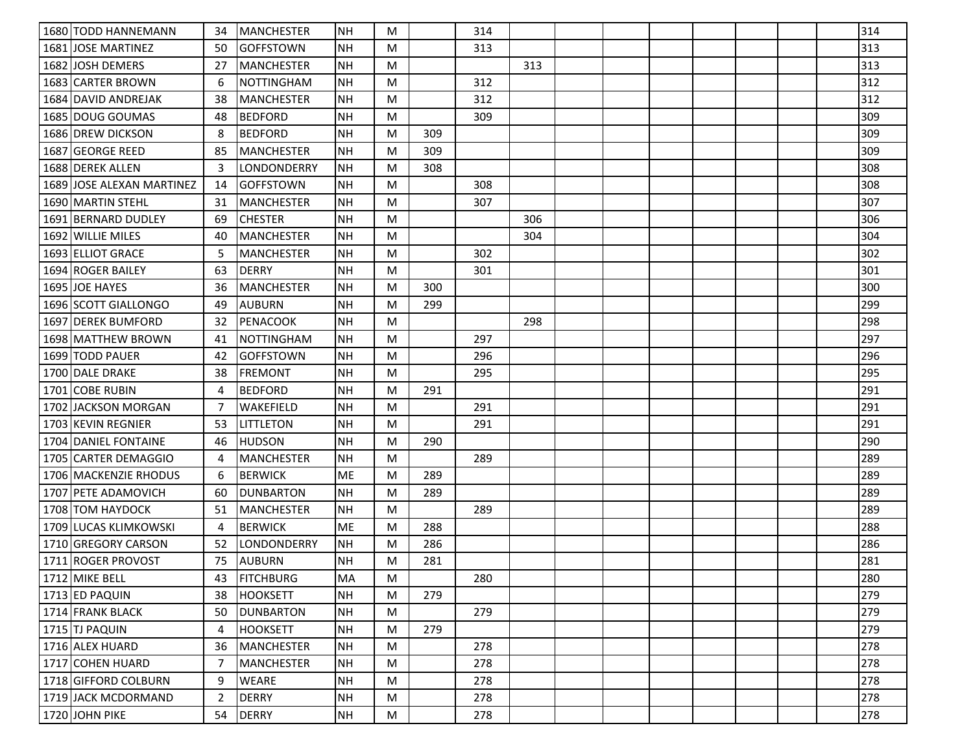| 1680 TODD HANNEMANN        | 34 | <b>MANCHESTER</b> | <b>INH</b> | M |     | 314 |     |  |  |  | 314 |
|----------------------------|----|-------------------|------------|---|-----|-----|-----|--|--|--|-----|
| 1681 JOSE MARTINEZ         | 50 | <b>GOFFSTOWN</b>  | <b>NH</b>  | M |     | 313 |     |  |  |  | 313 |
| 1682 JOSH DEMERS           | 27 | <b>MANCHESTER</b> | <b>NH</b>  | M |     |     | 313 |  |  |  | 313 |
| 1683 CARTER BROWN          | 6  | <b>NOTTINGHAM</b> | <b>NH</b>  | M |     | 312 |     |  |  |  | 312 |
| 1684   DAVID ANDREJAK      | 38 | <b>MANCHESTER</b> | <b>NH</b>  | M |     | 312 |     |  |  |  | 312 |
| 1685 DOUG GOUMAS           | 48 | <b>BEDFORD</b>    | <b>NH</b>  | M |     | 309 |     |  |  |  | 309 |
| 1686 DREW DICKSON          | 8  | <b>BEDFORD</b>    | <b>NH</b>  | M | 309 |     |     |  |  |  | 309 |
| 1687 GEORGE REED           | 85 | <b>MANCHESTER</b> | <b>NH</b>  | M | 309 |     |     |  |  |  | 309 |
| 1688 DEREK ALLEN           | 3  | LONDONDERRY       | NΗ         | M | 308 |     |     |  |  |  | 308 |
| 1689 JJOSE ALEXAN MARTINEZ | 14 | <b>GOFFSTOWN</b>  | <b>NH</b>  | M |     | 308 |     |  |  |  | 308 |
| 1690 MARTIN STEHL          | 31 | <b>MANCHESTER</b> | NH         | M |     | 307 |     |  |  |  | 307 |
| 1691 BERNARD DUDLEY        | 69 | <b>CHESTER</b>    | <b>NH</b>  | M |     |     | 306 |  |  |  | 306 |
| 1692 WILLIE MILES          | 40 | <b>MANCHESTER</b> | <b>NH</b>  | M |     |     | 304 |  |  |  | 304 |
| 1693 ELLIOT GRACE          | 5  | <b>MANCHESTER</b> | <b>NH</b>  | M |     | 302 |     |  |  |  | 302 |
| 1694 ROGER BAILEY          | 63 | <b>DERRY</b>      | <b>NH</b>  | M |     | 301 |     |  |  |  | 301 |
| 1695 JOE HAYES             | 36 | <b>MANCHESTER</b> | <b>NH</b>  | M | 300 |     |     |  |  |  | 300 |
| 1696 SCOTT GIALLONGO       | 49 | <b>AUBURN</b>     | <b>NH</b>  | M | 299 |     |     |  |  |  | 299 |
| 1697 DEREK BUMFORD         | 32 | <b>PENACOOK</b>   | NH         | M |     |     | 298 |  |  |  | 298 |
| 1698 MATTHEW BROWN         | 41 | <b>NOTTINGHAM</b> | <b>NH</b>  | M |     | 297 |     |  |  |  | 297 |
| 1699 TODD PAUER            | 42 | <b>GOFFSTOWN</b>  | <b>NH</b>  | M |     | 296 |     |  |  |  | 296 |
| 1700 DALE DRAKE            | 38 | <b>FREMONT</b>    | <b>NH</b>  | M |     | 295 |     |  |  |  | 295 |
| 1701 COBE RUBIN            | 4  | <b>BEDFORD</b>    | <b>NH</b>  | M | 291 |     |     |  |  |  | 291 |
| 1702 JACKSON MORGAN        | 7  | WAKEFIELD         | <b>NH</b>  | M |     | 291 |     |  |  |  | 291 |
| 1703 KEVIN REGNIER         | 53 | <b>LITTLETON</b>  | <b>NH</b>  | M |     | 291 |     |  |  |  | 291 |
| 1704 DANIEL FONTAINE       | 46 | <b>HUDSON</b>     | <b>NH</b>  | M | 290 |     |     |  |  |  | 290 |
| 1705 CARTER DEMAGGIO       | 4  | <b>MANCHESTER</b> | <b>NH</b>  | M |     | 289 |     |  |  |  | 289 |
| 1706   MACKENZIE RHODUS    | 6  | <b>BERWICK</b>    | ME.        | M | 289 |     |     |  |  |  | 289 |
| 1707 PETE ADAMOVICH        | 60 | <b>DUNBARTON</b>  | <b>NH</b>  | M | 289 |     |     |  |  |  | 289 |
| 1708 TOM HAYDOCK           | 51 | MANCHESTER        | NH         | M |     | 289 |     |  |  |  | 289 |
| 1709 LUCAS KLIMKOWSKI      | 4  | <b>BERWICK</b>    | <b>ME</b>  | M | 288 |     |     |  |  |  | 288 |
| 1710 GREGORY CARSON        | 52 | LONDONDERRY       | <b>NH</b>  | M | 286 |     |     |  |  |  | 286 |
| 1711 ROGER PROVOST         | 75 | <b>AUBURN</b>     | <b>NH</b>  | M | 281 |     |     |  |  |  | 281 |
| 1712 MIKE BELL             | 43 | <b>FITCHBURG</b>  | <b>MA</b>  | M |     | 280 |     |  |  |  | 280 |
| 1713 ED PAQUIN             | 38 | <b>HOOKSETT</b>   | <b>NH</b>  | M | 279 |     |     |  |  |  | 279 |
| 1714 FRANK BLACK           | 50 | <b>DUNBARTON</b>  | NH         | M |     | 279 |     |  |  |  | 279 |
| 1715 TJ PAQUIN             | 4  | <b>HOOKSETT</b>   | NH         | M | 279 |     |     |  |  |  | 279 |
| 1716 ALEX HUARD            | 36 | <b>MANCHESTER</b> | NH         | M |     | 278 |     |  |  |  | 278 |
| 1717 COHEN HUARD           | 7  | <b>MANCHESTER</b> | NH         | M |     | 278 |     |  |  |  | 278 |
| 1718 GIFFORD COLBURN       | 9  | <b>WEARE</b>      | <b>NH</b>  | M |     | 278 |     |  |  |  | 278 |
| 1719 JACK MCDORMAND        | 2  | DERRY             | <b>NH</b>  | M |     | 278 |     |  |  |  | 278 |
| 1720 JOHN PIKE             | 54 | <b>DERRY</b>      | NH         | M |     | 278 |     |  |  |  | 278 |